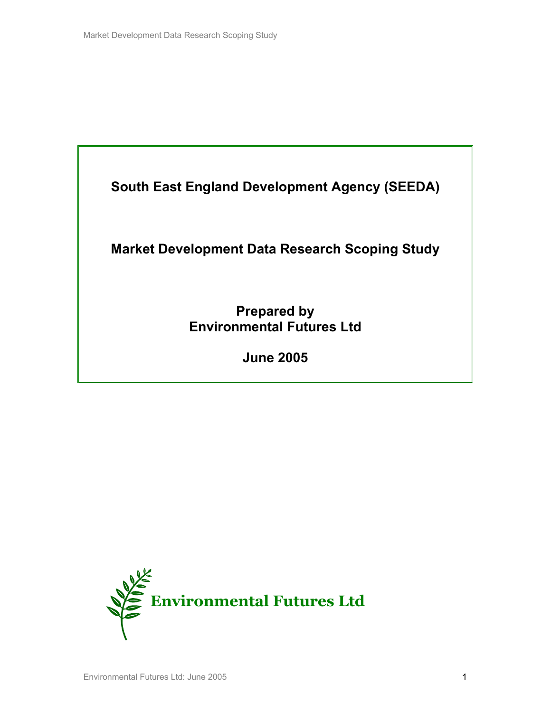

## **Market Development Data Research Scoping Study**

**Prepared by Environmental Futures Ltd** 

**June 2005** 

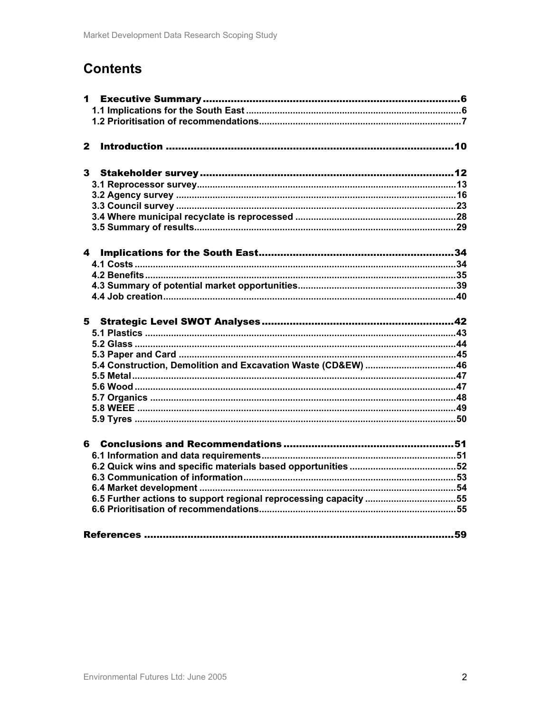# **Contents**

| $\mathbf{2}$                                                     |  |
|------------------------------------------------------------------|--|
|                                                                  |  |
|                                                                  |  |
|                                                                  |  |
|                                                                  |  |
|                                                                  |  |
|                                                                  |  |
|                                                                  |  |
|                                                                  |  |
|                                                                  |  |
| 4                                                                |  |
|                                                                  |  |
|                                                                  |  |
|                                                                  |  |
|                                                                  |  |
|                                                                  |  |
|                                                                  |  |
|                                                                  |  |
|                                                                  |  |
|                                                                  |  |
| 5.4 Construction, Demolition and Excavation Waste (CD&EW)  46    |  |
|                                                                  |  |
|                                                                  |  |
|                                                                  |  |
|                                                                  |  |
|                                                                  |  |
|                                                                  |  |
|                                                                  |  |
|                                                                  |  |
|                                                                  |  |
|                                                                  |  |
|                                                                  |  |
| 6.5 Further actions to support regional reprocessing capacity 55 |  |
|                                                                  |  |
|                                                                  |  |
|                                                                  |  |
|                                                                  |  |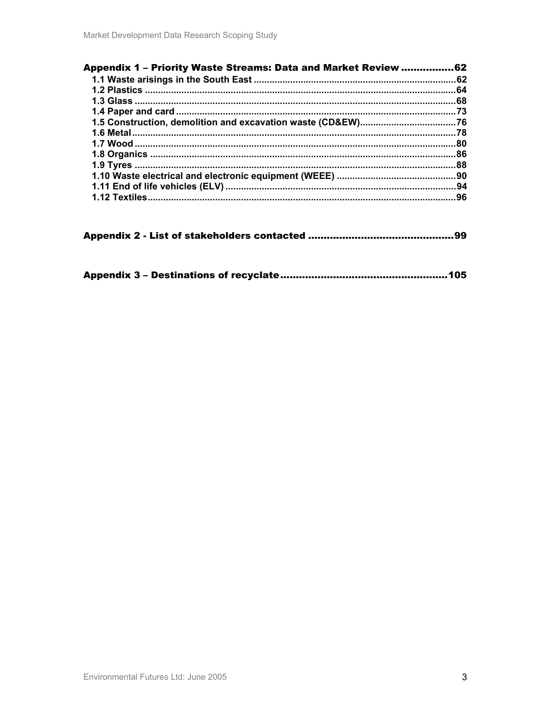| <b>Appendix 1 - Priority Waste Streams: Data and Market Review </b> | 62   |
|---------------------------------------------------------------------|------|
|                                                                     | .62  |
|                                                                     | .64  |
|                                                                     | .68  |
|                                                                     | . 73 |
|                                                                     |      |
|                                                                     | .78  |
|                                                                     | .80  |
|                                                                     | .86  |
|                                                                     | .88  |
|                                                                     | .90  |
|                                                                     | .94  |
| 1.12 Textiles                                                       | .96  |
|                                                                     |      |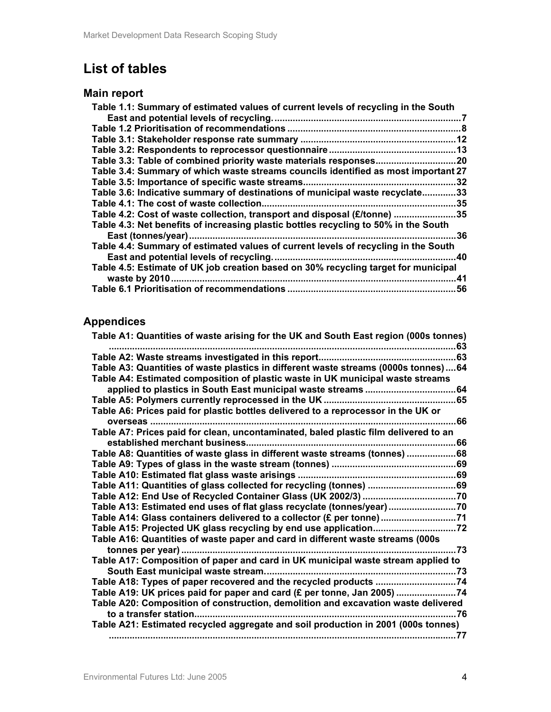# **List of tables**

## **Main report**

| Table 1.1: Summary of estimated values of current levels of recycling in the South  |     |
|-------------------------------------------------------------------------------------|-----|
| East and potential levels of recycling.                                             |     |
|                                                                                     |     |
|                                                                                     | 12  |
|                                                                                     |     |
|                                                                                     |     |
| Table 3.4: Summary of which waste streams councils identified as most important 27  |     |
| Table 3.5: Importance of specific waste streams.                                    | .32 |
| Table 3.6: Indicative summary of destinations of municipal waste recyclate          | .33 |
| Table 4.1: The cost of waste collection.                                            | .35 |
| Table 4.2: Cost of waste collection, transport and disposal (£/tonne)<br>35         |     |
| Table 4.3: Net benefits of increasing plastic bottles recycling to 50% in the South |     |
| East (tonnes/year)                                                                  | 36  |
| Table 4.4: Summary of estimated values of current levels of recycling in the South  |     |
| East and potential levels of recycling.                                             | .40 |
| Table 4.5: Estimate of UK job creation based on 30% recycling target for municipal  |     |
| waste by 2010.                                                                      | 41  |
|                                                                                     | .56 |

## **Appendices**

| Table A1: Quantities of waste arising for the UK and South East region (000s tonnes) |      |
|--------------------------------------------------------------------------------------|------|
|                                                                                      |      |
| Table A3: Quantities of waste plastics in different waste streams (0000s tonnes)64   |      |
| Table A4: Estimated composition of plastic waste in UK municipal waste streams       |      |
|                                                                                      |      |
|                                                                                      |      |
| Table A6: Prices paid for plastic bottles delivered to a reprocessor in the UK or    |      |
| overseas<br>                                                                         | .66  |
| Table A7: Prices paid for clean, uncontaminated, baled plastic film delivered to an  |      |
|                                                                                      |      |
| Table A8: Quantities of waste glass in different waste streams (tonnes) 68           |      |
|                                                                                      |      |
|                                                                                      |      |
| Table A11: Quantities of glass collected for recycling (tonnes) 69                   |      |
|                                                                                      |      |
| Table A13: Estimated end uses of flat glass recyclate (tonnes/year)70                |      |
| Table A14: Glass containers delivered to a collector (£ per tonne)71                 |      |
| Table A15: Projected UK glass recycling by end use application72                     |      |
| Table A16: Quantities of waste paper and card in different waste streams (000s       |      |
|                                                                                      | . 73 |
| Table A17: Composition of paper and card in UK municipal waste stream applied to     |      |
|                                                                                      |      |
| Table A18: Types of paper recovered and the recycled products 74                     |      |
| Table A19: UK prices paid for paper and card (£ per tonne, Jan 2005) 74              |      |
| Table A20: Composition of construction, demolition and excavation waste delivered    |      |
|                                                                                      | .76  |
| Table A21: Estimated recycled aggregate and soil production in 2001 (000s tonnes)    |      |
|                                                                                      |      |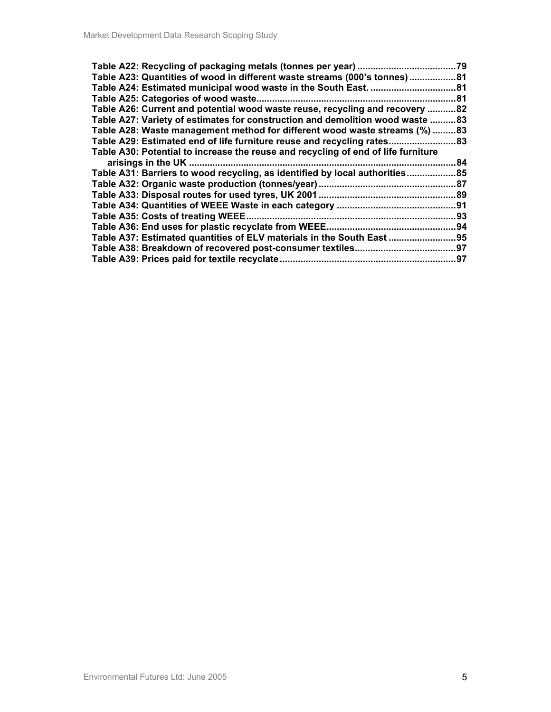|                                                                                   | .79  |
|-----------------------------------------------------------------------------------|------|
| Table A23: Quantities of wood in different waste streams (000's tonnes)81         |      |
| Table A24: Estimated municipal wood waste in the South East.                      | ….81 |
| Table A25: Categories of wood waste                                               | .81  |
| Table A26: Current and potential wood waste reuse, recycling and recovery 82      |      |
| Table A27: Variety of estimates for construction and demolition wood waste        | .83  |
| Table A28: Waste management method for different wood waste streams (%) 83        |      |
| Table A29: Estimated end of life furniture reuse and recycling rates              | .83  |
| Table A30: Potential to increase the reuse and recycling of end of life furniture |      |
| arisings in the UK                                                                | 84   |
| Table A31: Barriers to wood recycling, as identified by local authorities         |      |
|                                                                                   | 87   |
|                                                                                   | …89  |
|                                                                                   | .91  |
| Table A35: Costs of treating WEEE.                                                | .93  |
| Table A36: End uses for plastic recyclate from WEEE.                              | 94   |
| Table A37: Estimated quantities of ELV materials in the South East                | .95  |
| Table A38: Breakdown of recovered post-consumer textiles                          | 97.  |
| Table A39: Prices paid for textile recyclate                                      | .97  |
|                                                                                   |      |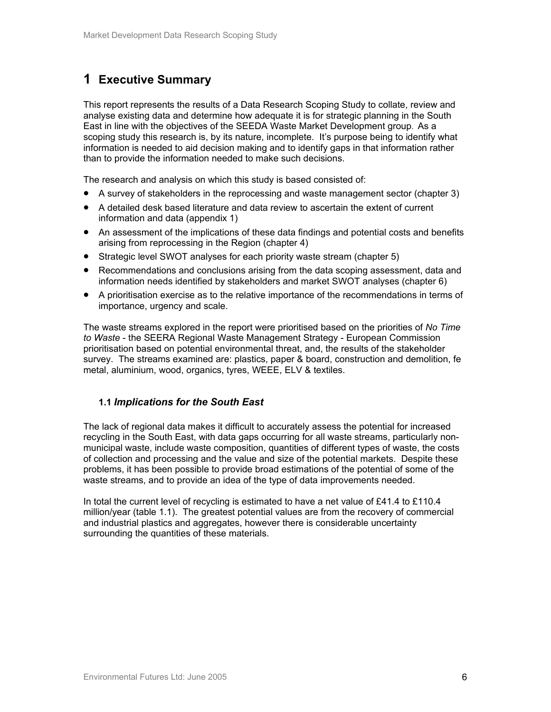## **1 Executive Summary**

This report represents the results of a Data Research Scoping Study to collate, review and analyse existing data and determine how adequate it is for strategic planning in the South East in line with the objectives of the SEEDA Waste Market Development group. As a scoping study this research is, by its nature, incomplete. It's purpose being to identify what information is needed to aid decision making and to identify gaps in that information rather than to provide the information needed to make such decisions.

The research and analysis on which this study is based consisted of:

- A survey of stakeholders in the reprocessing and waste management sector (chapter 3)
- A detailed desk based literature and data review to ascertain the extent of current information and data (appendix 1)
- An assessment of the implications of these data findings and potential costs and benefits arising from reprocessing in the Region (chapter 4)
- Strategic level SWOT analyses for each priority waste stream (chapter 5)
- Recommendations and conclusions arising from the data scoping assessment, data and information needs identified by stakeholders and market SWOT analyses (chapter 6)
- A prioritisation exercise as to the relative importance of the recommendations in terms of importance, urgency and scale.

The waste streams explored in the report were prioritised based on the priorities of *No Time to Waste* - the SEERA Regional Waste Management Strategy - European Commission prioritisation based on potential environmental threat, and, the results of the stakeholder survey. The streams examined are: plastics, paper & board, construction and demolition, fe metal, aluminium, wood, organics, tyres, WEEE, ELV & textiles.

## **1.1** *Implications for the South East*

The lack of regional data makes it difficult to accurately assess the potential for increased recycling in the South East, with data gaps occurring for all waste streams, particularly nonmunicipal waste, include waste composition, quantities of different types of waste, the costs of collection and processing and the value and size of the potential markets. Despite these problems, it has been possible to provide broad estimations of the potential of some of the waste streams, and to provide an idea of the type of data improvements needed.

In total the current level of recycling is estimated to have a net value of £41.4 to £110.4 million/year (table 1.1). The greatest potential values are from the recovery of commercial and industrial plastics and aggregates, however there is considerable uncertainty surrounding the quantities of these materials.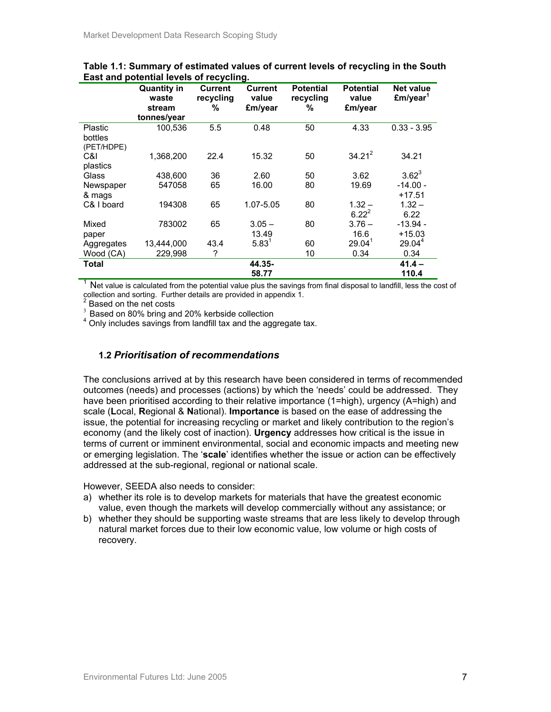|                                  | <b>Quantity in</b><br>waste | <b>Current</b><br>recycling | Current<br>value  | <b>Potential</b><br>recycling | <b>Potential</b><br>value | <b>Net value</b><br>£m/year <sup>1</sup> |
|----------------------------------|-----------------------------|-----------------------------|-------------------|-------------------------------|---------------------------|------------------------------------------|
|                                  | stream<br>tonnes/year       | ℅                           | £m/year           | ℅                             | £m/year                   |                                          |
| Plastic<br>bottles<br>(PET/HDPE) | 100,536                     | 5.5                         | 0.48              | 50                            | 4.33                      | $0.33 - 3.95$                            |
| C&I<br>plastics                  | 1,368,200                   | 22.4                        | 15.32             | 50                            | $34.21^2$                 | 34.21                                    |
| Glass                            | 438,600                     | 36                          | 2.60              | 50                            | 3.62                      | $3.62^{3}$                               |
| Newspaper<br>& mags              | 547058                      | 65                          | 16.00             | 80                            | 19.69                     | $-14.00 -$<br>$+17.51$                   |
| C& I board                       | 194308                      | 65                          | 1.07-5.05         | 80                            | $1.32 -$<br>$6.22^{2}$    | $1.32 -$<br>6.22                         |
| Mixed<br>paper                   | 783002                      | 65                          | $3.05 -$<br>13.49 | 80                            | $3.76 -$<br>16.6          | $-13.94 -$<br>$+15.03$                   |
| Aggregates                       | 13,444,000                  | 43.4                        | $5.83^{1}$        | 60                            | 29.04 <sup>1</sup>        | 29.04 <sup>4</sup>                       |
| Wood (CA)                        | 229,998                     | ?                           |                   | 10                            | 0.34                      | 0.34                                     |
| Total                            |                             |                             | 44.35-            |                               |                           | $41.4 -$                                 |
|                                  |                             |                             | 58.77             |                               |                           | 110.4                                    |

**Table 1.1: Summary of estimated values of current levels of recycling in the South East and potential levels of recycling.** 

 $1$  Net value is calculated from the potential value plus the savings from final disposal to landfill, less the cost of collection and sorting. Further details are provided in appendix 1.<br><sup>2</sup> Beased an the not soote

Based on the net costs

<sup>3</sup> Based on 80% bring and 20% kerbside collection

<sup>4</sup> Only includes savings from landfill tax and the aggregate tax.

## **1.2** *Prioritisation of recommendations*

The conclusions arrived at by this research have been considered in terms of recommended outcomes (needs) and processes (actions) by which the 'needs' could be addressed. They have been prioritised according to their relative importance (1=high), urgency (A=high) and scale (**L**ocal, **R**egional & **N**ational). **Importance** is based on the ease of addressing the issue, the potential for increasing recycling or market and likely contribution to the region's economy (and the likely cost of inaction). **Urgency** addresses how critical is the issue in terms of current or imminent environmental, social and economic impacts and meeting new or emerging legislation. The '**scale**' identifies whether the issue or action can be effectively addressed at the sub-regional, regional or national scale.

However, SEEDA also needs to consider:

- a) whether its role is to develop markets for materials that have the greatest economic value, even though the markets will develop commercially without any assistance; or
- b) whether they should be supporting waste streams that are less likely to develop through natural market forces due to their low economic value, low volume or high costs of recovery.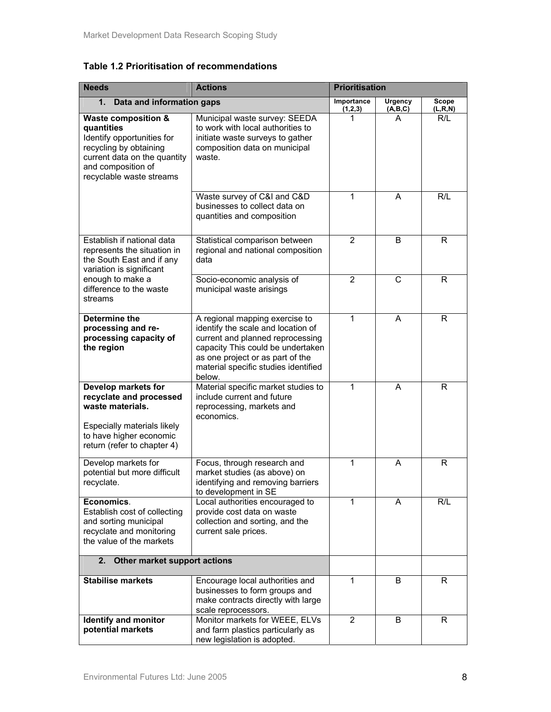**Table 1.2 Prioritisation of recommendations** 

| <b>Needs</b><br><b>Actions</b>                                                                                                                                                         |                                                                                                                                                                                                                                     | <b>Prioritisation</b> |                           |                         |
|----------------------------------------------------------------------------------------------------------------------------------------------------------------------------------------|-------------------------------------------------------------------------------------------------------------------------------------------------------------------------------------------------------------------------------------|-----------------------|---------------------------|-------------------------|
| 1.<br>Data and information gaps                                                                                                                                                        |                                                                                                                                                                                                                                     | Importance<br>(1,2,3) | <b>Urgency</b><br>(A,B,C) | Scope<br><u>(L,R,N)</u> |
| <b>Waste composition &amp;</b><br>quantities<br>Identify opportunities for<br>recycling by obtaining<br>current data on the quantity<br>and composition of<br>recyclable waste streams | Municipal waste survey: SEEDA<br>to work with local authorities to<br>initiate waste surveys to gather<br>composition data on municipal<br>waste.                                                                                   |                       | A                         | R/L                     |
|                                                                                                                                                                                        | Waste survey of C&I and C&D<br>businesses to collect data on<br>quantities and composition                                                                                                                                          | 1                     | A                         | R/L                     |
| Establish if national data<br>represents the situation in<br>the South East and if any<br>variation is significant                                                                     | Statistical comparison between<br>regional and national composition<br>data                                                                                                                                                         | $\overline{2}$        | B                         | R                       |
| enough to make a<br>difference to the waste<br>streams                                                                                                                                 | Socio-economic analysis of<br>municipal waste arisings                                                                                                                                                                              | $\overline{2}$        | $\mathsf{C}$              | R                       |
| <b>Determine the</b><br>processing and re-<br>processing capacity of<br>the region                                                                                                     | A regional mapping exercise to<br>identify the scale and location of<br>current and planned reprocessing<br>capacity This could be undertaken<br>as one project or as part of the<br>material specific studies identified<br>below. | 1                     | A                         | $\mathsf{R}$            |
| Develop markets for<br>recyclate and processed<br>waste materials.<br>Especially materials likely<br>to have higher economic<br>return (refer to chapter 4)                            | Material specific market studies to<br>include current and future<br>reprocessing, markets and<br>economics.                                                                                                                        | 1                     | A                         | R                       |
| Develop markets for<br>potential but more difficult<br>recyclate.                                                                                                                      | Focus, through research and<br>market studies (as above) on<br>identifying and removing barriers<br>to development in SE                                                                                                            | $\mathbf{1}$          | A                         | R                       |
| Economics.<br>Establish cost of collecting<br>and sorting municipal<br>recyclate and monitoring<br>the value of the markets                                                            | Local authorities encouraged to<br>provide cost data on waste<br>collection and sorting, and the<br>current sale prices.                                                                                                            | 1                     | A                         | R/L                     |
| 2. Other market support actions                                                                                                                                                        |                                                                                                                                                                                                                                     |                       |                           |                         |
| <b>Stabilise markets</b>                                                                                                                                                               | Encourage local authorities and<br>businesses to form groups and<br>make contracts directly with large<br>scale reprocessors.                                                                                                       | 1                     | B                         | R                       |
| Identify and monitor<br>potential markets                                                                                                                                              | Monitor markets for WEEE, ELVs<br>and farm plastics particularly as<br>new legislation is adopted.                                                                                                                                  | $\overline{2}$        | B                         | R                       |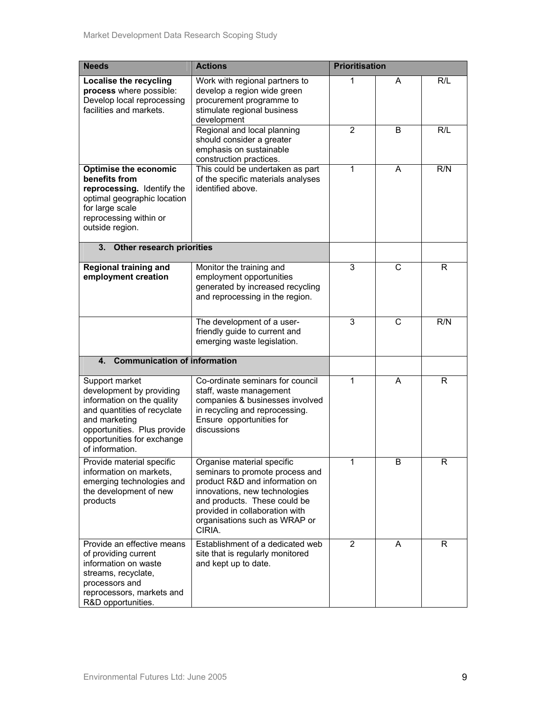| <b>Needs</b>                                                                                                                                                                                             | <b>Actions</b>                                                                                                                                                                                                                                | <b>Prioritisation</b> |   |     |
|----------------------------------------------------------------------------------------------------------------------------------------------------------------------------------------------------------|-----------------------------------------------------------------------------------------------------------------------------------------------------------------------------------------------------------------------------------------------|-----------------------|---|-----|
| Localise the recycling<br>process where possible:<br>Develop local reprocessing<br>facilities and markets.                                                                                               | Work with regional partners to<br>develop a region wide green<br>procurement programme to<br>stimulate regional business<br>development                                                                                                       | 1                     | A | R/L |
|                                                                                                                                                                                                          | Regional and local planning<br>should consider a greater<br>emphasis on sustainable<br>construction practices.                                                                                                                                | 2                     | B | R/L |
| <b>Optimise the economic</b><br>benefits from<br>reprocessing. Identify the<br>optimal geographic location<br>for large scale<br>reprocessing within or<br>outside region.                               | This could be undertaken as part<br>of the specific materials analyses<br>identified above.                                                                                                                                                   | 1                     | A | R/N |
| 3.<br><b>Other research priorities</b>                                                                                                                                                                   |                                                                                                                                                                                                                                               |                       |   |     |
| <b>Regional training and</b><br>employment creation                                                                                                                                                      | Monitor the training and<br>employment opportunities<br>generated by increased recycling<br>and reprocessing in the region.                                                                                                                   | 3                     | C | R   |
|                                                                                                                                                                                                          | The development of a user-<br>friendly guide to current and<br>emerging waste legislation.                                                                                                                                                    | 3                     | C | R/N |
| <b>Communication of information</b><br>4.                                                                                                                                                                |                                                                                                                                                                                                                                               |                       |   |     |
| Support market<br>development by providing<br>information on the quality<br>and quantities of recyclate<br>and marketing<br>opportunities. Plus provide<br>opportunities for exchange<br>of information. | Co-ordinate seminars for council<br>staff, waste management<br>companies & businesses involved<br>in recycling and reprocessing.<br>Ensure opportunities for<br>discussions                                                                   | 1                     | A | R   |
| Provide material specific<br>information on markets,<br>emerging technologies and<br>the development of new<br>products                                                                                  | Organise material specific<br>seminars to promote process and<br>product R&D and information on<br>innovations, new technologies<br>and products. These could be<br>provided in collaboration with<br>organisations such as WRAP or<br>CIRIA. |                       | В | К   |
| Provide an effective means<br>of providing current<br>information on waste<br>streams, recyclate,<br>processors and<br>reprocessors, markets and<br>R&D opportunities.                                   | Establishment of a dedicated web<br>site that is regularly monitored<br>and kept up to date.                                                                                                                                                  | $\overline{2}$        | A | R.  |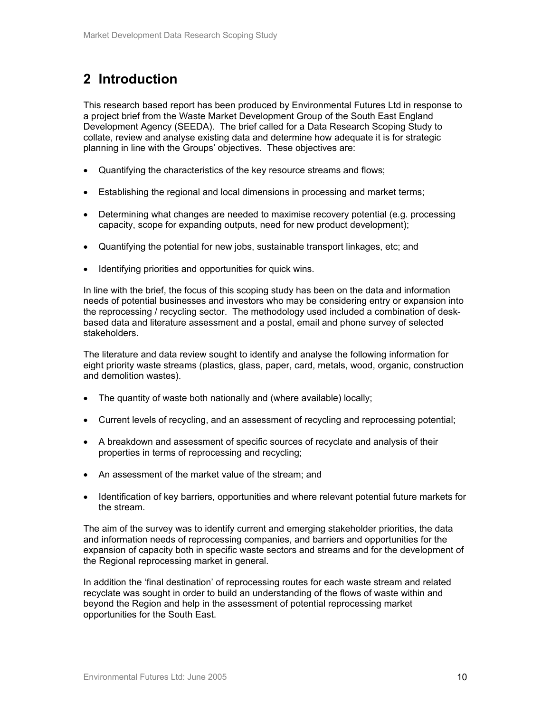# **2 Introduction**

This research based report has been produced by Environmental Futures Ltd in response to a project brief from the Waste Market Development Group of the South East England Development Agency (SEEDA). The brief called for a Data Research Scoping Study to collate, review and analyse existing data and determine how adequate it is for strategic planning in line with the Groups' objectives. These objectives are:

- Quantifying the characteristics of the key resource streams and flows;
- Establishing the regional and local dimensions in processing and market terms;
- Determining what changes are needed to maximise recovery potential (e.g. processing capacity, scope for expanding outputs, need for new product development);
- Quantifying the potential for new jobs, sustainable transport linkages, etc; and
- Identifying priorities and opportunities for quick wins.

In line with the brief, the focus of this scoping study has been on the data and information needs of potential businesses and investors who may be considering entry or expansion into the reprocessing / recycling sector. The methodology used included a combination of deskbased data and literature assessment and a postal, email and phone survey of selected stakeholders.

The literature and data review sought to identify and analyse the following information for eight priority waste streams (plastics, glass, paper, card, metals, wood, organic, construction and demolition wastes).

- The quantity of waste both nationally and (where available) locally;
- Current levels of recycling, and an assessment of recycling and reprocessing potential;
- A breakdown and assessment of specific sources of recyclate and analysis of their properties in terms of reprocessing and recycling;
- An assessment of the market value of the stream; and
- Identification of key barriers, opportunities and where relevant potential future markets for the stream.

The aim of the survey was to identify current and emerging stakeholder priorities, the data and information needs of reprocessing companies, and barriers and opportunities for the expansion of capacity both in specific waste sectors and streams and for the development of the Regional reprocessing market in general.

In addition the 'final destination' of reprocessing routes for each waste stream and related recyclate was sought in order to build an understanding of the flows of waste within and beyond the Region and help in the assessment of potential reprocessing market opportunities for the South East.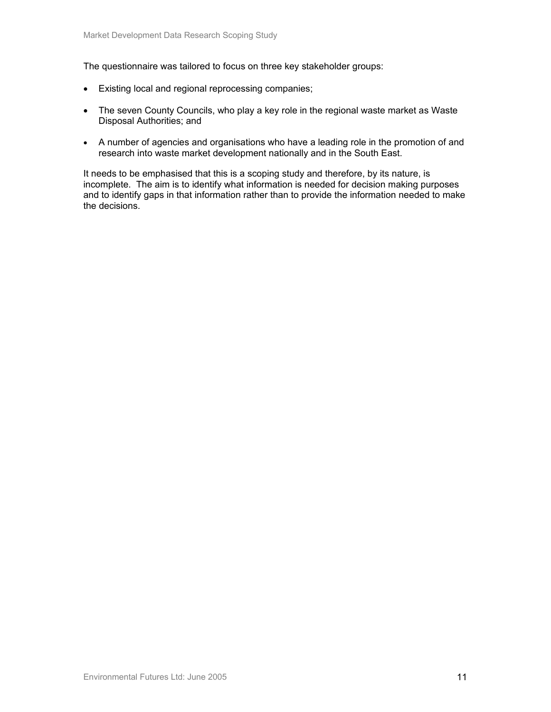The questionnaire was tailored to focus on three key stakeholder groups:

- Existing local and regional reprocessing companies;
- The seven County Councils, who play a key role in the regional waste market as Waste Disposal Authorities; and
- A number of agencies and organisations who have a leading role in the promotion of and research into waste market development nationally and in the South East.

It needs to be emphasised that this is a scoping study and therefore, by its nature, is incomplete. The aim is to identify what information is needed for decision making purposes and to identify gaps in that information rather than to provide the information needed to make the decisions.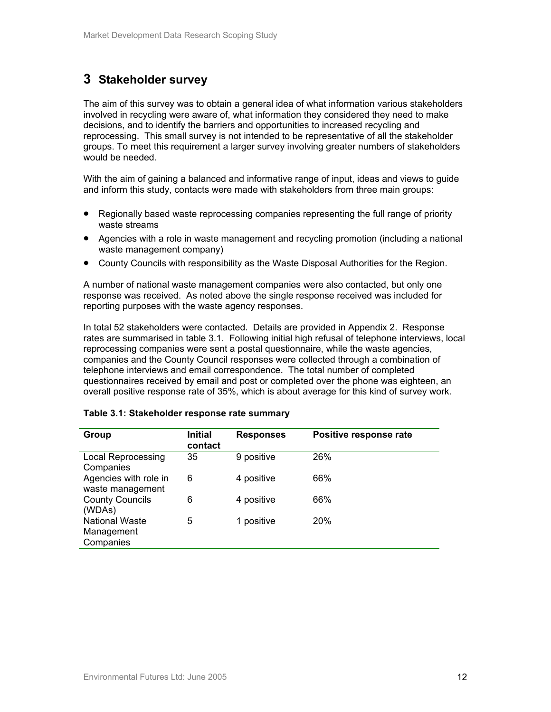## **3 Stakeholder survey**

The aim of this survey was to obtain a general idea of what information various stakeholders involved in recycling were aware of, what information they considered they need to make decisions, and to identify the barriers and opportunities to increased recycling and reprocessing. This small survey is not intended to be representative of all the stakeholder groups. To meet this requirement a larger survey involving greater numbers of stakeholders would be needed.

With the aim of gaining a balanced and informative range of input, ideas and views to guide and inform this study, contacts were made with stakeholders from three main groups:

- Regionally based waste reprocessing companies representing the full range of priority waste streams
- Agencies with a role in waste management and recycling promotion (including a national waste management company)
- County Councils with responsibility as the Waste Disposal Authorities for the Region.

A number of national waste management companies were also contacted, but only one response was received. As noted above the single response received was included for reporting purposes with the waste agency responses.

In total 52 stakeholders were contacted. Details are provided in Appendix 2. Response rates are summarised in table 3.1. Following initial high refusal of telephone interviews, local reprocessing companies were sent a postal questionnaire, while the waste agencies, companies and the County Council responses were collected through a combination of telephone interviews and email correspondence. The total number of completed questionnaires received by email and post or completed over the phone was eighteen, an overall positive response rate of 35%, which is about average for this kind of survey work.

| Group                                            | <b>Initial</b><br>contact | <b>Responses</b> | Positive response rate |
|--------------------------------------------------|---------------------------|------------------|------------------------|
| <b>Local Reprocessing</b><br>Companies           | 35                        | 9 positive       | 26%                    |
| Agencies with role in<br>waste management        | 6                         | 4 positive       | 66%                    |
| <b>County Councils</b><br>(WDAs)                 | 6                         | 4 positive       | 66%                    |
| <b>National Waste</b><br>Management<br>Companies | 5                         | 1 positive       | <b>20%</b>             |

## **Table 3.1: Stakeholder response rate summary**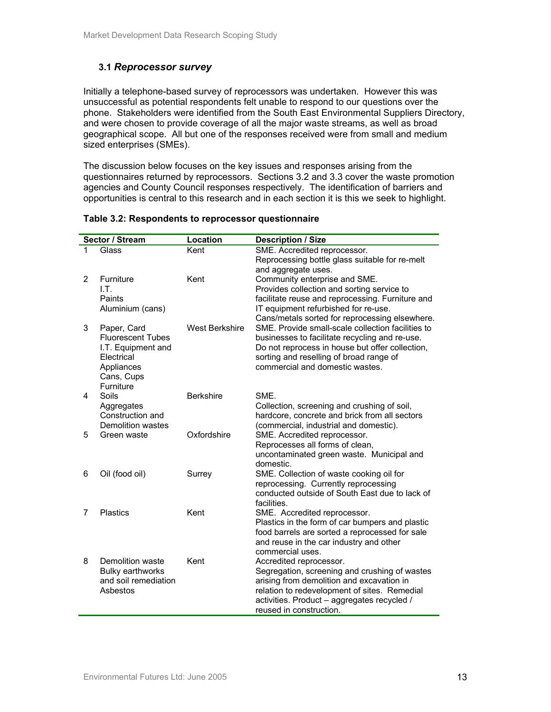## **3.1** *Reprocessor survey*

Initially a telephone-based survey of reprocessors was undertaken. However this was unsuccessful as potential respondents felt unable to respond to our questions over the phone. Stakeholders were identified from the South East Environmental Suppliers Directory, and were chosen to provide coverage of all the major waste streams, as well as broad geographical scope. All but one of the responses received were from small and medium sized enterprises (SMEs).

The discussion below focuses on the key issues and responses arising from the questionnaires returned by reprocessors. Sections 3.2 and 3.3 cover the waste promotion agencies and County Council responses respectively. The identification of barriers and opportunities is central to this research and in each section it is this we seek to highlight.

|                | Sector / Stream                  | Location              | <b>Description / Size</b>                                                                   |
|----------------|----------------------------------|-----------------------|---------------------------------------------------------------------------------------------|
| 1              | Glass                            | Kent                  | SME. Accredited reprocessor.<br>Reprocessing bottle glass suitable for re-melt              |
|                |                                  |                       | and aggregate uses.                                                                         |
| $\overline{2}$ | Furniture                        | Kent                  | Community enterprise and SME.                                                               |
|                | LT.                              |                       | Provides collection and sorting service to                                                  |
|                | Paints                           |                       | facilitate reuse and reprocessing. Furniture and                                            |
|                | Aluminium (cans)                 |                       | IT equipment refurbished for re-use.                                                        |
|                |                                  |                       | Cans/metals sorted for reprocessing elsewhere.                                              |
| 3              | Paper, Card                      | <b>West Berkshire</b> | SME. Provide small-scale collection facilities to                                           |
|                | <b>Fluorescent Tubes</b>         |                       | businesses to facilitate recycling and re-use.                                              |
|                | I.T. Equipment and<br>Electrical |                       | Do not reprocess in house but offer collection,<br>sorting and reselling of broad range of  |
|                | Appliances                       |                       | commercial and domestic wastes.                                                             |
|                | Cans, Cups                       |                       |                                                                                             |
|                | Furniture                        |                       |                                                                                             |
| 4              | Soils                            | <b>Berkshire</b>      | SME.                                                                                        |
|                | Aggregates                       |                       | Collection, screening and crushing of soil,                                                 |
|                | Construction and                 |                       | hardcore, concrete and brick from all sectors                                               |
| 5              | Demolition wastes                | Oxfordshire           | (commercial, industrial and domestic).                                                      |
|                | Green waste                      |                       | SME. Accredited reprocessor.<br>Reprocesses all forms of clean,                             |
|                |                                  |                       | uncontaminated green waste. Municipal and                                                   |
|                |                                  |                       | domestic.                                                                                   |
| 6              | Oil (food oil)                   | Surrey                | SME. Collection of waste cooking oil for                                                    |
|                |                                  |                       | reprocessing. Currently reprocessing                                                        |
|                |                                  |                       | conducted outside of South East due to lack of                                              |
| 7              | <b>Plastics</b>                  | Kent                  | facilities.                                                                                 |
|                |                                  |                       | SME. Accredited reprocessor.<br>Plastics in the form of car bumpers and plastic             |
|                |                                  |                       | food barrels are sorted a reprocessed for sale                                              |
|                |                                  |                       | and reuse in the car industry and other                                                     |
|                |                                  |                       | commercial uses.                                                                            |
| 8              | Demolition waste                 | Kent                  | Accredited reprocessor.                                                                     |
|                | <b>Bulky earthworks</b>          |                       | Segregation, screening and crushing of wastes                                               |
|                | and soil remediation             |                       | arising from demolition and excavation in                                                   |
|                | Asbestos                         |                       | relation to redevelopment of sites. Remedial<br>activities. Product - aggregates recycled / |
|                |                                  |                       | reused in construction.                                                                     |
|                |                                  |                       |                                                                                             |

#### **Table 3.2: Respondents to reprocessor questionnaire**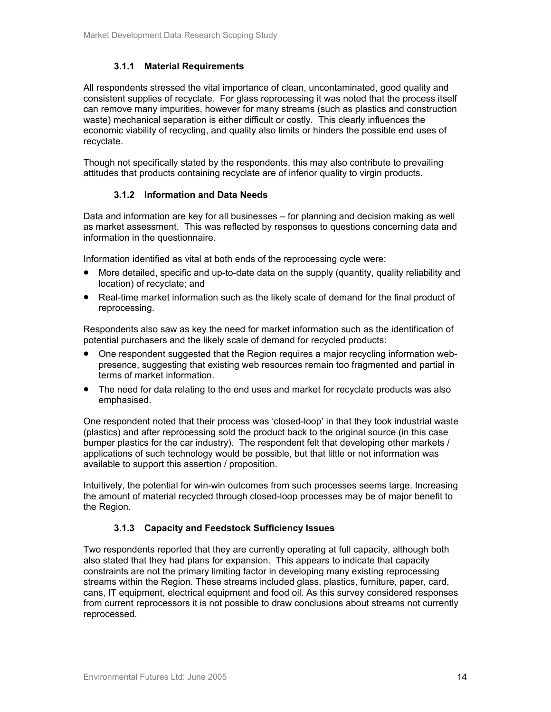## **3.1.1 Material Requirements**

All respondents stressed the vital importance of clean, uncontaminated, good quality and consistent supplies of recyclate. For glass reprocessing it was noted that the process itself can remove many impurities, however for many streams (such as plastics and construction waste) mechanical separation is either difficult or costly. This clearly influences the economic viability of recycling, and quality also limits or hinders the possible end uses of recyclate.

Though not specifically stated by the respondents, this may also contribute to prevailing attitudes that products containing recyclate are of inferior quality to virgin products.

## **3.1.2 Information and Data Needs**

Data and information are key for all businesses – for planning and decision making as well as market assessment. This was reflected by responses to questions concerning data and information in the questionnaire.

Information identified as vital at both ends of the reprocessing cycle were:

- More detailed, specific and up-to-date data on the supply (quantity, quality reliability and location) of recyclate; and
- Real-time market information such as the likely scale of demand for the final product of reprocessing.

Respondents also saw as key the need for market information such as the identification of potential purchasers and the likely scale of demand for recycled products:

- One respondent suggested that the Region requires a major recycling information webpresence, suggesting that existing web resources remain too fragmented and partial in terms of market information.
- The need for data relating to the end uses and market for recyclate products was also emphasised.

One respondent noted that their process was 'closed-loop' in that they took industrial waste (plastics) and after reprocessing sold the product back to the original source (in this case bumper plastics for the car industry). The respondent felt that developing other markets / applications of such technology would be possible, but that little or not information was available to support this assertion / proposition.

Intuitively, the potential for win-win outcomes from such processes seems large. Increasing the amount of material recycled through closed-loop processes may be of major benefit to the Region.

## **3.1.3 Capacity and Feedstock Sufficiency Issues**

Two respondents reported that they are currently operating at full capacity, although both also stated that they had plans for expansion. This appears to indicate that capacity constraints are not the primary limiting factor in developing many existing reprocessing streams within the Region. These streams included glass, plastics, furniture, paper, card, cans, IT equipment, electrical equipment and food oil. As this survey considered responses from current reprocessors it is not possible to draw conclusions about streams not currently reprocessed.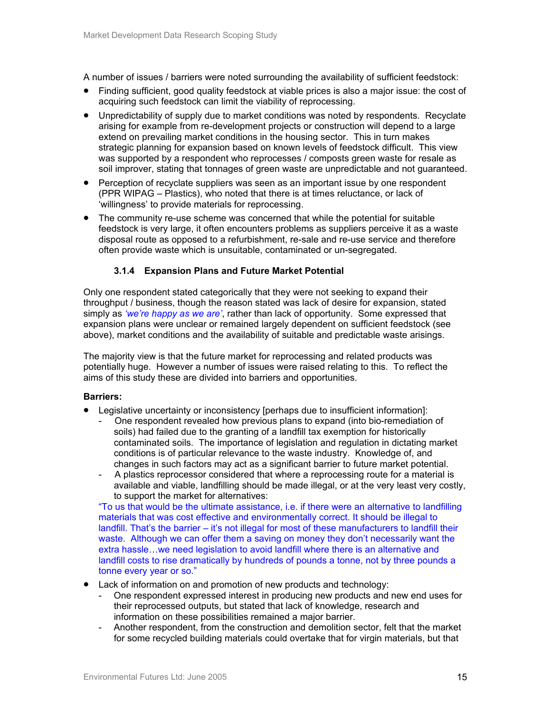A number of issues / barriers were noted surrounding the availability of sufficient feedstock:

- Finding sufficient, good quality feedstock at viable prices is also a major issue: the cost of acquiring such feedstock can limit the viability of reprocessing.
- Unpredictability of supply due to market conditions was noted by respondents. Recyclate arising for example from re-development projects or construction will depend to a large extend on prevailing market conditions in the housing sector. This in turn makes strategic planning for expansion based on known levels of feedstock difficult. This view was supported by a respondent who reprocesses / composts green waste for resale as soil improver, stating that tonnages of green waste are unpredictable and not guaranteed.
- Perception of recyclate suppliers was seen as an important issue by one respondent (PPR WIPAG – Plastics), who noted that there is at times reluctance, or lack of 'willingness' to provide materials for reprocessing.
- The community re-use scheme was concerned that while the potential for suitable feedstock is very large, it often encounters problems as suppliers perceive it as a waste disposal route as opposed to a refurbishment, re-sale and re-use service and therefore often provide waste which is unsuitable, contaminated or un-segregated.

## **3.1.4 Expansion Plans and Future Market Potential**

Only one respondent stated categorically that they were not seeking to expand their throughput / business, though the reason stated was lack of desire for expansion, stated simply as *'we're happy as we are'*, rather than lack of opportunity. Some expressed that expansion plans were unclear or remained largely dependent on sufficient feedstock (see above), market conditions and the availability of suitable and predictable waste arisings.

The majority view is that the future market for reprocessing and related products was potentially huge. However a number of issues were raised relating to this. To reflect the aims of this study these are divided into barriers and opportunities.

## **Barriers:**

- Legislative uncertainty or inconsistency [perhaps due to insufficient information]:
	- One respondent revealed how previous plans to expand (into bio-remediation of soils) had failed due to the granting of a landfill tax exemption for historically contaminated soils. The importance of legislation and regulation in dictating market conditions is of particular relevance to the waste industry. Knowledge of, and changes in such factors may act as a significant barrier to future market potential.
	- A plastics reprocessor considered that where a reprocessing route for a material is available and viable, landfilling should be made illegal, or at the very least very costly, to support the market for alternatives:

"To us that would be the ultimate assistance, i.e. if there were an alternative to landfilling materials that was cost effective and environmentally correct. It should be illegal to landfill. That's the barrier – it's not illegal for most of these manufacturers to landfill their waste. Although we can offer them a saving on money they don't necessarily want the extra hassle…we need legislation to avoid landfill where there is an alternative and landfill costs to rise dramatically by hundreds of pounds a tonne, not by three pounds a tonne every year or so."

- Lack of information on and promotion of new products and technology:
	- One respondent expressed interest in producing new products and new end uses for their reprocessed outputs, but stated that lack of knowledge, research and information on these possibilities remained a major barrier.
	- Another respondent, from the construction and demolition sector, felt that the market for some recycled building materials could overtake that for virgin materials, but that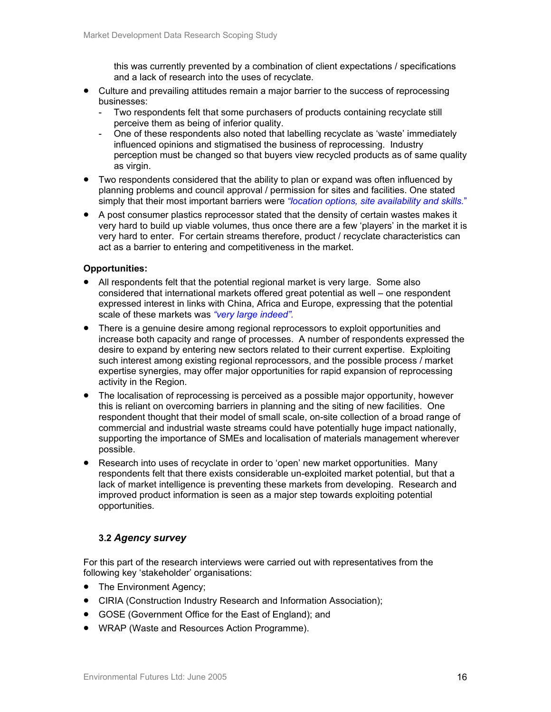this was currently prevented by a combination of client expectations / specifications and a lack of research into the uses of recyclate.

- Culture and prevailing attitudes remain a major barrier to the success of reprocessing businesses:
	- Two respondents felt that some purchasers of products containing recyclate still perceive them as being of inferior quality.
	- One of these respondents also noted that labelling recyclate as 'waste' immediately influenced opinions and stigmatised the business of reprocessing. Industry perception must be changed so that buyers view recycled products as of same quality as virgin.
- Two respondents considered that the ability to plan or expand was often influenced by planning problems and council approval / permission for sites and facilities. One stated simply that their most important barriers were *"location options, site availability and skills.*"
- A post consumer plastics reprocessor stated that the density of certain wastes makes it very hard to build up viable volumes, thus once there are a few 'players' in the market it is very hard to enter. For certain streams therefore, product / recyclate characteristics can act as a barrier to entering and competitiveness in the market.

## **Opportunities:**

- All respondents felt that the potential regional market is very large. Some also considered that international markets offered great potential as well – one respondent expressed interest in links with China, Africa and Europe, expressing that the potential scale of these markets was *"very large indeed".*
- There is a genuine desire among regional reprocessors to exploit opportunities and increase both capacity and range of processes. A number of respondents expressed the desire to expand by entering new sectors related to their current expertise. Exploiting such interest among existing regional reprocessors, and the possible process / market expertise synergies, may offer major opportunities for rapid expansion of reprocessing activity in the Region.
- The localisation of reprocessing is perceived as a possible major opportunity, however this is reliant on overcoming barriers in planning and the siting of new facilities. One respondent thought that their model of small scale, on-site collection of a broad range of commercial and industrial waste streams could have potentially huge impact nationally, supporting the importance of SMEs and localisation of materials management wherever possible.
- Research into uses of recyclate in order to 'open' new market opportunities. Many respondents felt that there exists considerable un-exploited market potential, but that a lack of market intelligence is preventing these markets from developing. Research and improved product information is seen as a major step towards exploiting potential opportunities.

## **3.2** *Agency survey*

For this part of the research interviews were carried out with representatives from the following key 'stakeholder' organisations:

- The Environment Agency;
- CIRIA (Construction Industry Research and Information Association);
- GOSE (Government Office for the East of England); and
- WRAP (Waste and Resources Action Programme).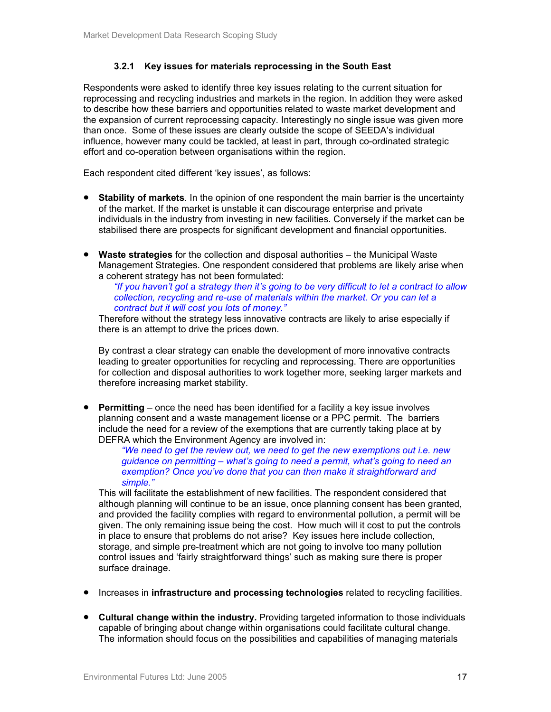## **3.2.1 Key issues for materials reprocessing in the South East**

Respondents were asked to identify three key issues relating to the current situation for reprocessing and recycling industries and markets in the region. In addition they were asked to describe how these barriers and opportunities related to waste market development and the expansion of current reprocessing capacity. Interestingly no single issue was given more than once. Some of these issues are clearly outside the scope of SEEDA's individual influence, however many could be tackled, at least in part, through co-ordinated strategic effort and co-operation between organisations within the region.

Each respondent cited different 'key issues', as follows:

- **Stability of markets**. In the opinion of one respondent the main barrier is the uncertainty of the market. If the market is unstable it can discourage enterprise and private individuals in the industry from investing in new facilities. Conversely if the market can be stabilised there are prospects for significant development and financial opportunities.
- **Waste strategies** for the collection and disposal authorities the Municipal Waste Management Strategies. One respondent considered that problems are likely arise when a coherent strategy has not been formulated:

*"If you haven't got a strategy then it's going to be very difficult to let a contract to allow collection, recycling and re-use of materials within the market. Or you can let a contract but it will cost you lots of money."*

Therefore without the strategy less innovative contracts are likely to arise especially if there is an attempt to drive the prices down.

By contrast a clear strategy can enable the development of more innovative contracts leading to greater opportunities for recycling and reprocessing. There are opportunities for collection and disposal authorities to work together more, seeking larger markets and therefore increasing market stability.

• **Permitting** – once the need has been identified for a facility a key issue involves planning consent and a waste management license or a PPC permit. The barriers include the need for a review of the exemptions that are currently taking place at by DEFRA which the Environment Agency are involved in:

*"We need to get the review out, we need to get the new exemptions out i.e. new guidance on permitting – what's going to need a permit, what's going to need an exemption? Once you've done that you can then make it straightforward and simple."* 

This will facilitate the establishment of new facilities. The respondent considered that although planning will continue to be an issue, once planning consent has been granted, and provided the facility complies with regard to environmental pollution, a permit will be given. The only remaining issue being the cost. How much will it cost to put the controls in place to ensure that problems do not arise? Key issues here include collection, storage, and simple pre-treatment which are not going to involve too many pollution control issues and 'fairly straightforward things' such as making sure there is proper surface drainage.

- Increases in **infrastructure and processing technologies** related to recycling facilities.
- **Cultural change within the industry.** Providing targeted information to those individuals capable of bringing about change within organisations could facilitate cultural change. The information should focus on the possibilities and capabilities of managing materials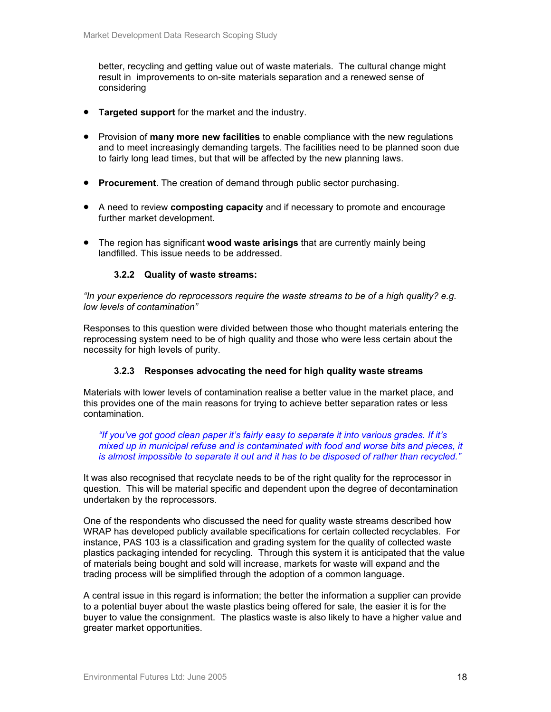better, recycling and getting value out of waste materials. The cultural change might result in improvements to on-site materials separation and a renewed sense of considering

- **Targeted support** for the market and the industry.
- Provision of **many more new facilities** to enable compliance with the new regulations and to meet increasingly demanding targets. The facilities need to be planned soon due to fairly long lead times, but that will be affected by the new planning laws.
- **Procurement**. The creation of demand through public sector purchasing.
- A need to review **composting capacity** and if necessary to promote and encourage further market development.
- The region has significant **wood waste arisings** that are currently mainly being landfilled. This issue needs to be addressed.

## **3.2.2 Quality of waste streams:**

*"In your experience do reprocessors require the waste streams to be of a high quality? e.g. low levels of contamination"* 

Responses to this question were divided between those who thought materials entering the reprocessing system need to be of high quality and those who were less certain about the necessity for high levels of purity.

## **3.2.3 Responses advocating the need for high quality waste streams**

Materials with lower levels of contamination realise a better value in the market place, and this provides one of the main reasons for trying to achieve better separation rates or less contamination.

*"If you've got good clean paper it's fairly easy to separate it into various grades. If it's mixed up in municipal refuse and is contaminated with food and worse bits and pieces, it is almost impossible to separate it out and it has to be disposed of rather than recycled."* 

It was also recognised that recyclate needs to be of the right quality for the reprocessor in question. This will be material specific and dependent upon the degree of decontamination undertaken by the reprocessors.

One of the respondents who discussed the need for quality waste streams described how WRAP has developed publicly available specifications for certain collected recyclables. For instance, PAS 103 is a classification and grading system for the quality of collected waste plastics packaging intended for recycling. Through this system it is anticipated that the value of materials being bought and sold will increase, markets for waste will expand and the trading process will be simplified through the adoption of a common language.

A central issue in this regard is information; the better the information a supplier can provide to a potential buyer about the waste plastics being offered for sale, the easier it is for the buyer to value the consignment. The plastics waste is also likely to have a higher value and greater market opportunities.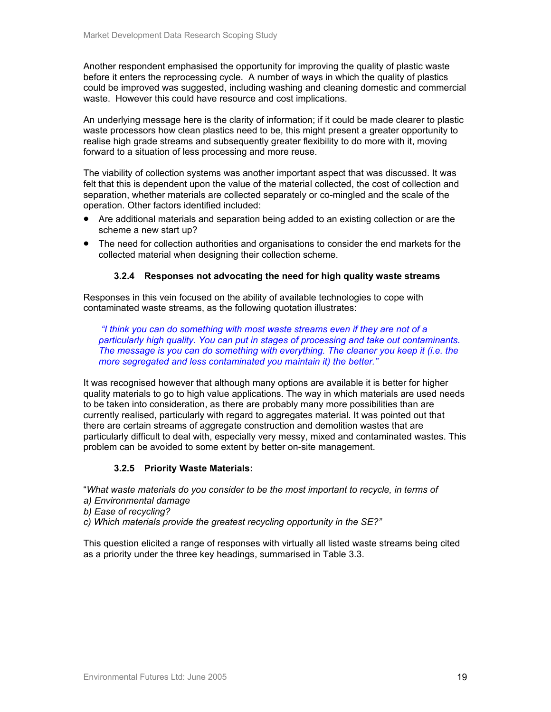Another respondent emphasised the opportunity for improving the quality of plastic waste before it enters the reprocessing cycle. A number of ways in which the quality of plastics could be improved was suggested, including washing and cleaning domestic and commercial waste. However this could have resource and cost implications.

An underlying message here is the clarity of information; if it could be made clearer to plastic waste processors how clean plastics need to be, this might present a greater opportunity to realise high grade streams and subsequently greater flexibility to do more with it, moving forward to a situation of less processing and more reuse.

The viability of collection systems was another important aspect that was discussed. It was felt that this is dependent upon the value of the material collected, the cost of collection and separation, whether materials are collected separately or co-mingled and the scale of the operation. Other factors identified included:

- Are additional materials and separation being added to an existing collection or are the scheme a new start up?
- The need for collection authorities and organisations to consider the end markets for the collected material when designing their collection scheme.

## **3.2.4 Responses not advocating the need for high quality waste streams**

Responses in this vein focused on the ability of available technologies to cope with contaminated waste streams, as the following quotation illustrates:

 *"I think you can do something with most waste streams even if they are not of a particularly high quality. You can put in stages of processing and take out contaminants. The message is you can do something with everything. The cleaner you keep it (i.e. the more segregated and less contaminated you maintain it) the better."* 

It was recognised however that although many options are available it is better for higher quality materials to go to high value applications. The way in which materials are used needs to be taken into consideration, as there are probably many more possibilities than are currently realised, particularly with regard to aggregates material. It was pointed out that there are certain streams of aggregate construction and demolition wastes that are particularly difficult to deal with, especially very messy, mixed and contaminated wastes. This problem can be avoided to some extent by better on-site management.

## **3.2.5 Priority Waste Materials:**

"*What waste materials do you consider to be the most important to recycle, in terms of* 

- *a) Environmental damage*
- *b) Ease of recycling?*
- *c) Which materials provide the greatest recycling opportunity in the SE?"*

This question elicited a range of responses with virtually all listed waste streams being cited as a priority under the three key headings, summarised in Table 3.3.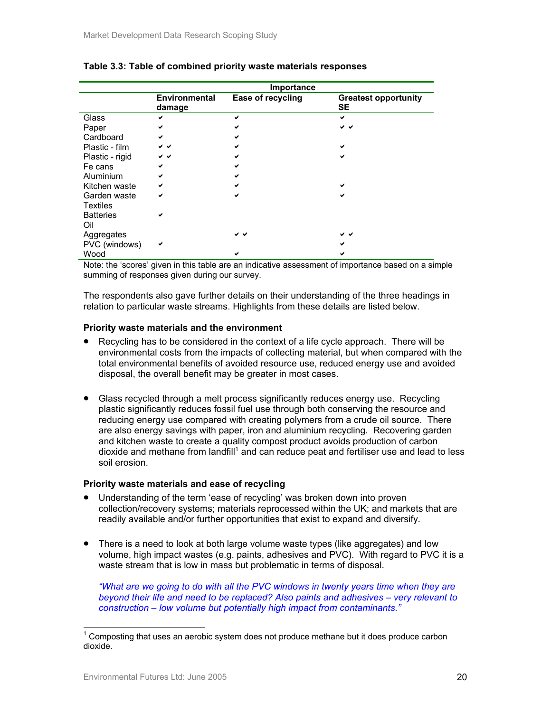|                  |                                | Importance        |                                          |
|------------------|--------------------------------|-------------------|------------------------------------------|
|                  | <b>Environmental</b><br>damage | Ease of recycling | <b>Greatest opportunity</b><br><b>SE</b> |
| Glass            | ✔                              | ◡                 | ✔                                        |
| Paper            | ✔                              |                   | v v                                      |
| Cardboard        | ✔                              |                   |                                          |
| Plastic - film   | v v                            |                   | ✔                                        |
| Plastic - rigid  | v v                            |                   | ✔                                        |
| Fe cans          | ✔                              |                   |                                          |
| Aluminium        | ✔                              |                   |                                          |
| Kitchen waste    | ✔                              |                   |                                          |
| Garden waste     | ✔                              | ✔                 | ✔                                        |
| <b>Textiles</b>  |                                |                   |                                          |
| <b>Batteries</b> | ✔                              |                   |                                          |
| Oil              |                                |                   |                                          |
| Aggregates       |                                | v v               | ◡◡                                       |
| PVC (windows)    | ✔                              |                   |                                          |
| Wood             |                                |                   |                                          |

## **Table 3.3: Table of combined priority waste materials responses**

Note: the 'scores' given in this table are an indicative assessment of importance based on a simple summing of responses given during our survey.

The respondents also gave further details on their understanding of the three headings in relation to particular waste streams. Highlights from these details are listed below.

#### **Priority waste materials and the environment**

- Recycling has to be considered in the context of a life cycle approach. There will be environmental costs from the impacts of collecting material, but when compared with the total environmental benefits of avoided resource use, reduced energy use and avoided disposal, the overall benefit may be greater in most cases.
- Glass recycled through a melt process significantly reduces energy use. Recycling plastic significantly reduces fossil fuel use through both conserving the resource and reducing energy use compared with creating polymers from a crude oil source. There are also energy savings with paper, iron and aluminium recycling. Recovering garden and kitchen waste to create a quality compost product avoids production of carbon dioxide and methane from landfill<sup>1</sup> and can reduce peat and fertiliser use and lead to less soil erosion.

#### **Priority waste materials and ease of recycling**

- Understanding of the term 'ease of recycling' was broken down into proven collection/recovery systems; materials reprocessed within the UK; and markets that are readily available and/or further opportunities that exist to expand and diversify.
- There is a need to look at both large volume waste types (like aggregates) and low volume, high impact wastes (e.g. paints, adhesives and PVC). With regard to PVC it is a waste stream that is low in mass but problematic in terms of disposal.

*"What are we going to do with all the PVC windows in twenty years time when they are beyond their life and need to be replaced? Also paints and adhesives – very relevant to construction – low volume but potentially high impact from contaminants."*

 $\overline{a}$ 

<sup>1</sup> Composting that uses an aerobic system does not produce methane but it does produce carbon dioxide.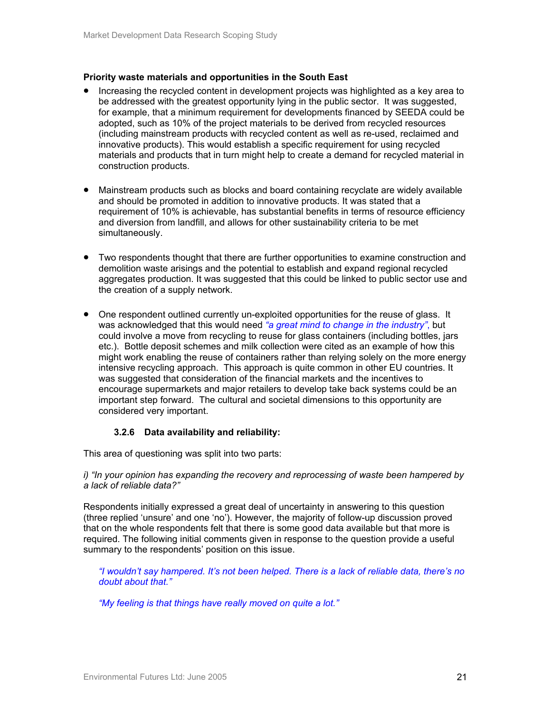#### **Priority waste materials and opportunities in the South East**

- Increasing the recycled content in development projects was highlighted as a key area to be addressed with the greatest opportunity lying in the public sector. It was suggested, for example, that a minimum requirement for developments financed by SEEDA could be adopted, such as 10% of the project materials to be derived from recycled resources (including mainstream products with recycled content as well as re-used, reclaimed and innovative products). This would establish a specific requirement for using recycled materials and products that in turn might help to create a demand for recycled material in construction products.
- Mainstream products such as blocks and board containing recyclate are widely available and should be promoted in addition to innovative products. It was stated that a requirement of 10% is achievable, has substantial benefits in terms of resource efficiency and diversion from landfill, and allows for other sustainability criteria to be met simultaneously.
- Two respondents thought that there are further opportunities to examine construction and demolition waste arisings and the potential to establish and expand regional recycled aggregates production. It was suggested that this could be linked to public sector use and the creation of a supply network.
- One respondent outlined currently un-exploited opportunities for the reuse of glass. It was acknowledged that this would need *"a great mind to change in the industry"*, but could involve a move from recycling to reuse for glass containers (including bottles, jars etc.). Bottle deposit schemes and milk collection were cited as an example of how this might work enabling the reuse of containers rather than relying solely on the more energy intensive recycling approach. This approach is quite common in other EU countries. It was suggested that consideration of the financial markets and the incentives to encourage supermarkets and major retailers to develop take back systems could be an important step forward. The cultural and societal dimensions to this opportunity are considered very important.

## **3.2.6 Data availability and reliability:**

This area of questioning was split into two parts:

*i) "In your opinion has expanding the recovery and reprocessing of waste been hampered by a lack of reliable data?"*

Respondents initially expressed a great deal of uncertainty in answering to this question (three replied 'unsure' and one 'no'). However, the majority of follow-up discussion proved that on the whole respondents felt that there is some good data available but that more is required. The following initial comments given in response to the question provide a useful summary to the respondents' position on this issue.

*"I wouldn't say hampered. It's not been helped. There is a lack of reliable data, there's no doubt about that."*

*"My feeling is that things have really moved on quite a lot."*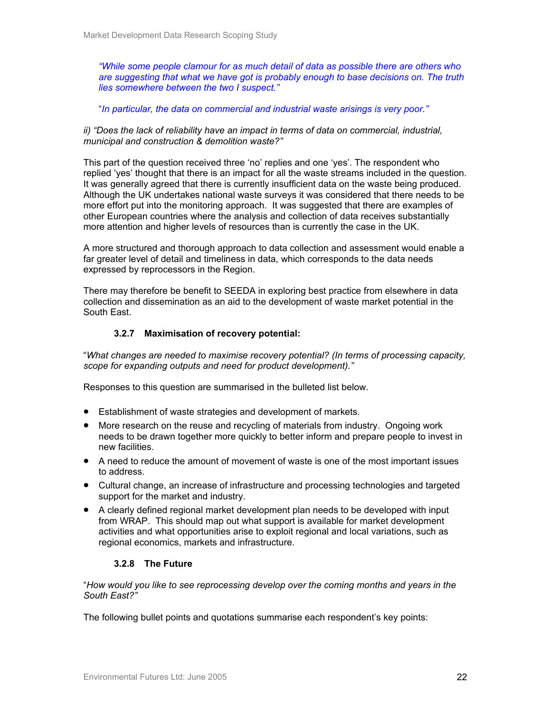*"While some people clamour for as much detail of data as possible there are others who are suggesting that what we have got is probably enough to base decisions on. The truth lies somewhere between the two I suspect."* 

"*In particular, the data on commercial and industrial waste arisings is very poor."* 

*ii)* "Does the lack of reliability have an impact in terms of data on commercial, industrial, *municipal and construction & demolition waste?"* 

This part of the question received three 'no' replies and one 'yes'. The respondent who replied 'yes' thought that there is an impact for all the waste streams included in the question. It was generally agreed that there is currently insufficient data on the waste being produced. Although the UK undertakes national waste surveys it was considered that there needs to be more effort put into the monitoring approach. It was suggested that there are examples of other European countries where the analysis and collection of data receives substantially more attention and higher levels of resources than is currently the case in the UK.

A more structured and thorough approach to data collection and assessment would enable a far greater level of detail and timeliness in data, which corresponds to the data needs expressed by reprocessors in the Region.

There may therefore be benefit to SEEDA in exploring best practice from elsewhere in data collection and dissemination as an aid to the development of waste market potential in the South East.

## **3.2.7 Maximisation of recovery potential:**

"*What changes are needed to maximise recovery potential? (In terms of processing capacity, scope for expanding outputs and need for product development)."* 

Responses to this question are summarised in the bulleted list below.

- Establishment of waste strategies and development of markets.
- More research on the reuse and recycling of materials from industry. Ongoing work needs to be drawn together more quickly to better inform and prepare people to invest in new facilities.
- A need to reduce the amount of movement of waste is one of the most important issues to address.
- Cultural change, an increase of infrastructure and processing technologies and targeted support for the market and industry.
- A clearly defined regional market development plan needs to be developed with input from WRAP. This should map out what support is available for market development activities and what opportunities arise to exploit regional and local variations, such as regional economics, markets and infrastructure.

## **3.2.8 The Future**

"*How would you like to see reprocessing develop over the coming months and years in the South East?"* 

The following bullet points and quotations summarise each respondent's key points: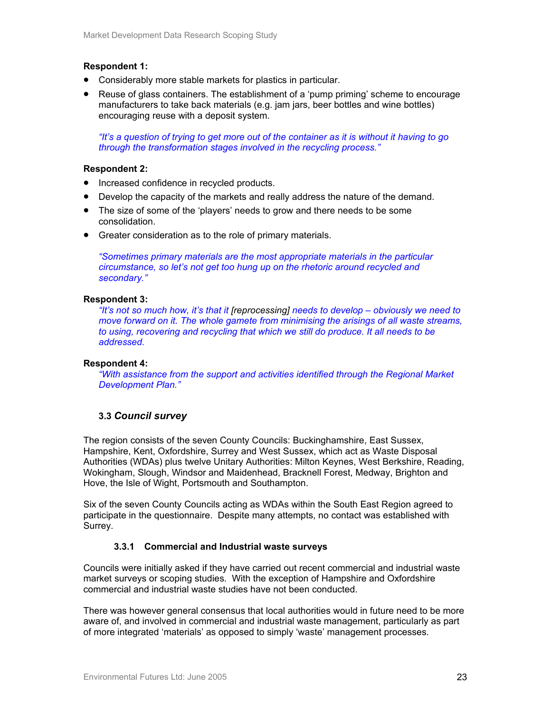## **Respondent 1:**

- Considerably more stable markets for plastics in particular.
- Reuse of glass containers. The establishment of a 'pump priming' scheme to encourage manufacturers to take back materials (e.g. jam jars, beer bottles and wine bottles) encouraging reuse with a deposit system.

*"It's a question of trying to get more out of the container as it is without it having to go through the transformation stages involved in the recycling process."* 

## **Respondent 2:**

- Increased confidence in recycled products.
- Develop the capacity of the markets and really address the nature of the demand.
- The size of some of the 'players' needs to grow and there needs to be some consolidation.
- Greater consideration as to the role of primary materials.

*"Sometimes primary materials are the most appropriate materials in the particular circumstance, so let's not get too hung up on the rhetoric around recycled and secondary."*

#### **Respondent 3:**

*"It's not so much how, it's that it [reprocessing] needs to develop – obviously we need to move forward on it. The whole gamete from minimising the arisings of all waste streams, to using, recovering and recycling that which we still do produce. It all needs to be addressed.* 

#### **Respondent 4:**

*"With assistance from the support and activities identified through the Regional Market Development Plan."*

## **3.3** *Council survey*

The region consists of the seven County Councils: Buckinghamshire, East Sussex, Hampshire, Kent, Oxfordshire, Surrey and West Sussex, which act as Waste Disposal Authorities (WDAs) plus twelve Unitary Authorities: Milton Keynes, West Berkshire, Reading, Wokingham, Slough, Windsor and Maidenhead, Bracknell Forest, Medway, Brighton and Hove, the Isle of Wight, Portsmouth and Southampton.

Six of the seven County Councils acting as WDAs within the South East Region agreed to participate in the questionnaire. Despite many attempts, no contact was established with Surrey.

## **3.3.1 Commercial and Industrial waste surveys**

Councils were initially asked if they have carried out recent commercial and industrial waste market surveys or scoping studies. With the exception of Hampshire and Oxfordshire commercial and industrial waste studies have not been conducted.

There was however general consensus that local authorities would in future need to be more aware of, and involved in commercial and industrial waste management, particularly as part of more integrated 'materials' as opposed to simply 'waste' management processes.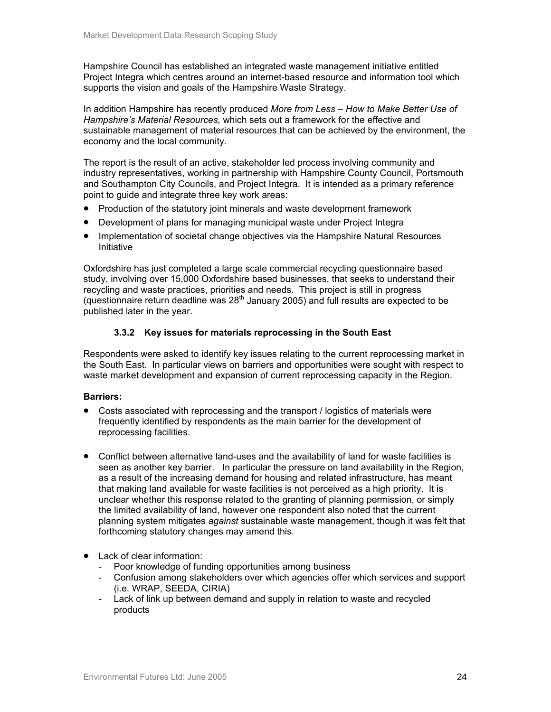Hampshire Council has established an integrated waste management initiative entitled Project Integra which centres around an internet-based resource and information tool which supports the vision and goals of the Hampshire Waste Strategy.

In addition Hampshire has recently produced *More from Less – How to Make Better Use of Hampshire's Material Resources,* which sets out a framework for the effective and sustainable management of material resources that can be achieved by the environment, the economy and the local community.

The report is the result of an active, stakeholder led process involving community and industry representatives, working in partnership with Hampshire County Council, Portsmouth and Southampton City Councils, and Project Integra. It is intended as a primary reference point to guide and integrate three key work areas:

- Production of the statutory joint minerals and waste development framework
- Development of plans for managing municipal waste under Project Integra
- Implementation of societal change objectives via the Hampshire Natural Resources Initiative

Oxfordshire has just completed a large scale commercial recycling questionnaire based study, involving over 15,000 Oxfordshire based businesses, that seeks to understand their recycling and waste practices, priorities and needs. This project is still in progress (questionnaire return deadline was 28<sup>th</sup> January 2005) and full results are expected to be published later in the year.

## **3.3.2 Key issues for materials reprocessing in the South East**

Respondents were asked to identify key issues relating to the current reprocessing market in the South East. In particular views on barriers and opportunities were sought with respect to waste market development and expansion of current reprocessing capacity in the Region.

## **Barriers:**

- Costs associated with reprocessing and the transport / logistics of materials were frequently identified by respondents as the main barrier for the development of reprocessing facilities.
- Conflict between alternative land-uses and the availability of land for waste facilities is seen as another key barrier. In particular the pressure on land availability in the Region, as a result of the increasing demand for housing and related infrastructure, has meant that making land available for waste facilities is not perceived as a high priority. It is unclear whether this response related to the granting of planning permission, or simply the limited availability of land, however one respondent also noted that the current planning system mitigates *against* sustainable waste management, though it was felt that forthcoming statutory changes may amend this.
- Lack of clear information:
	- Poor knowledge of funding opportunities among business
	- Confusion among stakeholders over which agencies offer which services and support (i.e. WRAP, SEEDA, CIRIA)
	- Lack of link up between demand and supply in relation to waste and recycled products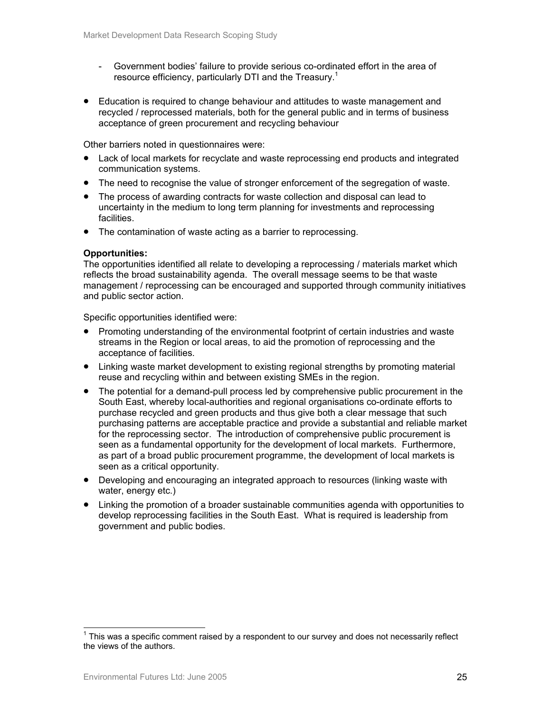- Government bodies' failure to provide serious co-ordinated effort in the area of resource efficiency, particularly DTI and the Treasury.<sup>1</sup>
- Education is required to change behaviour and attitudes to waste management and recycled / reprocessed materials, both for the general public and in terms of business acceptance of green procurement and recycling behaviour

Other barriers noted in questionnaires were:

- Lack of local markets for recyclate and waste reprocessing end products and integrated communication systems.
- The need to recognise the value of stronger enforcement of the segregation of waste.
- The process of awarding contracts for waste collection and disposal can lead to uncertainty in the medium to long term planning for investments and reprocessing facilities.
- The contamination of waste acting as a barrier to reprocessing.

#### **Opportunities:**

The opportunities identified all relate to developing a reprocessing / materials market which reflects the broad sustainability agenda. The overall message seems to be that waste management / reprocessing can be encouraged and supported through community initiatives and public sector action.

Specific opportunities identified were:

- Promoting understanding of the environmental footprint of certain industries and waste streams in the Region or local areas, to aid the promotion of reprocessing and the acceptance of facilities.
- Linking waste market development to existing regional strengths by promoting material reuse and recycling within and between existing SMEs in the region.
- The potential for a demand-pull process led by comprehensive public procurement in the South East, whereby local-authorities and regional organisations co-ordinate efforts to purchase recycled and green products and thus give both a clear message that such purchasing patterns are acceptable practice and provide a substantial and reliable market for the reprocessing sector. The introduction of comprehensive public procurement is seen as a fundamental opportunity for the development of local markets. Furthermore, as part of a broad public procurement programme, the development of local markets is seen as a critical opportunity.
- Developing and encouraging an integrated approach to resources (linking waste with water, energy etc.)
- Linking the promotion of a broader sustainable communities agenda with opportunities to develop reprocessing facilities in the South East. What is required is leadership from government and public bodies.

 $\overline{a}$ 

 $1$  This was a specific comment raised by a respondent to our survey and does not necessarily reflect the views of the authors.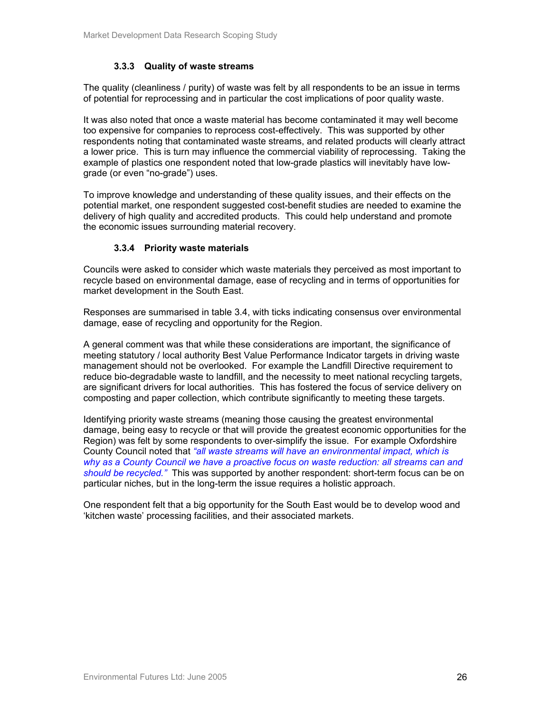## **3.3.3 Quality of waste streams**

The quality (cleanliness / purity) of waste was felt by all respondents to be an issue in terms of potential for reprocessing and in particular the cost implications of poor quality waste.

It was also noted that once a waste material has become contaminated it may well become too expensive for companies to reprocess cost-effectively. This was supported by other respondents noting that contaminated waste streams, and related products will clearly attract a lower price. This is turn may influence the commercial viability of reprocessing. Taking the example of plastics one respondent noted that low-grade plastics will inevitably have lowgrade (or even "no-grade") uses.

To improve knowledge and understanding of these quality issues, and their effects on the potential market, one respondent suggested cost-benefit studies are needed to examine the delivery of high quality and accredited products. This could help understand and promote the economic issues surrounding material recovery.

## **3.3.4 Priority waste materials**

Councils were asked to consider which waste materials they perceived as most important to recycle based on environmental damage, ease of recycling and in terms of opportunities for market development in the South East.

Responses are summarised in table 3.4, with ticks indicating consensus over environmental damage, ease of recycling and opportunity for the Region.

A general comment was that while these considerations are important, the significance of meeting statutory / local authority Best Value Performance Indicator targets in driving waste management should not be overlooked. For example the Landfill Directive requirement to reduce bio-degradable waste to landfill, and the necessity to meet national recycling targets, are significant drivers for local authorities. This has fostered the focus of service delivery on composting and paper collection, which contribute significantly to meeting these targets.

Identifying priority waste streams (meaning those causing the greatest environmental damage, being easy to recycle or that will provide the greatest economic opportunities for the Region) was felt by some respondents to over-simplify the issue. For example Oxfordshire County Council noted that *"all waste streams will have an environmental impact, which is why as a County Council we have a proactive focus on waste reduction: all streams can and should be recycled."* This was supported by another respondent: short-term focus can be on particular niches, but in the long-term the issue requires a holistic approach.

One respondent felt that a big opportunity for the South East would be to develop wood and 'kitchen waste' processing facilities, and their associated markets.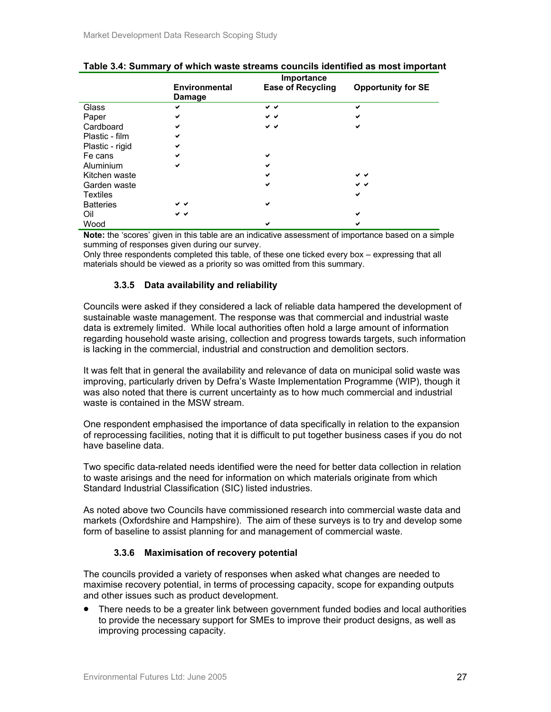|                  | Importance                     |                          |                           |  |  |
|------------------|--------------------------------|--------------------------|---------------------------|--|--|
|                  | <b>Environmental</b><br>Damage | <b>Ease of Recycling</b> | <b>Opportunity for SE</b> |  |  |
| Glass            | ✔                              | v v                      | ✔                         |  |  |
| Paper            | ✔                              | v v                      | ✔                         |  |  |
| Cardboard        | ✓                              | v v                      | ✔                         |  |  |
| Plastic - film   | ✔                              |                          |                           |  |  |
| Plastic - rigid  | ✔                              |                          |                           |  |  |
| Fe cans          | ✔                              | ✓                        |                           |  |  |
| Aluminium        | ✔                              | ✔                        |                           |  |  |
| Kitchen waste    |                                | ✔                        | v v                       |  |  |
| Garden waste     |                                | ✔                        | v v                       |  |  |
| <b>Textiles</b>  |                                |                          | $\checkmark$              |  |  |
| <b>Batteries</b> | v v                            | ✔                        |                           |  |  |
| Oil              | v v                            |                          | ✔                         |  |  |
| Wood             |                                | ✔                        | ✔                         |  |  |

|  | Table 3.4: Summary of which waste streams councils identified as most important |  |  |
|--|---------------------------------------------------------------------------------|--|--|
|--|---------------------------------------------------------------------------------|--|--|

**Note:** the 'scores' given in this table are an indicative assessment of importance based on a simple summing of responses given during our survey.

Only three respondents completed this table, of these one ticked every box – expressing that all materials should be viewed as a priority so was omitted from this summary.

## **3.3.5 Data availability and reliability**

Councils were asked if they considered a lack of reliable data hampered the development of sustainable waste management. The response was that commercial and industrial waste data is extremely limited. While local authorities often hold a large amount of information regarding household waste arising, collection and progress towards targets, such information is lacking in the commercial, industrial and construction and demolition sectors.

It was felt that in general the availability and relevance of data on municipal solid waste was improving, particularly driven by Defra's Waste Implementation Programme (WIP), though it was also noted that there is current uncertainty as to how much commercial and industrial waste is contained in the MSW stream.

One respondent emphasised the importance of data specifically in relation to the expansion of reprocessing facilities, noting that it is difficult to put together business cases if you do not have baseline data.

Two specific data-related needs identified were the need for better data collection in relation to waste arisings and the need for information on which materials originate from which Standard Industrial Classification (SIC) listed industries.

As noted above two Councils have commissioned research into commercial waste data and markets (Oxfordshire and Hampshire). The aim of these surveys is to try and develop some form of baseline to assist planning for and management of commercial waste.

## **3.3.6 Maximisation of recovery potential**

The councils provided a variety of responses when asked what changes are needed to maximise recovery potential, in terms of processing capacity, scope for expanding outputs and other issues such as product development.

• There needs to be a greater link between government funded bodies and local authorities to provide the necessary support for SMEs to improve their product designs, as well as improving processing capacity.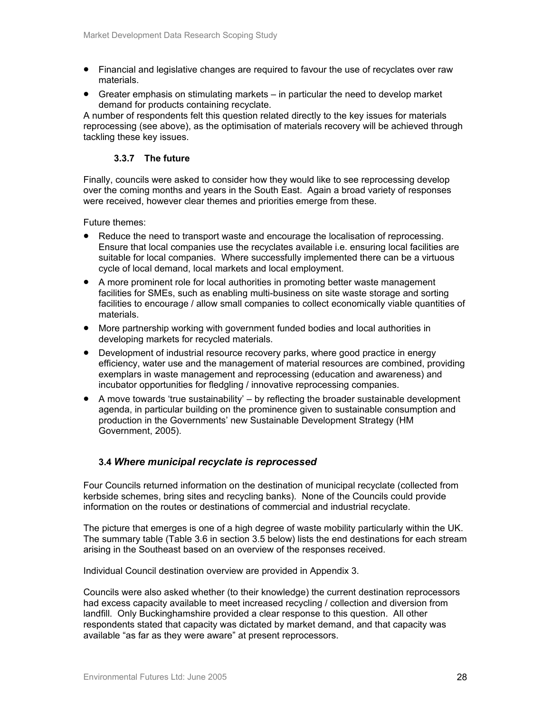- Financial and legislative changes are required to favour the use of recyclates over raw materials.
- Greater emphasis on stimulating markets in particular the need to develop market demand for products containing recyclate.

A number of respondents felt this question related directly to the key issues for materials reprocessing (see above), as the optimisation of materials recovery will be achieved through tackling these key issues.

## **3.3.7 The future**

Finally, councils were asked to consider how they would like to see reprocessing develop over the coming months and years in the South East. Again a broad variety of responses were received, however clear themes and priorities emerge from these.

Future themes:

- Reduce the need to transport waste and encourage the localisation of reprocessing. Ensure that local companies use the recyclates available i.e. ensuring local facilities are suitable for local companies. Where successfully implemented there can be a virtuous cycle of local demand, local markets and local employment.
- A more prominent role for local authorities in promoting better waste management facilities for SMEs, such as enabling multi-business on site waste storage and sorting facilities to encourage / allow small companies to collect economically viable quantities of materials.
- More partnership working with government funded bodies and local authorities in developing markets for recycled materials.
- Development of industrial resource recovery parks, where good practice in energy efficiency, water use and the management of material resources are combined, providing exemplars in waste management and reprocessing (education and awareness) and incubator opportunities for fledgling / innovative reprocessing companies.
- $\bullet$  A move towards 'true sustainability' by reflecting the broader sustainable development agenda, in particular building on the prominence given to sustainable consumption and production in the Governments' new Sustainable Development Strategy (HM Government, 2005).

## **3.4** *Where municipal recyclate is reprocessed*

Four Councils returned information on the destination of municipal recyclate (collected from kerbside schemes, bring sites and recycling banks). None of the Councils could provide information on the routes or destinations of commercial and industrial recyclate.

The picture that emerges is one of a high degree of waste mobility particularly within the UK. The summary table (Table 3.6 in section 3.5 below) lists the end destinations for each stream arising in the Southeast based on an overview of the responses received.

Individual Council destination overview are provided in Appendix 3.

Councils were also asked whether (to their knowledge) the current destination reprocessors had excess capacity available to meet increased recycling / collection and diversion from landfill. Only Buckinghamshire provided a clear response to this question. All other respondents stated that capacity was dictated by market demand, and that capacity was available "as far as they were aware" at present reprocessors.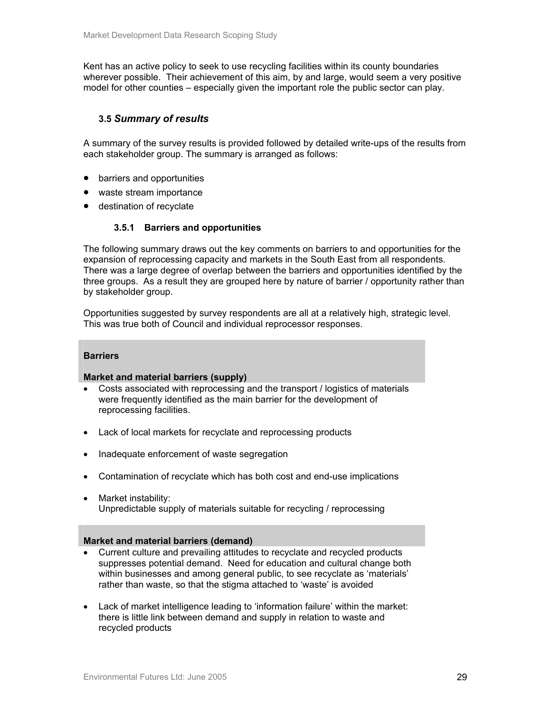Kent has an active policy to seek to use recycling facilities within its county boundaries wherever possible. Their achievement of this aim, by and large, would seem a very positive model for other counties – especially given the important role the public sector can play.

## **3.5** *Summary of results*

A summary of the survey results is provided followed by detailed write-ups of the results from each stakeholder group. The summary is arranged as follows:

- barriers and opportunities
- waste stream importance
- destination of recyclate

## **3.5.1 Barriers and opportunities**

The following summary draws out the key comments on barriers to and opportunities for the expansion of reprocessing capacity and markets in the South East from all respondents. There was a large degree of overlap between the barriers and opportunities identified by the three groups. As a result they are grouped here by nature of barrier / opportunity rather than by stakeholder group.

Opportunities suggested by survey respondents are all at a relatively high, strategic level. This was true both of Council and individual reprocessor responses.

#### **Barriers**

#### **Market and material barriers (supply)**

- Costs associated with reprocessing and the transport / logistics of materials were frequently identified as the main barrier for the development of reprocessing facilities.
- Lack of local markets for recyclate and reprocessing products
- Inadequate enforcement of waste segregation
- Contamination of recyclate which has both cost and end-use implications
- Market instability: Unpredictable supply of materials suitable for recycling / reprocessing

#### **Market and material barriers (demand)**

- Current culture and prevailing attitudes to recyclate and recycled products suppresses potential demand. Need for education and cultural change both within businesses and among general public, to see recyclate as 'materials' rather than waste, so that the stigma attached to 'waste' is avoided
- Lack of market intelligence leading to 'information failure' within the market: there is little link between demand and supply in relation to waste and recycled products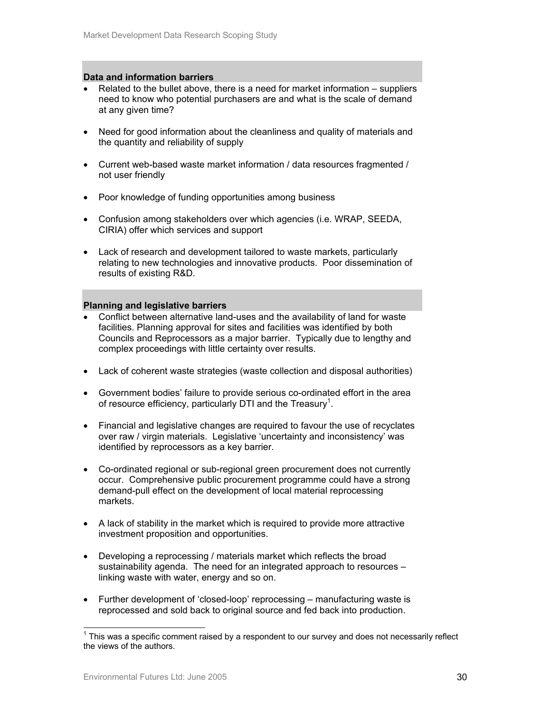#### **Data and information barriers**

- Related to the bullet above, there is a need for market information suppliers need to know who potential purchasers are and what is the scale of demand at any given time?
- Need for good information about the cleanliness and quality of materials and the quantity and reliability of supply
- Current web-based waste market information / data resources fragmented / not user friendly
- Poor knowledge of funding opportunities among business
- Confusion among stakeholders over which agencies (i.e. WRAP, SEEDA, CIRIA) offer which services and support
- Lack of research and development tailored to waste markets, particularly relating to new technologies and innovative products. Poor dissemination of results of existing R&D.

#### **Planning and legislative barriers**

- Conflict between alternative land-uses and the availability of land for waste facilities. Planning approval for sites and facilities was identified by both Councils and Reprocessors as a major barrier. Typically due to lengthy and complex proceedings with little certainty over results.
- Lack of coherent waste strategies (waste collection and disposal authorities)
- Government bodies' failure to provide serious co-ordinated effort in the area of resource efficiency, particularly DTI and the Treasury<sup>1</sup>.
- Financial and legislative changes are required to favour the use of recyclates over raw / virgin materials. Legislative 'uncertainty and inconsistency' was identified by reprocessors as a key barrier.
- Co-ordinated regional or sub-regional green procurement does not currently occur. Comprehensive public procurement programme could have a strong demand-pull effect on the development of local material reprocessing markets.
- A lack of stability in the market which is required to provide more attractive investment proposition and opportunities.
- Developing a reprocessing / materials market which reflects the broad sustainability agenda. The need for an integrated approach to resources – linking waste with water, energy and so on.
- Further development of 'closed-loop' reprocessing manufacturing waste is reprocessed and sold back to original source and fed back into production.

 1 This was a specific comment raised by a respondent to our survey and does not necessarily reflect the views of the authors.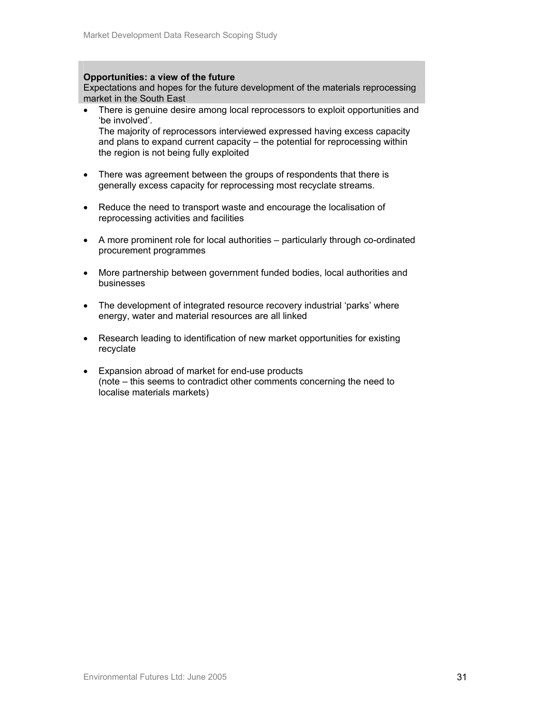#### **Opportunities: a view of the future**

Expectations and hopes for the future development of the materials reprocessing market in the South East

• There is genuine desire among local reprocessors to exploit opportunities and 'be involved'. The majority of reprocessors interviewed expressed having excess capacity

and plans to expand current capacity – the potential for reprocessing within the region is not being fully exploited

- There was agreement between the groups of respondents that there is generally excess capacity for reprocessing most recyclate streams.
- Reduce the need to transport waste and encourage the localisation of reprocessing activities and facilities
- A more prominent role for local authorities particularly through co-ordinated procurement programmes
- More partnership between government funded bodies, local authorities and businesses
- The development of integrated resource recovery industrial 'parks' where energy, water and material resources are all linked
- Research leading to identification of new market opportunities for existing recyclate
- Expansion abroad of market for end-use products (note – this seems to contradict other comments concerning the need to localise materials markets)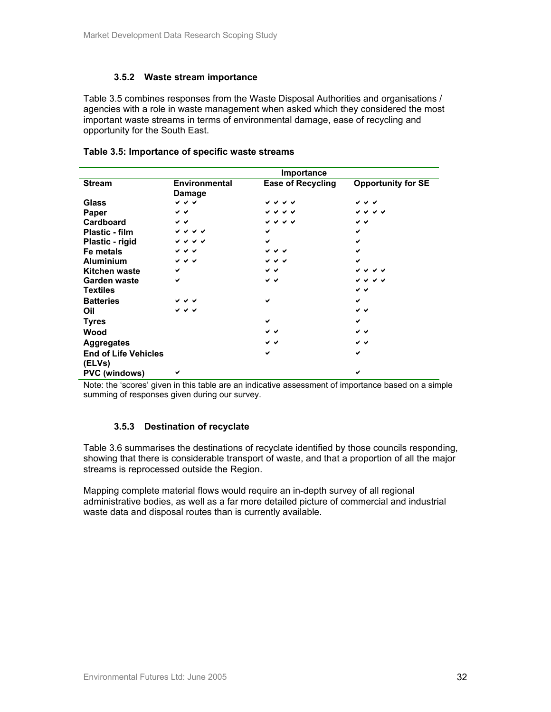## **3.5.2 Waste stream importance**

Table 3.5 combines responses from the Waste Disposal Authorities and organisations / agencies with a role in waste management when asked which they considered the most important waste streams in terms of environmental damage, ease of recycling and opportunity for the South East.

|                                       | Importance                            |                          |                           |  |
|---------------------------------------|---------------------------------------|--------------------------|---------------------------|--|
| <b>Stream</b>                         | <b>Environmental</b><br><b>Damage</b> | <b>Ease of Recycling</b> | <b>Opportunity for SE</b> |  |
| Glass                                 | レッシ                                   | シンシン                     | シンソ                       |  |
| Paper                                 | v v                                   | ひひひび                     | ひひひび                      |  |
| Cardboard                             | v v                                   | シンシン                     | v v                       |  |
| <b>Plastic - film</b>                 | シンソン                                  | ✔                        | ✔                         |  |
| Plastic - rigid                       | シンソン                                  | ✔                        | ✔                         |  |
| Fe metals                             | マママ                                   | シンジ                      |                           |  |
| <b>Aluminium</b>                      | <b>↓ ↓ ↓</b>                          | シンシ                      | ✔                         |  |
| <b>Kitchen waste</b>                  | ✔                                     | v v                      | v v                       |  |
| <b>Garden waste</b>                   | $\checkmark$                          | v v                      | ひひひび                      |  |
| <b>Textiles</b>                       |                                       |                          | v v                       |  |
| <b>Batteries</b>                      | — →                                   | ✔                        | ✓                         |  |
| Oil                                   | いびび                                   |                          | v v                       |  |
| <b>Tyres</b>                          |                                       | ✔                        | ✔                         |  |
| Wood                                  |                                       | v v                      | v v                       |  |
| <b>Aggregates</b>                     |                                       | v v                      | v v                       |  |
| <b>End of Life Vehicles</b><br>(ELVs) |                                       | ✔                        | ✔                         |  |
| <b>PVC</b> (windows)                  | ✔                                     |                          | ✔                         |  |

#### **Table 3.5: Importance of specific waste streams**

Note: the 'scores' given in this table are an indicative assessment of importance based on a simple summing of responses given during our survey.

## **3.5.3 Destination of recyclate**

Table 3.6 summarises the destinations of recyclate identified by those councils responding, showing that there is considerable transport of waste, and that a proportion of all the major streams is reprocessed outside the Region.

Mapping complete material flows would require an in-depth survey of all regional administrative bodies, as well as a far more detailed picture of commercial and industrial waste data and disposal routes than is currently available.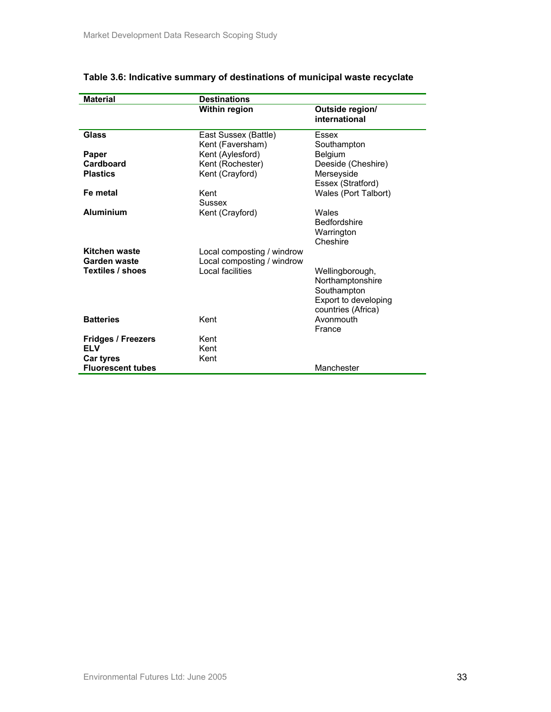| <b>Material</b>           | <b>Destinations</b>        |                                  |
|---------------------------|----------------------------|----------------------------------|
|                           | Within region              | Outside region/<br>international |
| Glass                     | East Sussex (Battle)       | Essex                            |
|                           | Kent (Faversham)           | Southampton                      |
| Paper                     | Kent (Aylesford)           | <b>Belgium</b>                   |
| Cardboard                 | Kent (Rochester)           | Deeside (Cheshire)               |
| <b>Plastics</b>           | Kent (Crayford)            | Merseyside                       |
|                           |                            | Essex (Stratford)                |
| Fe metal                  | Kent                       | Wales (Port Talbort)             |
|                           | Sussex                     |                                  |
| <b>Aluminium</b>          | Kent (Crayford)            | Wales                            |
|                           |                            | <b>Bedfordshire</b>              |
|                           |                            | Warrington                       |
|                           |                            | Cheshire                         |
| Kitchen waste             | Local composting / windrow |                                  |
| Garden waste              | Local composting / windrow |                                  |
| Textiles / shoes          | Local facilities           | Wellingborough,                  |
|                           |                            | Northamptonshire                 |
|                           |                            | Southampton                      |
|                           |                            | Export to developing             |
|                           |                            | countries (Africa)               |
| <b>Batteries</b>          | Kent                       | Avonmouth                        |
|                           |                            | France                           |
| <b>Fridges / Freezers</b> | Kent                       |                                  |
| <b>ELV</b>                | Kent                       |                                  |
| <b>Car tyres</b>          | Kent                       |                                  |
| <b>Fluorescent tubes</b>  |                            | Manchester                       |

## **Table 3.6: Indicative summary of destinations of municipal waste recyclate**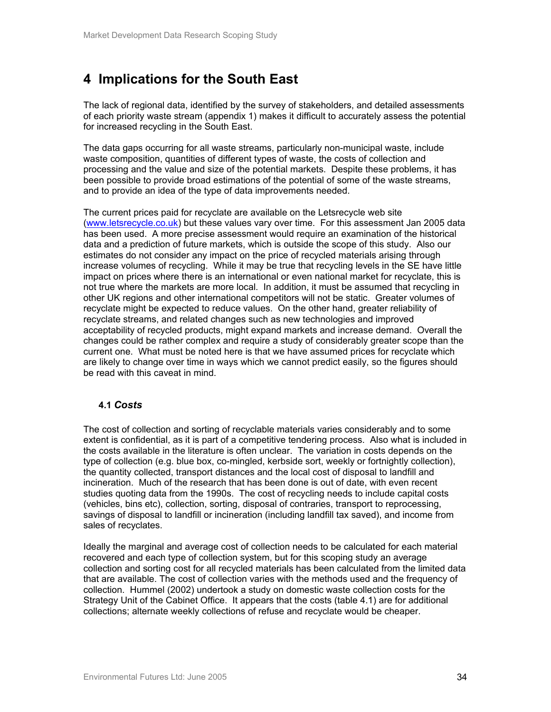## **4 Implications for the South East**

The lack of regional data, identified by the survey of stakeholders, and detailed assessments of each priority waste stream (appendix 1) makes it difficult to accurately assess the potential for increased recycling in the South East.

The data gaps occurring for all waste streams, particularly non-municipal waste, include waste composition, quantities of different types of waste, the costs of collection and processing and the value and size of the potential markets. Despite these problems, it has been possible to provide broad estimations of the potential of some of the waste streams, and to provide an idea of the type of data improvements needed.

The current prices paid for recyclate are available on the Letsrecycle web site (www.letsrecycle.co.uk) but these values vary over time. For this assessment Jan 2005 data has been used. A more precise assessment would require an examination of the historical data and a prediction of future markets, which is outside the scope of this study. Also our estimates do not consider any impact on the price of recycled materials arising through increase volumes of recycling. While it may be true that recycling levels in the SE have little impact on prices where there is an international or even national market for recyclate, this is not true where the markets are more local. In addition, it must be assumed that recycling in other UK regions and other international competitors will not be static. Greater volumes of recyclate might be expected to reduce values. On the other hand, greater reliability of recyclate streams, and related changes such as new technologies and improved acceptability of recycled products, might expand markets and increase demand. Overall the changes could be rather complex and require a study of considerably greater scope than the current one. What must be noted here is that we have assumed prices for recyclate which are likely to change over time in ways which we cannot predict easily, so the figures should be read with this caveat in mind.

## **4.1** *Costs*

The cost of collection and sorting of recyclable materials varies considerably and to some extent is confidential, as it is part of a competitive tendering process. Also what is included in the costs available in the literature is often unclear. The variation in costs depends on the type of collection (e.g. blue box, co-mingled, kerbside sort, weekly or fortnightly collection), the quantity collected, transport distances and the local cost of disposal to landfill and incineration. Much of the research that has been done is out of date, with even recent studies quoting data from the 1990s. The cost of recycling needs to include capital costs (vehicles, bins etc), collection, sorting, disposal of contraries, transport to reprocessing, savings of disposal to landfill or incineration (including landfill tax saved), and income from sales of recyclates.

Ideally the marginal and average cost of collection needs to be calculated for each material recovered and each type of collection system, but for this scoping study an average collection and sorting cost for all recycled materials has been calculated from the limited data that are available. The cost of collection varies with the methods used and the frequency of collection. Hummel (2002) undertook a study on domestic waste collection costs for the Strategy Unit of the Cabinet Office. It appears that the costs (table 4.1) are for additional collections; alternate weekly collections of refuse and recyclate would be cheaper.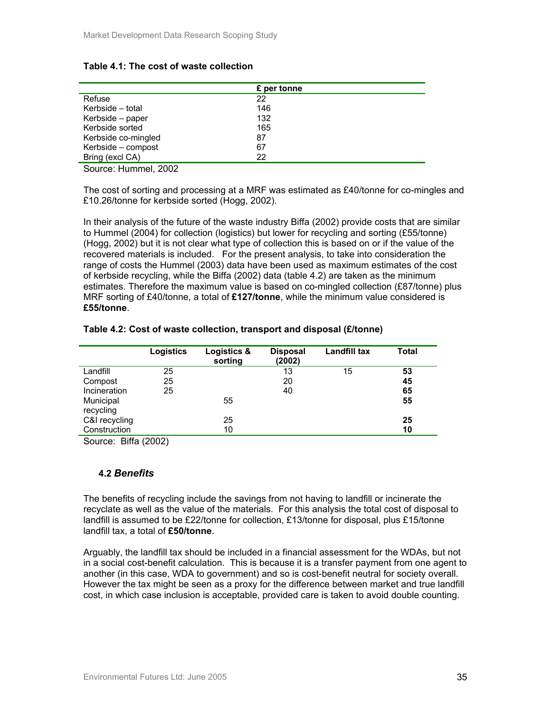## **Table 4.1: The cost of waste collection**

|                     | £ per tonne |
|---------------------|-------------|
| Refuse              | 22          |
| Kerbside - total    | 146         |
| Kerbside – paper    | 132         |
| Kerbside sorted     | 165         |
| Kerbside co-mingled | 87          |
| Kerbside - compost  | 67          |
| Bring (excl CA)     | 22          |

Source: Hummel, 2002

The cost of sorting and processing at a MRF was estimated as £40/tonne for co-mingles and £10.26/tonne for kerbside sorted (Hogg, 2002).

In their analysis of the future of the waste industry Biffa (2002) provide costs that are similar to Hummel (2004) for collection (logistics) but lower for recycling and sorting (£55/tonne) (Hogg, 2002) but it is not clear what type of collection this is based on or if the value of the recovered materials is included. For the present analysis, to take into consideration the range of costs the Hummel (2003) data have been used as maximum estimates of the cost of kerbside recycling, while the Biffa (2002) data (table 4.2) are taken as the minimum estimates. Therefore the maximum value is based on co-mingled collection (£87/tonne) plus MRF sorting of £40/tonne, a total of **£127/tonne**, while the minimum value considered is **£55/tonne**.

## **Table 4.2: Cost of waste collection, transport and disposal (£/tonne)**

|                        | <b>Logistics</b> | Logistics &<br>sorting | <b>Disposal</b><br>(2002) | Landfill tax | <b>Total</b> |
|------------------------|------------------|------------------------|---------------------------|--------------|--------------|
| Landfill               | 25               |                        | 13                        | 15           | 53           |
| Compost                | 25               |                        | 20                        |              | 45           |
| Incineration           | 25               |                        | 40                        |              | 65           |
| Municipal<br>recycling |                  | 55                     |                           |              | 55           |
| C&I recycling          |                  | 25                     |                           |              | 25           |
| Construction           |                  | 10                     |                           |              | 10           |

Source: Biffa (2002)

## **4.2** *Benefits*

The benefits of recycling include the savings from not having to landfill or incinerate the recyclate as well as the value of the materials. For this analysis the total cost of disposal to landfill is assumed to be £22/tonne for collection, £13/tonne for disposal, plus £15/tonne landfill tax, a total of **£50/tonne**.

Arguably, the landfill tax should be included in a financial assessment for the WDAs, but not in a social cost-benefit calculation. This is because it is a transfer payment from one agent to another (in this case, WDA to government) and so is cost-benefit neutral for society overall. However the tax might be seen as a proxy for the difference between market and true landfill cost, in which case inclusion is acceptable, provided care is taken to avoid double counting.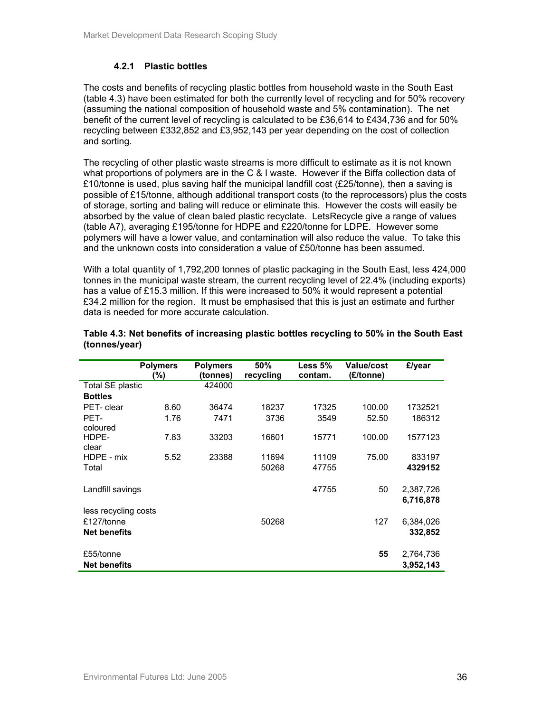## **4.2.1 Plastic bottles**

The costs and benefits of recycling plastic bottles from household waste in the South East (table 4.3) have been estimated for both the currently level of recycling and for 50% recovery (assuming the national composition of household waste and 5% contamination). The net benefit of the current level of recycling is calculated to be £36,614 to £434,736 and for 50% recycling between £332,852 and £3,952,143 per year depending on the cost of collection and sorting.

The recycling of other plastic waste streams is more difficult to estimate as it is not known what proportions of polymers are in the C & I waste. However if the Biffa collection data of £10/tonne is used, plus saving half the municipal landfill cost (£25/tonne), then a saving is possible of £15/tonne, although additional transport costs (to the reprocessors) plus the costs of storage, sorting and baling will reduce or eliminate this. However the costs will easily be absorbed by the value of clean baled plastic recyclate. LetsRecycle give a range of values (table A7), averaging £195/tonne for HDPE and £220/tonne for LDPE. However some polymers will have a lower value, and contamination will also reduce the value. To take this and the unknown costs into consideration a value of £50/tonne has been assumed.

With a total quantity of 1,792,200 tonnes of plastic packaging in the South East, less 424,000 tonnes in the municipal waste stream, the current recycling level of 22.4% (including exports) has a value of £15.3 million. If this were increased to 50% it would represent a potential £34.2 million for the region. It must be emphasised that this is just an estimate and further data is needed for more accurate calculation.

|                         | <b>Polymers</b><br>(%) | <b>Polymers</b><br>(tonnes) | 50%<br>recycling | Less 5%<br>contam. | <b>Value/cost</b><br>(£/tonne) | £/year    |
|-------------------------|------------------------|-----------------------------|------------------|--------------------|--------------------------------|-----------|
| <b>Total SE plastic</b> |                        | 424000                      |                  |                    |                                |           |
| <b>Bottles</b>          |                        |                             |                  |                    |                                |           |
| PET- clear              | 8.60                   | 36474                       | 18237            | 17325              | 100.00                         | 1732521   |
| PET-                    | 1.76                   | 7471                        | 3736             | 3549               | 52.50                          | 186312    |
| coloured                |                        |                             |                  |                    |                                |           |
| HDPE-                   | 7.83                   | 33203                       | 16601            | 15771              | 100.00                         | 1577123   |
| clear                   |                        |                             |                  |                    |                                |           |
| HDPE - mix              | 5.52                   | 23388                       | 11694            | 11109              | 75.00                          | 833197    |
| Total                   |                        |                             | 50268            | 47755              |                                | 4329152   |
|                         |                        |                             |                  |                    |                                |           |
| Landfill savings        |                        |                             |                  | 47755              | 50                             | 2,387,726 |
|                         |                        |                             |                  |                    |                                | 6,716,878 |
| less recycling costs    |                        |                             |                  |                    |                                |           |
| £127/tonne              |                        |                             | 50268            |                    | 127                            | 6,384,026 |
| <b>Net benefits</b>     |                        |                             |                  |                    |                                | 332,852   |
|                         |                        |                             |                  |                    |                                |           |
| £55/tonne               |                        |                             |                  |                    | 55                             | 2,764,736 |
| <b>Net benefits</b>     |                        |                             |                  |                    |                                | 3,952,143 |

#### **Table 4.3: Net benefits of increasing plastic bottles recycling to 50% in the South East (tonnes/year)**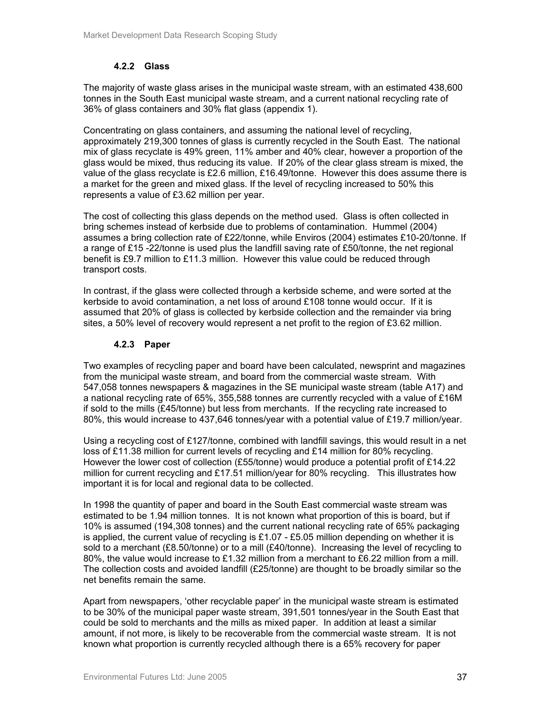## **4.2.2 Glass**

The majority of waste glass arises in the municipal waste stream, with an estimated 438,600 tonnes in the South East municipal waste stream, and a current national recycling rate of 36% of glass containers and 30% flat glass (appendix 1).

Concentrating on glass containers, and assuming the national level of recycling, approximately 219,300 tonnes of glass is currently recycled in the South East. The national mix of glass recyclate is 49% green, 11% amber and 40% clear, however a proportion of the glass would be mixed, thus reducing its value. If 20% of the clear glass stream is mixed, the value of the glass recyclate is £2.6 million, £16.49/tonne. However this does assume there is a market for the green and mixed glass. If the level of recycling increased to 50% this represents a value of £3.62 million per year.

The cost of collecting this glass depends on the method used. Glass is often collected in bring schemes instead of kerbside due to problems of contamination. Hummel (2004) assumes a bring collection rate of £22/tonne, while Enviros (2004) estimates £10-20/tonne. If a range of £15 -22/tonne is used plus the landfill saving rate of £50/tonne, the net regional benefit is £9.7 million to £11.3 million. However this value could be reduced through transport costs.

In contrast, if the glass were collected through a kerbside scheme, and were sorted at the kerbside to avoid contamination, a net loss of around £108 tonne would occur. If it is assumed that 20% of glass is collected by kerbside collection and the remainder via bring sites, a 50% level of recovery would represent a net profit to the region of £3.62 million.

## **4.2.3 Paper**

Two examples of recycling paper and board have been calculated, newsprint and magazines from the municipal waste stream, and board from the commercial waste stream. With 547,058 tonnes newspapers & magazines in the SE municipal waste stream (table A17) and a national recycling rate of 65%, 355,588 tonnes are currently recycled with a value of £16M if sold to the mills (£45/tonne) but less from merchants. If the recycling rate increased to 80%, this would increase to 437,646 tonnes/year with a potential value of £19.7 million/year.

Using a recycling cost of £127/tonne, combined with landfill savings, this would result in a net loss of £11.38 million for current levels of recycling and £14 million for 80% recycling. However the lower cost of collection (£55/tonne) would produce a potential profit of £14.22 million for current recycling and £17.51 million/year for 80% recycling. This illustrates how important it is for local and regional data to be collected.

In 1998 the quantity of paper and board in the South East commercial waste stream was estimated to be 1.94 million tonnes. It is not known what proportion of this is board, but if 10% is assumed (194,308 tonnes) and the current national recycling rate of 65% packaging is applied, the current value of recycling is £1.07 - £5.05 million depending on whether it is sold to a merchant (£8.50/tonne) or to a mill (£40/tonne). Increasing the level of recycling to 80%, the value would increase to £1.32 million from a merchant to £6.22 million from a mill. The collection costs and avoided landfill (£25/tonne) are thought to be broadly similar so the net benefits remain the same.

Apart from newspapers, 'other recyclable paper' in the municipal waste stream is estimated to be 30% of the municipal paper waste stream, 391,501 tonnes/year in the South East that could be sold to merchants and the mills as mixed paper. In addition at least a similar amount, if not more, is likely to be recoverable from the commercial waste stream. It is not known what proportion is currently recycled although there is a 65% recovery for paper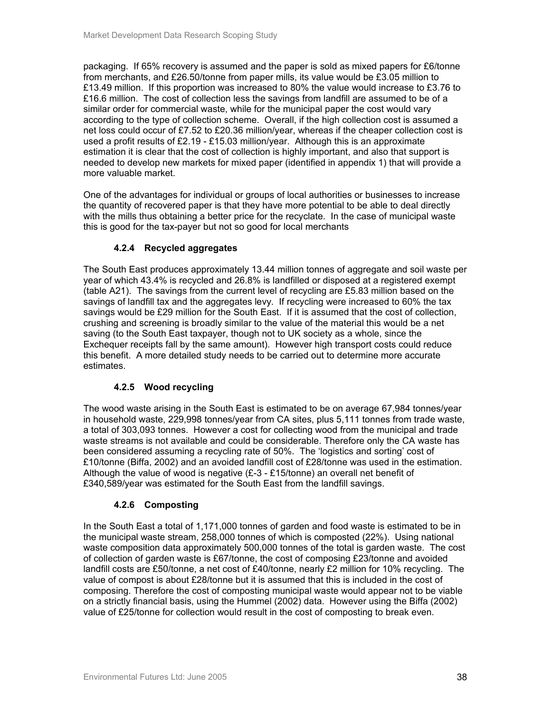packaging. If 65% recovery is assumed and the paper is sold as mixed papers for £6/tonne from merchants, and £26.50/tonne from paper mills, its value would be £3.05 million to £13.49 million. If this proportion was increased to 80% the value would increase to £3.76 to £16.6 million. The cost of collection less the savings from landfill are assumed to be of a similar order for commercial waste, while for the municipal paper the cost would vary according to the type of collection scheme. Overall, if the high collection cost is assumed a net loss could occur of £7.52 to £20.36 million/year, whereas if the cheaper collection cost is used a profit results of £2.19 - £15.03 million/year. Although this is an approximate estimation it is clear that the cost of collection is highly important, and also that support is needed to develop new markets for mixed paper (identified in appendix 1) that will provide a more valuable market.

One of the advantages for individual or groups of local authorities or businesses to increase the quantity of recovered paper is that they have more potential to be able to deal directly with the mills thus obtaining a better price for the recyclate. In the case of municipal waste this is good for the tax-payer but not so good for local merchants

## **4.2.4 Recycled aggregates**

The South East produces approximately 13.44 million tonnes of aggregate and soil waste per year of which 43.4% is recycled and 26.8% is landfilled or disposed at a registered exempt (table A21). The savings from the current level of recycling are £5.83 million based on the savings of landfill tax and the aggregates levy. If recycling were increased to 60% the tax savings would be £29 million for the South East. If it is assumed that the cost of collection, crushing and screening is broadly similar to the value of the material this would be a net saving (to the South East taxpayer, though not to UK society as a whole, since the Exchequer receipts fall by the same amount). However high transport costs could reduce this benefit. A more detailed study needs to be carried out to determine more accurate estimates.

## **4.2.5 Wood recycling**

The wood waste arising in the South East is estimated to be on average 67,984 tonnes/year in household waste, 229,998 tonnes/year from CA sites, plus 5,111 tonnes from trade waste, a total of 303,093 tonnes. However a cost for collecting wood from the municipal and trade waste streams is not available and could be considerable. Therefore only the CA waste has been considered assuming a recycling rate of 50%. The 'logistics and sorting' cost of £10/tonne (Biffa, 2002) and an avoided landfill cost of £28/tonne was used in the estimation. Although the value of wood is negative (£-3 - £15/tonne) an overall net benefit of £340,589/year was estimated for the South East from the landfill savings.

## **4.2.6 Composting**

In the South East a total of 1,171,000 tonnes of garden and food waste is estimated to be in the municipal waste stream, 258,000 tonnes of which is composted (22%). Using national waste composition data approximately 500,000 tonnes of the total is garden waste. The cost of collection of garden waste is £67/tonne, the cost of composing £23/tonne and avoided landfill costs are £50/tonne, a net cost of £40/tonne, nearly £2 million for 10% recycling. The value of compost is about £28/tonne but it is assumed that this is included in the cost of composing. Therefore the cost of composting municipal waste would appear not to be viable on a strictly financial basis, using the Hummel (2002) data. However using the Biffa (2002) value of £25/tonne for collection would result in the cost of composting to break even.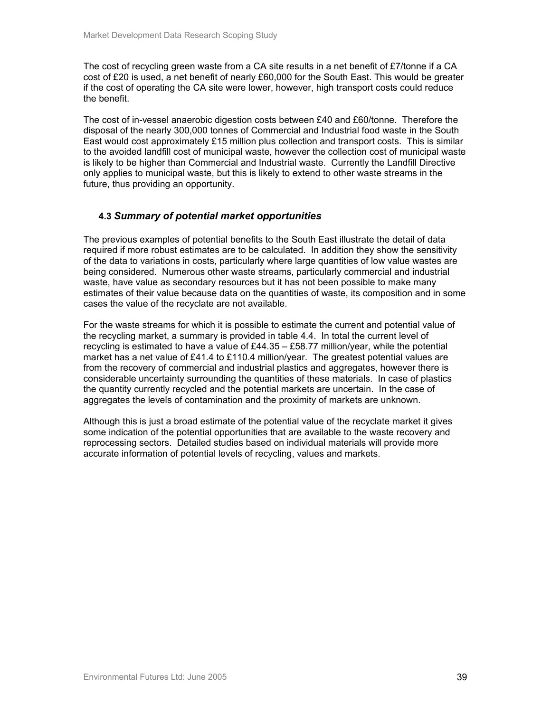The cost of recycling green waste from a CA site results in a net benefit of £7/tonne if a CA cost of £20 is used, a net benefit of nearly £60,000 for the South East. This would be greater if the cost of operating the CA site were lower, however, high transport costs could reduce the benefit.

The cost of in-vessel anaerobic digestion costs between £40 and £60/tonne. Therefore the disposal of the nearly 300,000 tonnes of Commercial and Industrial food waste in the South East would cost approximately £15 million plus collection and transport costs. This is similar to the avoided landfill cost of municipal waste, however the collection cost of municipal waste is likely to be higher than Commercial and Industrial waste. Currently the Landfill Directive only applies to municipal waste, but this is likely to extend to other waste streams in the future, thus providing an opportunity.

## **4.3** *Summary of potential market opportunities*

The previous examples of potential benefits to the South East illustrate the detail of data required if more robust estimates are to be calculated. In addition they show the sensitivity of the data to variations in costs, particularly where large quantities of low value wastes are being considered. Numerous other waste streams, particularly commercial and industrial waste, have value as secondary resources but it has not been possible to make many estimates of their value because data on the quantities of waste, its composition and in some cases the value of the recyclate are not available.

For the waste streams for which it is possible to estimate the current and potential value of the recycling market, a summary is provided in table 4.4. In total the current level of recycling is estimated to have a value of £44.35 – £58.77 million/year, while the potential market has a net value of £41.4 to £110.4 million/year. The greatest potential values are from the recovery of commercial and industrial plastics and aggregates, however there is considerable uncertainty surrounding the quantities of these materials. In case of plastics the quantity currently recycled and the potential markets are uncertain. In the case of aggregates the levels of contamination and the proximity of markets are unknown.

Although this is just a broad estimate of the potential value of the recyclate market it gives some indication of the potential opportunities that are available to the waste recovery and reprocessing sectors. Detailed studies based on individual materials will provide more accurate information of potential levels of recycling, values and markets.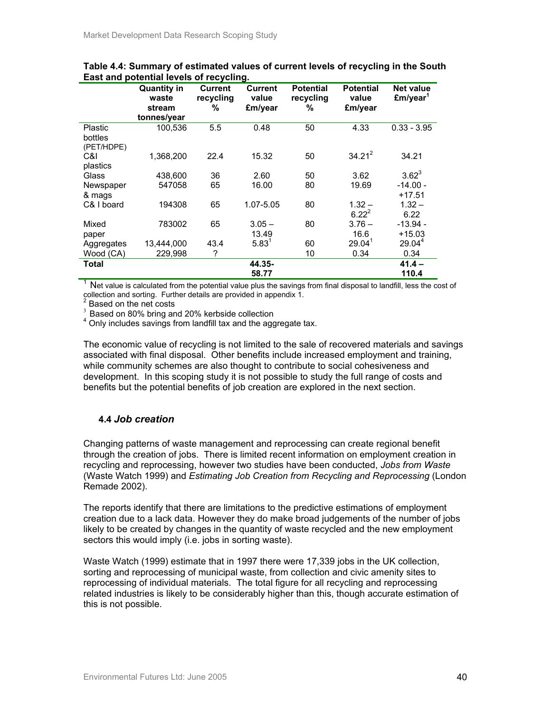|                                  | <b>Quantity in</b><br>waste<br>stream | <b>Current</b><br>recycling<br>% | Current<br>value<br>£m/year | <b>Potential</b><br>recycling<br>% | <b>Potential</b><br>value<br>£m/year | Net value<br>£m/year <sup>1</sup> |
|----------------------------------|---------------------------------------|----------------------------------|-----------------------------|------------------------------------|--------------------------------------|-----------------------------------|
|                                  | tonnes/year                           |                                  |                             |                                    |                                      |                                   |
| Plastic<br>bottles<br>(PET/HDPE) | 100,536                               | 5.5                              | 0.48                        | 50                                 | 4.33                                 | $0.33 - 3.95$                     |
| C&I<br>plastics                  | 1,368,200                             | 22.4                             | 15.32                       | 50                                 | $34.21^2$                            | 34.21                             |
| Glass                            | 438,600                               | 36                               | 2.60                        | 50                                 | 3.62                                 | $3.62^3$                          |
| Newspaper<br>& mags              | 547058                                | 65                               | 16.00                       | 80                                 | 19.69                                | $-14.00 -$<br>$+17.51$            |
| C& I board                       | 194308                                | 65                               | 1.07-5.05                   | 80                                 | $1.32 -$<br>$6.22^{2}$               | $1.32 -$<br>6.22                  |
| Mixed<br>paper                   | 783002                                | 65                               | $3.05 -$<br>13.49           | 80                                 | $3.76 -$<br>16.6                     | $-13.94 -$<br>$+15.03$            |
| Aggregates                       | 13.444.000                            | 43.4                             | $5.83^1$                    | 60                                 | 29.04 <sup>1</sup>                   | 29.04 <sup>4</sup>                |
| Wood (CA)                        | 229.998                               | ?                                |                             | 10                                 | 0.34                                 | 0.34                              |
| Total                            |                                       |                                  | 44.35-                      |                                    |                                      | $41.4 -$                          |
|                                  |                                       |                                  | 58.77                       |                                    |                                      | 110.4                             |

**Table 4.4: Summary of estimated values of current levels of recycling in the South East and potential levels of recycling.** 

 $1$  Net value is calculated from the potential value plus the savings from final disposal to landfill, less the cost of collection and sorting. Further details are provided in appendix 1.<br><sup>2</sup> Beased an the not soote

Based on the net costs

Based on 80% bring and 20% kerbside collection

<sup>4</sup> Only includes savings from landfill tax and the aggregate tax.

The economic value of recycling is not limited to the sale of recovered materials and savings associated with final disposal. Other benefits include increased employment and training, while community schemes are also thought to contribute to social cohesiveness and development. In this scoping study it is not possible to study the full range of costs and benefits but the potential benefits of job creation are explored in the next section.

## **4.4** *Job creation*

Changing patterns of waste management and reprocessing can create regional benefit through the creation of jobs. There is limited recent information on employment creation in recycling and reprocessing, however two studies have been conducted, *Jobs from Waste* (Waste Watch 1999) and *Estimating Job Creation from Recycling and Reprocessing* (London Remade 2002).

The reports identify that there are limitations to the predictive estimations of employment creation due to a lack data. However they do make broad judgements of the number of jobs likely to be created by changes in the quantity of waste recycled and the new employment sectors this would imply (i.e. jobs in sorting waste).

Waste Watch (1999) estimate that in 1997 there were 17,339 jobs in the UK collection, sorting and reprocessing of municipal waste, from collection and civic amenity sites to reprocessing of individual materials. The total figure for all recycling and reprocessing related industries is likely to be considerably higher than this, though accurate estimation of this is not possible.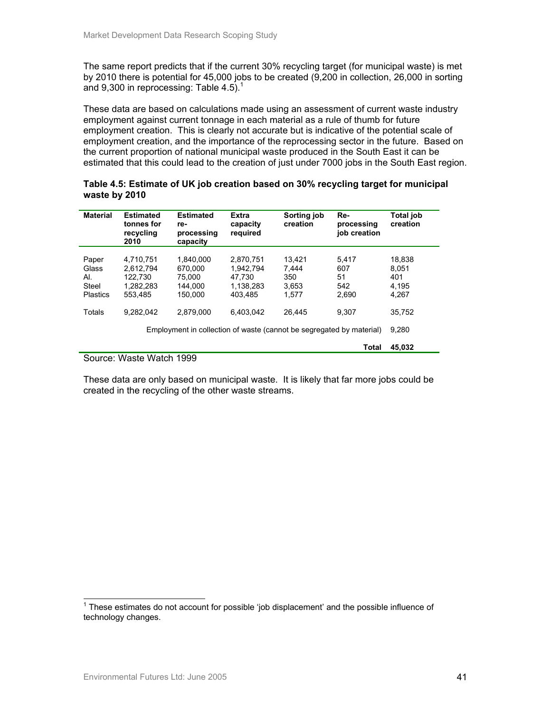The same report predicts that if the current 30% recycling target (for municipal waste) is met by 2010 there is potential for 45,000 jobs to be created (9,200 in collection, 26,000 in sorting and 9,300 in reprocessing: Table 4.5).<sup>1</sup>

These data are based on calculations made using an assessment of current waste industry employment against current tonnage in each material as a rule of thumb for future employment creation. This is clearly not accurate but is indicative of the potential scale of employment creation, and the importance of the reprocessing sector in the future. Based on the current proportion of national municipal waste produced in the South East it can be estimated that this could lead to the creation of just under 7000 jobs in the South East region.

| <b>Material</b>                                   | <b>Estimated</b><br>tonnes for<br>recycling<br>2010                                                                            | <b>Estimated</b><br>re-<br>processing<br>capacity    | <b>Extra</b><br>capacity<br>required                     | Sorting job<br>creation                  | Re-<br>processing<br>iob creation  | <b>Total job</b><br>creation             |
|---------------------------------------------------|--------------------------------------------------------------------------------------------------------------------------------|------------------------------------------------------|----------------------------------------------------------|------------------------------------------|------------------------------------|------------------------------------------|
| Paper<br>Glass<br>AI.<br>Steel<br><b>Plastics</b> | 4.710.751<br>2.612.794<br>122,730<br>1.282.283<br>553.485                                                                      | 1,840,000<br>670.000<br>75.000<br>144.000<br>150.000 | 2.870.751<br>1.942.794<br>47.730<br>1.138.283<br>403.485 | 13.421<br>7.444<br>350<br>3,653<br>1.577 | 5.417<br>607<br>51<br>542<br>2,690 | 18.838<br>8.051<br>401<br>4.195<br>4,267 |
| Totals                                            | 9.282.042<br>6.403.042<br>2.879.000<br>26.445<br>9.307<br>Employment in collection of waste (cannot be segregated by material) |                                                      |                                                          |                                          |                                    | 35.752<br>9.280                          |
|                                                   |                                                                                                                                |                                                      |                                                          |                                          | Total                              | 45,032                                   |

## **Table 4.5: Estimate of UK job creation based on 30% recycling target for municipal waste by 2010**

#### Source: Waste Watch 1999

These data are only based on municipal waste. It is likely that far more jobs could be created in the recycling of the other waste streams.

l  $1$  These estimates do not account for possible 'job displacement' and the possible influence of technology changes.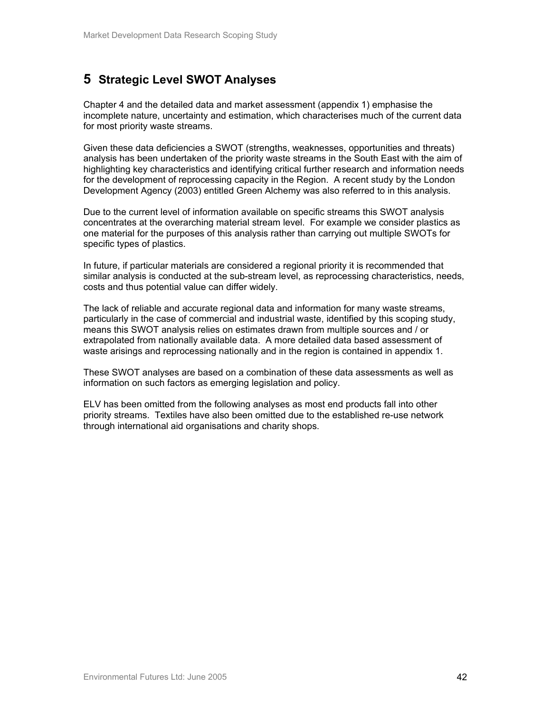# **5 Strategic Level SWOT Analyses**

Chapter 4 and the detailed data and market assessment (appendix 1) emphasise the incomplete nature, uncertainty and estimation, which characterises much of the current data for most priority waste streams.

Given these data deficiencies a SWOT (strengths, weaknesses, opportunities and threats) analysis has been undertaken of the priority waste streams in the South East with the aim of highlighting key characteristics and identifying critical further research and information needs for the development of reprocessing capacity in the Region. A recent study by the London Development Agency (2003) entitled Green Alchemy was also referred to in this analysis.

Due to the current level of information available on specific streams this SWOT analysis concentrates at the overarching material stream level. For example we consider plastics as one material for the purposes of this analysis rather than carrying out multiple SWOTs for specific types of plastics.

In future, if particular materials are considered a regional priority it is recommended that similar analysis is conducted at the sub-stream level, as reprocessing characteristics, needs, costs and thus potential value can differ widely.

The lack of reliable and accurate regional data and information for many waste streams, particularly in the case of commercial and industrial waste, identified by this scoping study, means this SWOT analysis relies on estimates drawn from multiple sources and / or extrapolated from nationally available data. A more detailed data based assessment of waste arisings and reprocessing nationally and in the region is contained in appendix 1.

These SWOT analyses are based on a combination of these data assessments as well as information on such factors as emerging legislation and policy.

ELV has been omitted from the following analyses as most end products fall into other priority streams. Textiles have also been omitted due to the established re-use network through international aid organisations and charity shops.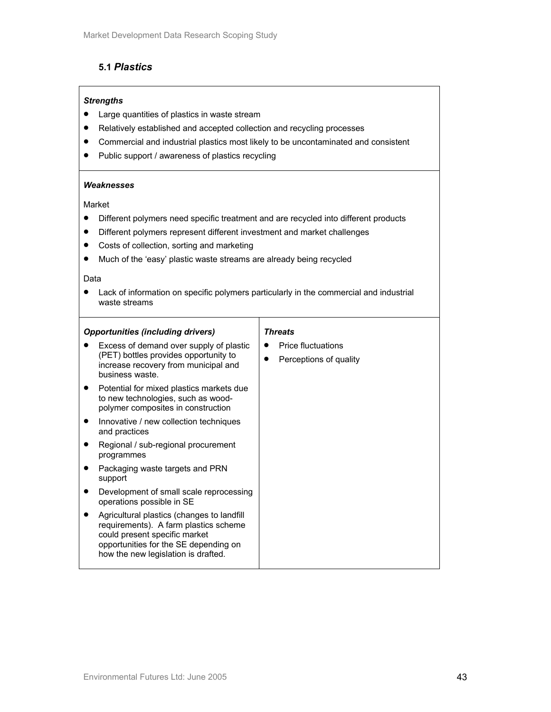## **5.1** *Plastics*

## *Strengths*

- Large quantities of plastics in waste stream
- Relatively established and accepted collection and recycling processes
- Commercial and industrial plastics most likely to be uncontaminated and consistent
- Public support / awareness of plastics recycling

#### *Weaknesses*

#### Market

- Different polymers need specific treatment and are recycled into different products
- Different polymers represent different investment and market challenges
- Costs of collection, sorting and marketing
- Much of the 'easy' plastic waste streams are already being recycled

#### Data

• Lack of information on specific polymers particularly in the commercial and industrial waste streams

| <b>Opportunities (including drivers)</b>                                                                                                                                                             | <b>Threats</b>                                      |
|------------------------------------------------------------------------------------------------------------------------------------------------------------------------------------------------------|-----------------------------------------------------|
| Excess of demand over supply of plastic<br>(PET) bottles provides opportunity to<br>increase recovery from municipal and<br>business waste.                                                          | <b>Price fluctuations</b><br>Perceptions of quality |
| Potential for mixed plastics markets due<br>to new technologies, such as wood-<br>polymer composites in construction                                                                                 |                                                     |
| Innovative / new collection techniques<br>$\bullet$<br>and practices                                                                                                                                 |                                                     |
| Regional / sub-regional procurement<br>programmes                                                                                                                                                    |                                                     |
| Packaging waste targets and PRN<br>support                                                                                                                                                           |                                                     |
| Development of small scale reprocessing<br>operations possible in SE                                                                                                                                 |                                                     |
| Agricultural plastics (changes to landfill<br>requirements). A farm plastics scheme<br>could present specific market<br>opportunities for the SE depending on<br>how the new legislation is drafted. |                                                     |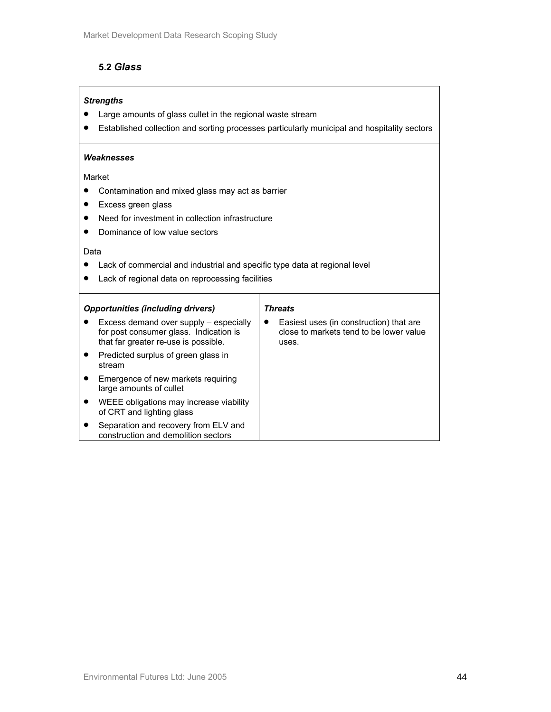## **5.2** *Glass*

## *Strengths*

- Large amounts of glass cullet in the regional waste stream
- Established collection and sorting processes particularly municipal and hospitality sectors

### *Weaknesses*

Market

- Contamination and mixed glass may act as barrier
- Excess green glass
- Need for investment in collection infrastructure
- Dominance of low value sectors

#### Data

- Lack of commercial and industrial and specific type data at regional level
- Lack of regional data on reprocessing facilities

| <b>Opportunities (including drivers)</b> |                                                                                                                          | <b>Threats</b>                                                                              |
|------------------------------------------|--------------------------------------------------------------------------------------------------------------------------|---------------------------------------------------------------------------------------------|
|                                          | Excess demand over supply - especially<br>for post consumer glass. Indication is<br>that far greater re-use is possible. | Easiest uses (in construction) that are<br>close to markets tend to be lower value<br>uses. |
|                                          | Predicted surplus of green glass in<br>stream                                                                            |                                                                                             |
|                                          | Emergence of new markets requiring<br>large amounts of cullet                                                            |                                                                                             |
|                                          | WEEE obligations may increase viability<br>of CRT and lighting glass                                                     |                                                                                             |
|                                          | Separation and recovery from ELV and<br>construction and demolition sectors                                              |                                                                                             |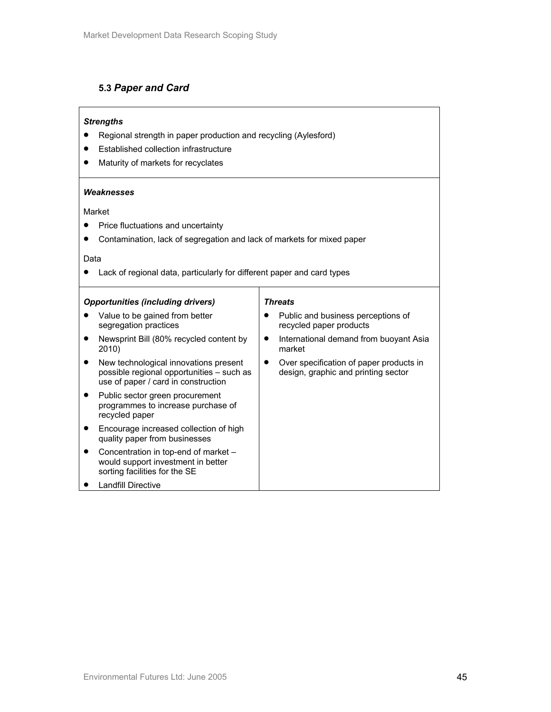## **5.3** *Paper and Card*

### *Strengths*

- Regional strength in paper production and recycling (Aylesford)
- Established collection infrastructure
- Maturity of markets for recyclates

#### *Weaknesses*

### Market

- Price fluctuations and uncertainty
- Contamination, lack of segregation and lack of markets for mixed paper

#### Data

• Lack of regional data, particularly for different paper and card types

| <b>Opportunities (including drivers)</b>                                                                                  | <b>Threats</b>                                                                              |  |  |  |
|---------------------------------------------------------------------------------------------------------------------------|---------------------------------------------------------------------------------------------|--|--|--|
| Value to be gained from better<br>segregation practices                                                                   | Public and business perceptions of<br>$\bullet$<br>recycled paper products                  |  |  |  |
| Newsprint Bill (80% recycled content by<br>2010)                                                                          | International demand from buoyant Asia<br>$\bullet$<br>market                               |  |  |  |
| New technological innovations present<br>possible regional opportunities - such as<br>use of paper / card in construction | Over specification of paper products in<br>$\bullet$<br>design, graphic and printing sector |  |  |  |
| Public sector green procurement<br>programmes to increase purchase of<br>recycled paper                                   |                                                                                             |  |  |  |
| Encourage increased collection of high<br>quality paper from businesses                                                   |                                                                                             |  |  |  |
| Concentration in top-end of market -<br>would support investment in better<br>sorting facilities for the SE               |                                                                                             |  |  |  |
| Landfill Directive                                                                                                        |                                                                                             |  |  |  |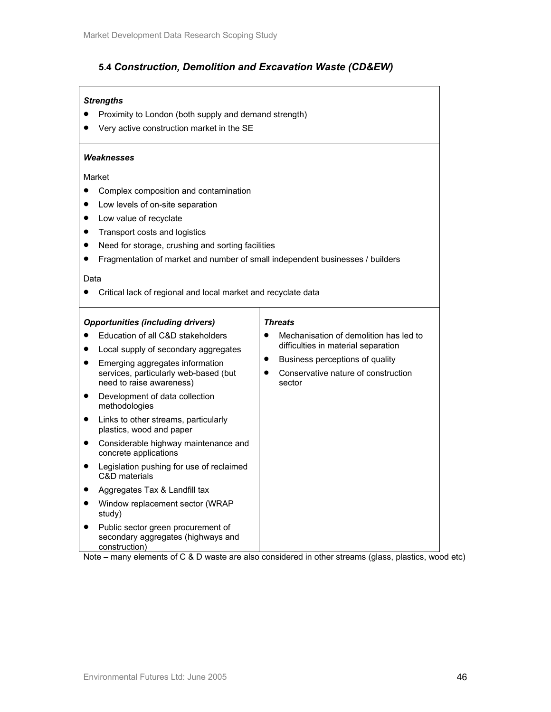## **5.4** *Construction, Demolition and Excavation Waste (CD&EW)*

## *Strengths*

- Proximity to London (both supply and demand strength)
- Very active construction market in the SE

#### *Weaknesses*

Market

- Complex composition and contamination
- Low levels of on-site separation
- Low value of recyclate
- Transport costs and logistics
- Need for storage, crushing and sorting facilities
- Fragmentation of market and number of small independent businesses / builders

#### Data

• Critical lack of regional and local market and recyclate data

#### *Opportunities (including drivers)*

## *Threats*

sector

• Mechanisation of demolition has led to difficulties in material separation • Business perceptions of quality • Conservative nature of construction

- Education of all C&D stakeholders
- Local supply of secondary aggregates
- Emerging aggregates information services, particularly web-based (but need to raise awareness)
- Development of data collection methodologies
- Links to other streams, particularly plastics, wood and paper
- Considerable highway maintenance and concrete applications
- Legislation pushing for use of reclaimed C&D materials
- Aggregates Tax & Landfill tax
- Window replacement sector (WRAP study)
- Public sector green procurement of secondary aggregates (highways and construction)

Note – many elements of C & D waste are also considered in other streams (glass, plastics, wood etc)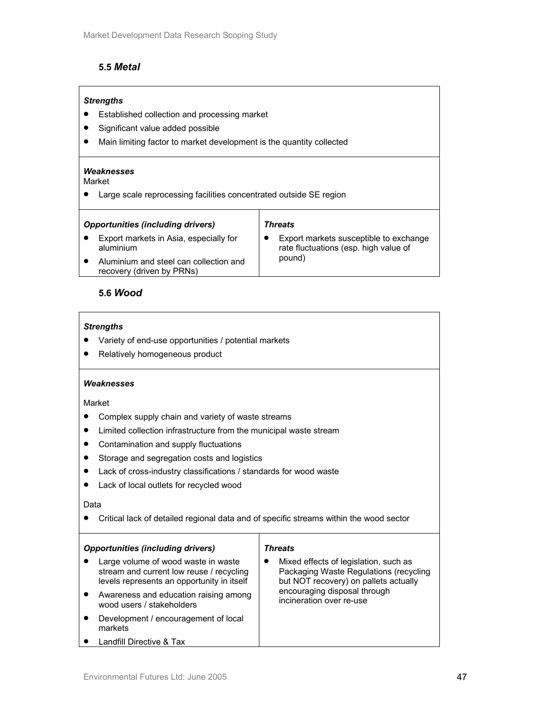## **5.5** *Metal*

## *Strengths*

- Established collection and processing market
- Significant value added possible
- Main limiting factor to market development is the quantity collected

#### *Weaknesses*

Market

• Large scale reprocessing facilities concentrated outside SE region

### *Threats*

• Export markets in Asia, especially for aluminium • Aluminium and steel can collection and • Export markets susceptible to exchange rate fluctuations (esp. high value of pound)

recovery (driven by PRNs)

## **5.6** *Wood*

#### *Strengths*

- Variety of end-use opportunities / potential markets
- Relatively homogeneous product

#### *Weaknesses*

#### Market

- Complex supply chain and variety of waste streams
- Limited collection infrastructure from the municipal waste stream
- Contamination and supply fluctuations
- Storage and segregation costs and logistics
- Lack of cross-industry classifications / standards for wood waste
- Lack of local outlets for recycled wood

#### Data

• Critical lack of detailed regional data and of specific streams within the wood sector

| <b>Opportunities (including drivers)</b> |                                                                                                                               | <b>Threats</b> |                                                                                                                          |  |  |
|------------------------------------------|-------------------------------------------------------------------------------------------------------------------------------|----------------|--------------------------------------------------------------------------------------------------------------------------|--|--|
|                                          | Large volume of wood waste in waste<br>stream and current low reuse / recycling<br>levels represents an opportunity in itself |                | Mixed effects of legislation, such as<br>Packaging Waste Regulations (recycling<br>but NOT recovery) on pallets actually |  |  |
|                                          | Awareness and education raising among<br>wood users / stakeholders                                                            |                | encouraging disposal through<br>incineration over re-use                                                                 |  |  |
|                                          | Development / encouragement of local<br>markets                                                                               |                |                                                                                                                          |  |  |
|                                          | Landfill Directive & Tax                                                                                                      |                |                                                                                                                          |  |  |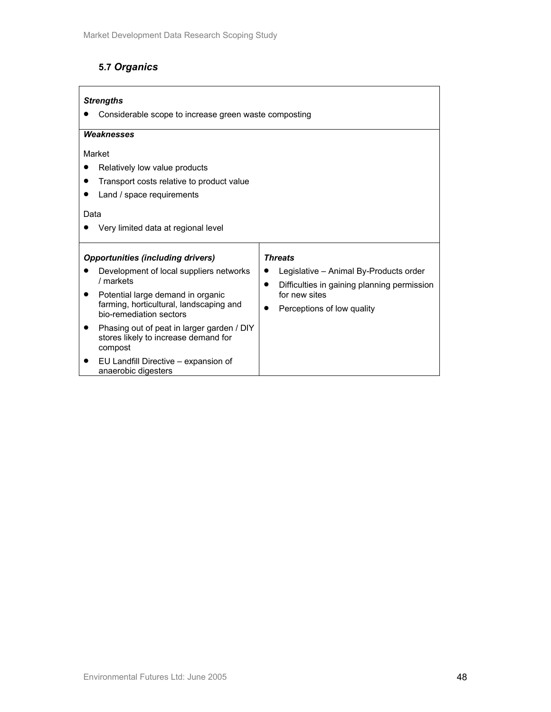# **5.7** *Organics*

| <b>Strengths</b><br>Considerable scope to increase green waste composting                        |                                                                                                    |  |  |  |  |
|--------------------------------------------------------------------------------------------------|----------------------------------------------------------------------------------------------------|--|--|--|--|
| Weaknesses                                                                                       |                                                                                                    |  |  |  |  |
| Market                                                                                           |                                                                                                    |  |  |  |  |
| Relatively low value products                                                                    |                                                                                                    |  |  |  |  |
| Transport costs relative to product value                                                        |                                                                                                    |  |  |  |  |
| Land / space requirements                                                                        |                                                                                                    |  |  |  |  |
| Data                                                                                             |                                                                                                    |  |  |  |  |
| Very limited data at regional level                                                              |                                                                                                    |  |  |  |  |
| <b>Opportunities (including drivers)</b>                                                         | <b>Threats</b>                                                                                     |  |  |  |  |
| Development of local suppliers networks<br>/ markets                                             | Legislative - Animal By-Products order<br>Difficulties in gaining planning permission<br>$\bullet$ |  |  |  |  |
| Potential large demand in organic<br>٠                                                           | for new sites                                                                                      |  |  |  |  |
| farming, horticultural, landscaping and<br>Perceptions of low quality<br>bio-remediation sectors |                                                                                                    |  |  |  |  |
| Phasing out of peat in larger garden / DIY<br>stores likely to increase demand for<br>compost    |                                                                                                    |  |  |  |  |
| EU Landfill Directive - expansion of<br>anaerobic digesters                                      |                                                                                                    |  |  |  |  |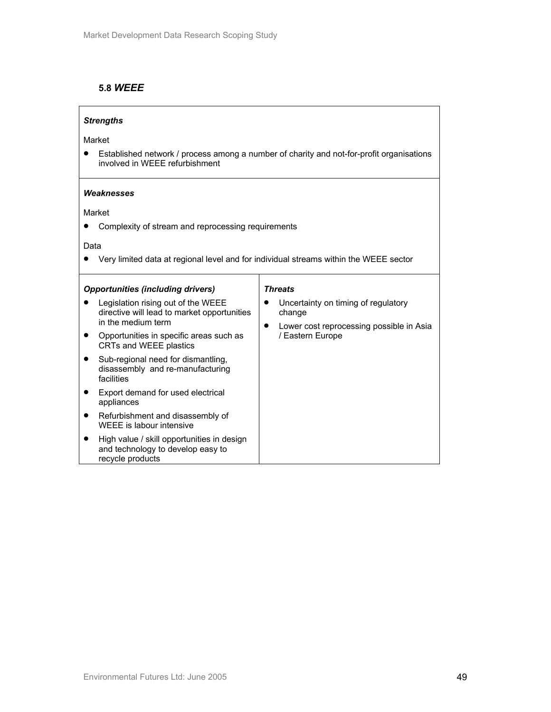## **5.8** *WEEE*

## *Strengths*

Market

• Established network / process among a number of charity and not-for-profit organisations involved in WEEE refurbishment

#### *Weaknesses*

Market

• Complexity of stream and reprocessing requirements

Data

• Very limited data at regional level and for individual streams within the WEEE sector

| <b>Opportunities (including drivers)</b> |                                                                                                         | <b>Threats</b>                                                                                                |  |  |  |
|------------------------------------------|---------------------------------------------------------------------------------------------------------|---------------------------------------------------------------------------------------------------------------|--|--|--|
|                                          | Legislation rising out of the WEEE<br>directive will lead to market opportunities<br>in the medium term | Uncertainty on timing of regulatory<br>change<br>Lower cost reprocessing possible in Asia<br>/ Eastern Europe |  |  |  |
|                                          | Opportunities in specific areas such as<br>CRTs and WEEE plastics                                       |                                                                                                               |  |  |  |
|                                          | Sub-regional need for dismantling,<br>disassembly and re-manufacturing<br>facilities                    |                                                                                                               |  |  |  |
|                                          | Export demand for used electrical<br>appliances                                                         |                                                                                                               |  |  |  |
|                                          | Refurbishment and disassembly of<br>WEEE is labour intensive                                            |                                                                                                               |  |  |  |
|                                          | High value / skill opportunities in design<br>and technology to develop easy to<br>recycle products     |                                                                                                               |  |  |  |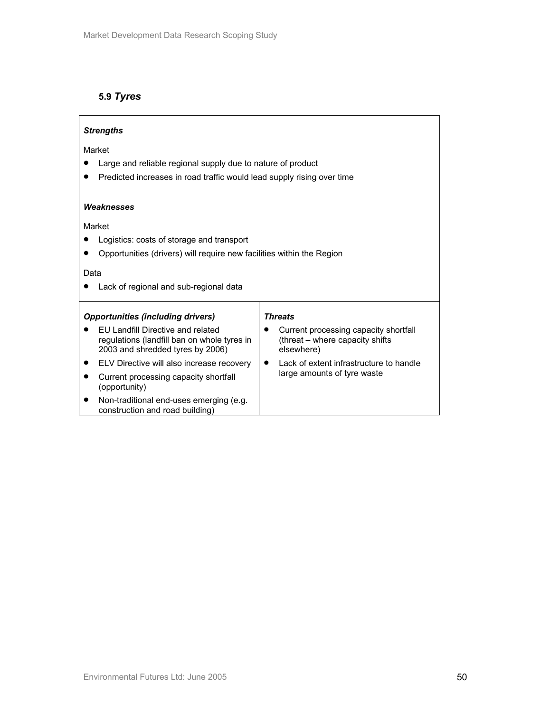## **5.9** *Tyres*

| <b>Strengths</b>                                                                                                            |                                                                                        |  |  |  |
|-----------------------------------------------------------------------------------------------------------------------------|----------------------------------------------------------------------------------------|--|--|--|
| Market                                                                                                                      |                                                                                        |  |  |  |
| Large and reliable regional supply due to nature of product                                                                 |                                                                                        |  |  |  |
| Predicted increases in road traffic would lead supply rising over time                                                      |                                                                                        |  |  |  |
| Weaknesses<br>Market                                                                                                        |                                                                                        |  |  |  |
| Logistics: costs of storage and transport                                                                                   |                                                                                        |  |  |  |
| Opportunities (drivers) will require new facilities within the Region                                                       |                                                                                        |  |  |  |
| Data                                                                                                                        |                                                                                        |  |  |  |
| Lack of regional and sub-regional data                                                                                      |                                                                                        |  |  |  |
| <b>Opportunities (including drivers)</b><br><b>Threats</b>                                                                  |                                                                                        |  |  |  |
| <b>FU Landfill Directive and related</b><br>regulations (landfill ban on whole tyres in<br>2003 and shredded tyres by 2006) | Current processing capacity shortfall<br>(threat – where capacity shifts<br>elsewhere) |  |  |  |
| ELV Directive will also increase recovery                                                                                   | Lack of extent infrastructure to handle                                                |  |  |  |
| large amounts of tyre waste<br>Current processing capacity shortfall<br>(opportunity)                                       |                                                                                        |  |  |  |
| Non-traditional end-uses emerging (e.g.<br>construction and road building)                                                  |                                                                                        |  |  |  |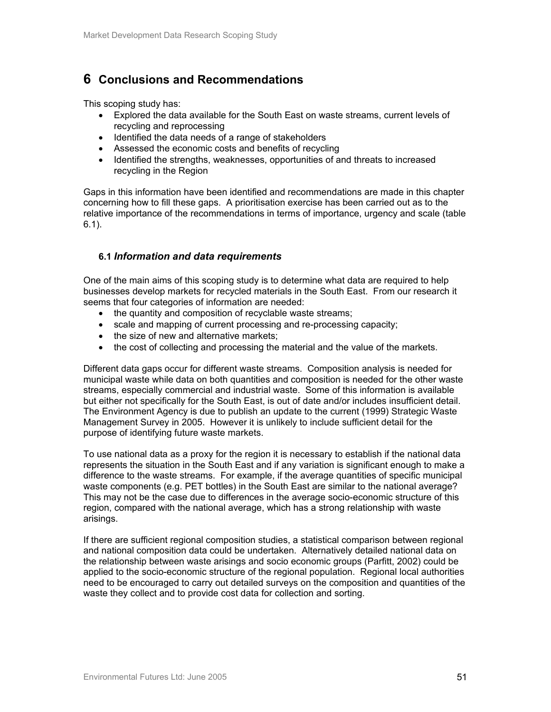# **6 Conclusions and Recommendations**

This scoping study has:

- Explored the data available for the South East on waste streams, current levels of recycling and reprocessing
- Identified the data needs of a range of stakeholders
- Assessed the economic costs and benefits of recycling
- Identified the strengths, weaknesses, opportunities of and threats to increased recycling in the Region

Gaps in this information have been identified and recommendations are made in this chapter concerning how to fill these gaps. A prioritisation exercise has been carried out as to the relative importance of the recommendations in terms of importance, urgency and scale (table 6.1).

## **6.1** *Information and data requirements*

One of the main aims of this scoping study is to determine what data are required to help businesses develop markets for recycled materials in the South East. From our research it seems that four categories of information are needed:

- the quantity and composition of recyclable waste streams;
- scale and mapping of current processing and re-processing capacity;
- the size of new and alternative markets;
- the cost of collecting and processing the material and the value of the markets.

Different data gaps occur for different waste streams. Composition analysis is needed for municipal waste while data on both quantities and composition is needed for the other waste streams, especially commercial and industrial waste. Some of this information is available but either not specifically for the South East, is out of date and/or includes insufficient detail. The Environment Agency is due to publish an update to the current (1999) Strategic Waste Management Survey in 2005. However it is unlikely to include sufficient detail for the purpose of identifying future waste markets.

To use national data as a proxy for the region it is necessary to establish if the national data represents the situation in the South East and if any variation is significant enough to make a difference to the waste streams. For example, if the average quantities of specific municipal waste components (e.g. PET bottles) in the South East are similar to the national average? This may not be the case due to differences in the average socio-economic structure of this region, compared with the national average, which has a strong relationship with waste arisings.

If there are sufficient regional composition studies, a statistical comparison between regional and national composition data could be undertaken. Alternatively detailed national data on the relationship between waste arisings and socio economic groups (Parfitt, 2002) could be applied to the socio-economic structure of the regional population. Regional local authorities need to be encouraged to carry out detailed surveys on the composition and quantities of the waste they collect and to provide cost data for collection and sorting.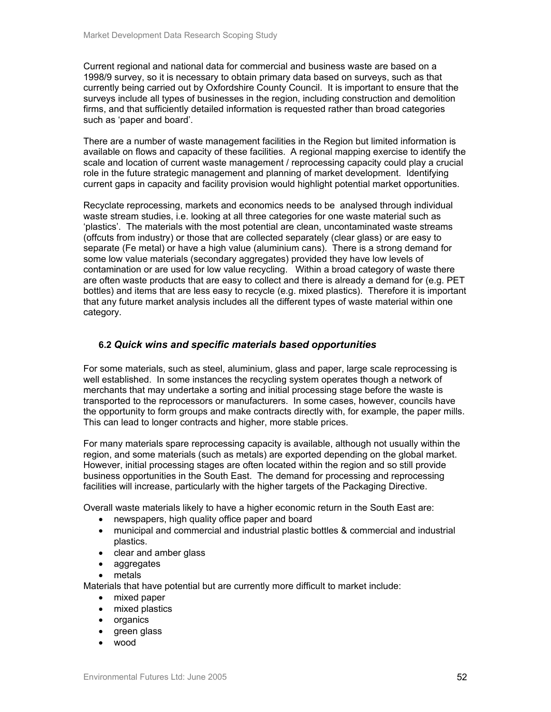Current regional and national data for commercial and business waste are based on a 1998/9 survey, so it is necessary to obtain primary data based on surveys, such as that currently being carried out by Oxfordshire County Council. It is important to ensure that the surveys include all types of businesses in the region, including construction and demolition firms, and that sufficiently detailed information is requested rather than broad categories such as 'paper and board'.

There are a number of waste management facilities in the Region but limited information is available on flows and capacity of these facilities. A regional mapping exercise to identify the scale and location of current waste management / reprocessing capacity could play a crucial role in the future strategic management and planning of market development. Identifying current gaps in capacity and facility provision would highlight potential market opportunities.

Recyclate reprocessing, markets and economics needs to be analysed through individual waste stream studies, i.e. looking at all three categories for one waste material such as 'plastics'. The materials with the most potential are clean, uncontaminated waste streams (offcuts from industry) or those that are collected separately (clear glass) or are easy to separate (Fe metal) or have a high value (aluminium cans). There is a strong demand for some low value materials (secondary aggregates) provided they have low levels of contamination or are used for low value recycling. Within a broad category of waste there are often waste products that are easy to collect and there is already a demand for (e.g. PET bottles) and items that are less easy to recycle (e.g. mixed plastics). Therefore it is important that any future market analysis includes all the different types of waste material within one category.

## **6.2** *Quick wins and specific materials based opportunities*

For some materials, such as steel, aluminium, glass and paper, large scale reprocessing is well established. In some instances the recycling system operates though a network of merchants that may undertake a sorting and initial processing stage before the waste is transported to the reprocessors or manufacturers. In some cases, however, councils have the opportunity to form groups and make contracts directly with, for example, the paper mills. This can lead to longer contracts and higher, more stable prices.

For many materials spare reprocessing capacity is available, although not usually within the region, and some materials (such as metals) are exported depending on the global market. However, initial processing stages are often located within the region and so still provide business opportunities in the South East. The demand for processing and reprocessing facilities will increase, particularly with the higher targets of the Packaging Directive.

Overall waste materials likely to have a higher economic return in the South East are:

- newspapers, high quality office paper and board
- municipal and commercial and industrial plastic bottles & commercial and industrial plastics.
- clear and amber glass
- aggregates
- metals

Materials that have potential but are currently more difficult to market include:

- mixed paper
- mixed plastics
- organics
- green glass
- wood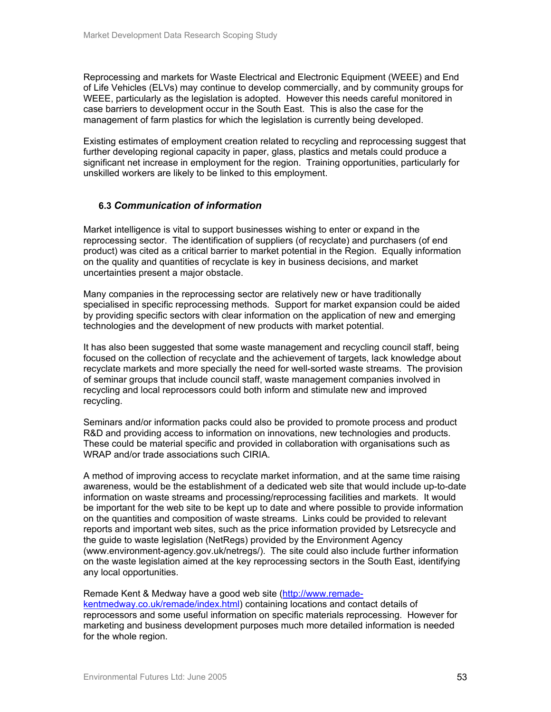Reprocessing and markets for Waste Electrical and Electronic Equipment (WEEE) and End of Life Vehicles (ELVs) may continue to develop commercially, and by community groups for WEEE, particularly as the legislation is adopted. However this needs careful monitored in case barriers to development occur in the South East. This is also the case for the management of farm plastics for which the legislation is currently being developed.

Existing estimates of employment creation related to recycling and reprocessing suggest that further developing regional capacity in paper, glass, plastics and metals could produce a significant net increase in employment for the region. Training opportunities, particularly for unskilled workers are likely to be linked to this employment.

## **6.3** *Communication of information*

Market intelligence is vital to support businesses wishing to enter or expand in the reprocessing sector. The identification of suppliers (of recyclate) and purchasers (of end product) was cited as a critical barrier to market potential in the Region. Equally information on the quality and quantities of recyclate is key in business decisions, and market uncertainties present a major obstacle.

Many companies in the reprocessing sector are relatively new or have traditionally specialised in specific reprocessing methods. Support for market expansion could be aided by providing specific sectors with clear information on the application of new and emerging technologies and the development of new products with market potential.

It has also been suggested that some waste management and recycling council staff, being focused on the collection of recyclate and the achievement of targets, lack knowledge about recyclate markets and more specially the need for well-sorted waste streams. The provision of seminar groups that include council staff, waste management companies involved in recycling and local reprocessors could both inform and stimulate new and improved recycling.

Seminars and/or information packs could also be provided to promote process and product R&D and providing access to information on innovations, new technologies and products. These could be material specific and provided in collaboration with organisations such as WRAP and/or trade associations such CIRIA.

A method of improving access to recyclate market information, and at the same time raising awareness, would be the establishment of a dedicated web site that would include up-to-date information on waste streams and processing/reprocessing facilities and markets. It would be important for the web site to be kept up to date and where possible to provide information on the quantities and composition of waste streams. Links could be provided to relevant reports and important web sites, such as the price information provided by Letsrecycle and the guide to waste legislation (NetRegs) provided by the Environment Agency (www.environment-agency.gov.uk/netregs/). The site could also include further information on the waste legislation aimed at the key reprocessing sectors in the South East, identifying any local opportunities.

## Remade Kent & Medway have a good web site (http://www.remade-

kentmedway.co.uk/remade/index.html) containing locations and contact details of reprocessors and some useful information on specific materials reprocessing. However for marketing and business development purposes much more detailed information is needed for the whole region.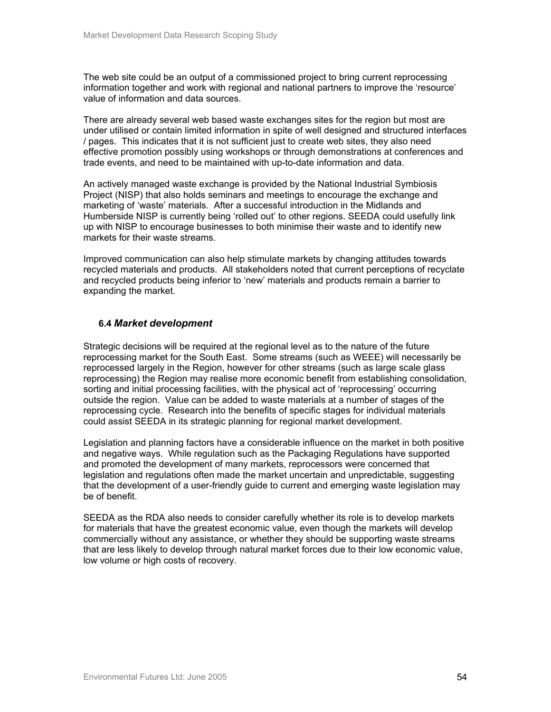The web site could be an output of a commissioned project to bring current reprocessing information together and work with regional and national partners to improve the 'resource' value of information and data sources.

There are already several web based waste exchanges sites for the region but most are under utilised or contain limited information in spite of well designed and structured interfaces / pages. This indicates that it is not sufficient just to create web sites, they also need effective promotion possibly using workshops or through demonstrations at conferences and trade events, and need to be maintained with up-to-date information and data.

An actively managed waste exchange is provided by the National Industrial Symbiosis Project (NISP) that also holds seminars and meetings to encourage the exchange and marketing of 'waste' materials. After a successful introduction in the Midlands and Humberside NISP is currently being 'rolled out' to other regions. SEEDA could usefully link up with NISP to encourage businesses to both minimise their waste and to identify new markets for their waste streams.

Improved communication can also help stimulate markets by changing attitudes towards recycled materials and products. All stakeholders noted that current perceptions of recyclate and recycled products being inferior to 'new' materials and products remain a barrier to expanding the market.

## **6.4** *Market development*

Strategic decisions will be required at the regional level as to the nature of the future reprocessing market for the South East. Some streams (such as WEEE) will necessarily be reprocessed largely in the Region, however for other streams (such as large scale glass reprocessing) the Region may realise more economic benefit from establishing consolidation, sorting and initial processing facilities, with the physical act of 'reprocessing' occurring outside the region. Value can be added to waste materials at a number of stages of the reprocessing cycle. Research into the benefits of specific stages for individual materials could assist SEEDA in its strategic planning for regional market development.

Legislation and planning factors have a considerable influence on the market in both positive and negative ways. While regulation such as the Packaging Regulations have supported and promoted the development of many markets, reprocessors were concerned that legislation and regulations often made the market uncertain and unpredictable, suggesting that the development of a user-friendly guide to current and emerging waste legislation may be of benefit.

SEEDA as the RDA also needs to consider carefully whether its role is to develop markets for materials that have the greatest economic value, even though the markets will develop commercially without any assistance, or whether they should be supporting waste streams that are less likely to develop through natural market forces due to their low economic value, low volume or high costs of recovery.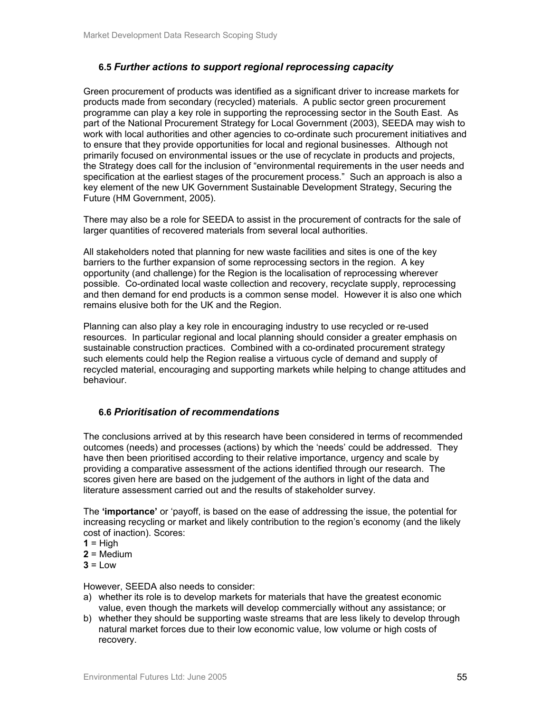## **6.5** *Further actions to support regional reprocessing capacity*

Green procurement of products was identified as a significant driver to increase markets for products made from secondary (recycled) materials. A public sector green procurement programme can play a key role in supporting the reprocessing sector in the South East. As part of the National Procurement Strategy for Local Government (2003), SEEDA may wish to work with local authorities and other agencies to co-ordinate such procurement initiatives and to ensure that they provide opportunities for local and regional businesses. Although not primarily focused on environmental issues or the use of recyclate in products and projects, the Strategy does call for the inclusion of "environmental requirements in the user needs and specification at the earliest stages of the procurement process." Such an approach is also a key element of the new UK Government Sustainable Development Strategy, Securing the Future (HM Government, 2005).

There may also be a role for SEEDA to assist in the procurement of contracts for the sale of larger quantities of recovered materials from several local authorities.

All stakeholders noted that planning for new waste facilities and sites is one of the key barriers to the further expansion of some reprocessing sectors in the region. A key opportunity (and challenge) for the Region is the localisation of reprocessing wherever possible. Co-ordinated local waste collection and recovery, recyclate supply, reprocessing and then demand for end products is a common sense model. However it is also one which remains elusive both for the UK and the Region.

Planning can also play a key role in encouraging industry to use recycled or re-used resources. In particular regional and local planning should consider a greater emphasis on sustainable construction practices. Combined with a co-ordinated procurement strategy such elements could help the Region realise a virtuous cycle of demand and supply of recycled material, encouraging and supporting markets while helping to change attitudes and behaviour.

## **6.6** *Prioritisation of recommendations*

The conclusions arrived at by this research have been considered in terms of recommended outcomes (needs) and processes (actions) by which the 'needs' could be addressed. They have then been prioritised according to their relative importance, urgency and scale by providing a comparative assessment of the actions identified through our research. The scores given here are based on the judgement of the authors in light of the data and literature assessment carried out and the results of stakeholder survey.

The **'importance'** or 'payoff, is based on the ease of addressing the issue, the potential for increasing recycling or market and likely contribution to the region's economy (and the likely cost of inaction). Scores:

- $1 =$ High
- **2** = Medium
- $3 = Low$

However, SEEDA also needs to consider:

- a) whether its role is to develop markets for materials that have the greatest economic value, even though the markets will develop commercially without any assistance; or
- b) whether they should be supporting waste streams that are less likely to develop through natural market forces due to their low economic value, low volume or high costs of recovery.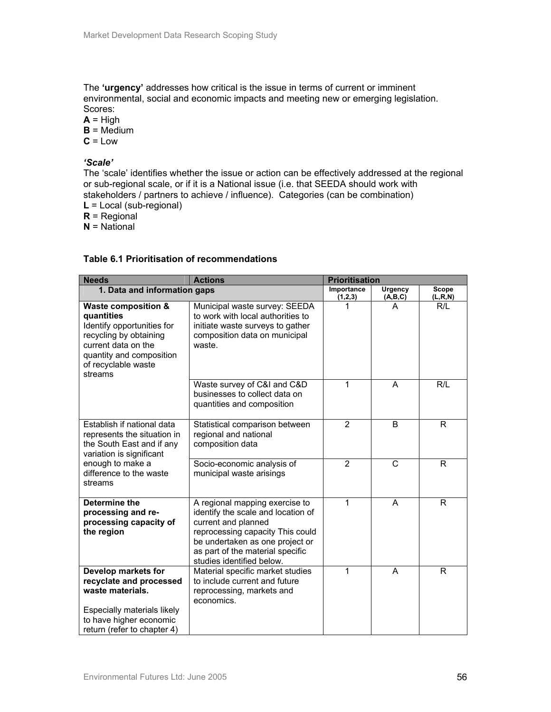The **'urgency'** addresses how critical is the issue in terms of current or imminent environmental, social and economic impacts and meeting new or emerging legislation. Scores:

 $A = High$ 

 $B = \text{Medium}$ 

 $C = Low$ 

### *'Scale'*

The 'scale' identifies whether the issue or action can be effectively addressed at the regional or sub-regional scale, or if it is a National issue (i.e. that SEEDA should work with stakeholders / partners to achieve / influence). Categories (can be combination)

**L** = Local (sub-regional)

**R** = Regional

**N** = National

|  | Table 6.1 Prioritisation of recommendations |
|--|---------------------------------------------|
|--|---------------------------------------------|

| <b>Needs</b><br><b>Actions</b>                                                                                                                                                            |                                                                                                                                                                                                                                     | <b>Prioritisation</b> |              |                |  |
|-------------------------------------------------------------------------------------------------------------------------------------------------------------------------------------------|-------------------------------------------------------------------------------------------------------------------------------------------------------------------------------------------------------------------------------------|-----------------------|--------------|----------------|--|
| 1. Data and information gaps                                                                                                                                                              |                                                                                                                                                                                                                                     | Importance            | Urgency      | <b>Scope</b>   |  |
| <b>Waste composition &amp;</b><br>quantities<br>Identify opportunities for<br>recycling by obtaining<br>current data on the<br>quantity and composition<br>of recyclable waste<br>streams | Municipal waste survey: SEEDA<br>to work with local authorities to<br>initiate waste surveys to gather<br>composition data on municipal<br>waste.                                                                                   | (1,2,3)               | (A,B,C)<br>А | (L,R,N)<br>R/L |  |
|                                                                                                                                                                                           | Waste survey of C&I and C&D<br>businesses to collect data on<br>quantities and composition                                                                                                                                          | 1                     | A            | R/L            |  |
| Establish if national data<br>represents the situation in<br>the South East and if any<br>variation is significant                                                                        | Statistical comparison between<br>regional and national<br>composition data                                                                                                                                                         | $\overline{2}$        | B            | R              |  |
| enough to make a<br>difference to the waste<br>streams                                                                                                                                    | Socio-economic analysis of<br>municipal waste arisings                                                                                                                                                                              | $\overline{2}$        | $\mathsf{C}$ | R              |  |
| Determine the<br>processing and re-<br>processing capacity of<br>the region                                                                                                               | A regional mapping exercise to<br>identify the scale and location of<br>current and planned<br>reprocessing capacity This could<br>be undertaken as one project or<br>as part of the material specific<br>studies identified below. | 1                     | A            | R              |  |
| Develop markets for<br>recyclate and processed<br>waste materials.<br>Especially materials likely<br>to have higher economic<br>return (refer to chapter 4)                               | Material specific market studies<br>to include current and future<br>reprocessing, markets and<br>economics.                                                                                                                        | 1                     | A            | R              |  |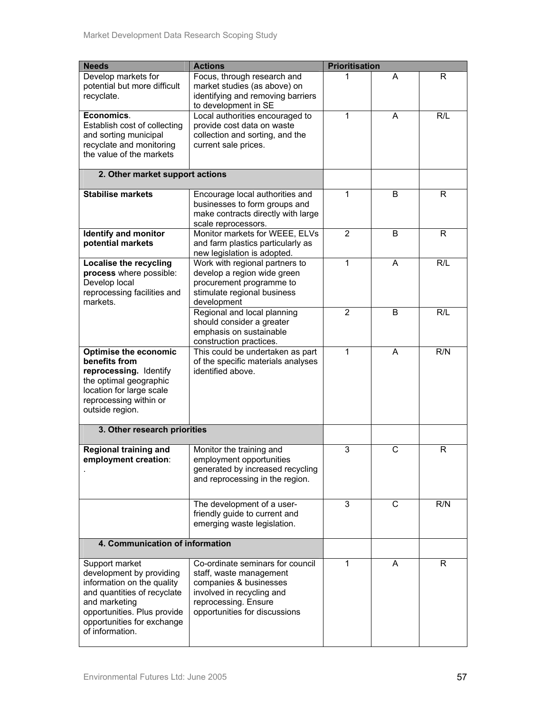| <b>Needs</b>                                                                                                                                                                                             | <b>Actions</b>                                                                                                                                                              | <b>Prioritisation</b> |              |     |
|----------------------------------------------------------------------------------------------------------------------------------------------------------------------------------------------------------|-----------------------------------------------------------------------------------------------------------------------------------------------------------------------------|-----------------------|--------------|-----|
| Develop markets for<br>potential but more difficult<br>recyclate.                                                                                                                                        | Focus, through research and<br>market studies (as above) on<br>identifying and removing barriers<br>to development in SE                                                    |                       | A            | R   |
| Economics.<br>Establish cost of collecting<br>and sorting municipal<br>recyclate and monitoring<br>the value of the markets                                                                              | Local authorities encouraged to<br>provide cost data on waste<br>collection and sorting, and the<br>current sale prices.                                                    | 1                     | A            | R/L |
| 2. Other market support actions                                                                                                                                                                          |                                                                                                                                                                             |                       |              |     |
| <b>Stabilise markets</b>                                                                                                                                                                                 | Encourage local authorities and<br>businesses to form groups and<br>make contracts directly with large<br>scale reprocessors.                                               | 1                     | B            | R   |
| <b>Identify and monitor</b><br>potential markets                                                                                                                                                         | Monitor markets for WEEE, ELVs<br>and farm plastics particularly as<br>new legislation is adopted.                                                                          | $\overline{2}$        | B            | R   |
| <b>Localise the recycling</b><br>process where possible:<br>Develop local<br>reprocessing facilities and<br>markets.                                                                                     | Work with regional partners to<br>develop a region wide green<br>procurement programme to<br>stimulate regional business<br>development                                     | 1                     | A            | R/L |
|                                                                                                                                                                                                          | Regional and local planning<br>should consider a greater<br>emphasis on sustainable<br>construction practices.                                                              | $\overline{2}$        | B            | R/L |
| <b>Optimise the economic</b><br>benefits from<br>reprocessing. Identify<br>the optimal geographic<br>location for large scale<br>reprocessing within or<br>outside region.                               | This could be undertaken as part<br>of the specific materials analyses<br>identified above.                                                                                 | 1                     | A            | R/N |
| 3. Other research priorities                                                                                                                                                                             |                                                                                                                                                                             |                       |              |     |
| <b>Regional training and</b><br>employment creation:                                                                                                                                                     | Monitor the training and<br>employment opportunities<br>generated by increased recycling<br>and reprocessing in the region.                                                 | 3                     | $\mathsf{C}$ | R   |
|                                                                                                                                                                                                          | The development of a user-<br>friendly guide to current and<br>emerging waste legislation.                                                                                  | 3                     | C            | R/N |
| 4. Communication of information                                                                                                                                                                          |                                                                                                                                                                             |                       |              |     |
| Support market<br>development by providing<br>information on the quality<br>and quantities of recyclate<br>and marketing<br>opportunities. Plus provide<br>opportunities for exchange<br>of information. | Co-ordinate seminars for council<br>staff, waste management<br>companies & businesses<br>involved in recycling and<br>reprocessing. Ensure<br>opportunities for discussions | 1                     | A            | R   |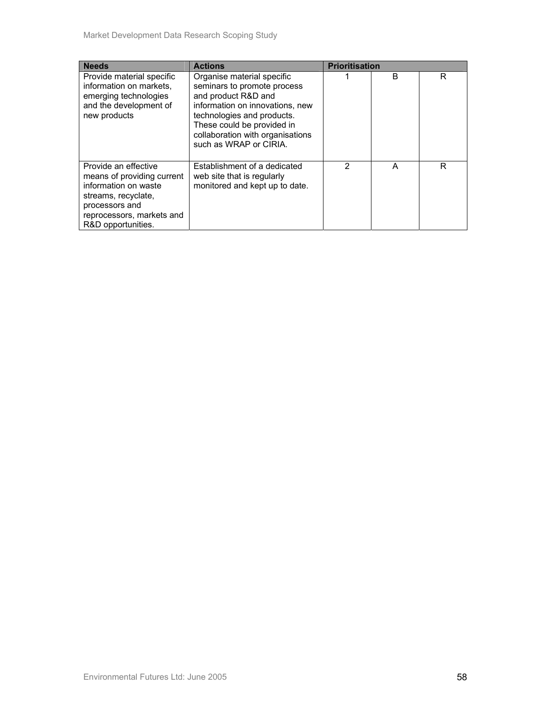| <b>Needs</b>                                                                                                                                                           | <b>Actions</b>                                                                                                                                                                                                                                | <b>Prioritisation</b> |   |   |
|------------------------------------------------------------------------------------------------------------------------------------------------------------------------|-----------------------------------------------------------------------------------------------------------------------------------------------------------------------------------------------------------------------------------------------|-----------------------|---|---|
| Provide material specific<br>information on markets.<br>emerging technologies<br>and the development of<br>new products                                                | Organise material specific<br>seminars to promote process<br>and product R&D and<br>information on innovations, new<br>technologies and products.<br>These could be provided in<br>collaboration with organisations<br>such as WRAP or CIRIA. |                       | B | R |
| Provide an effective<br>means of providing current<br>information on waste<br>streams, recyclate,<br>processors and<br>reprocessors, markets and<br>R&D opportunities. | Establishment of a dedicated<br>web site that is regularly<br>monitored and kept up to date.                                                                                                                                                  | 2                     | A | R |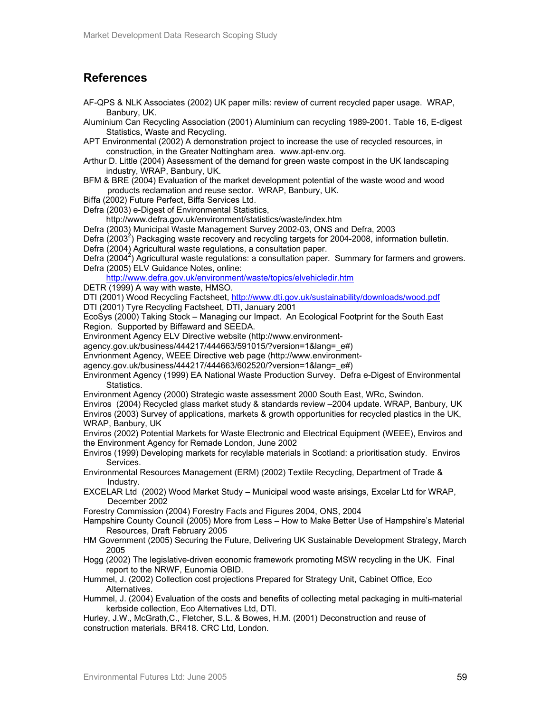# **References**

- AF-QPS & NLK Associates (2002) UK paper mills: review of current recycled paper usage. WRAP, Banbury, UK.
- Aluminium Can Recycling Association (2001) Aluminium can recycling 1989-2001. Table 16, E-digest Statistics, Waste and Recycling.

APT Environmental (2002) A demonstration project to increase the use of recycled resources, in construction, in the Greater Nottingham area. www.apt-env.org.

- Arthur D. Little (2004) Assessment of the demand for green waste compost in the UK landscaping industry, WRAP, Banbury, UK.
- BFM & BRE (2004) Evaluation of the market development potential of the waste wood and wood products reclamation and reuse sector. WRAP, Banbury, UK.
- Biffa (2002) Future Perfect, Biffa Services Ltd.
- Defra (2003) e-Digest of Environmental Statistics,

http://www.defra.gov.uk/environment/statistics/waste/index.htm

Defra (2003) Municipal Waste Management Survey 2002-03, ONS and Defra, 2003

Defra  $(2003^2)$  Packaging waste recovery and recycling targets for 2004-2008, information bulletin.

Defra (2004) Agricultural waste regulations, a consultation paper.

Defra  $(2004^2)$  Agricultural waste regulations: a consultation paper. Summary for farmers and growers. Defra (2005) ELV Guidance Notes, online:

http://www.defra.gov.uk/environment/waste/topics/elvehicledir.htm

DETR (1999) A way with waste, HMSO.

DTI (2001) Wood Recycling Factsheet, http://www.dti.gov.uk/sustainability/downloads/wood.pdf

DTI (2001) Tyre Recycling Factsheet, DTI, January 2001

EcoSys (2000) Taking Stock – Managing our Impact. An Ecological Footprint for the South East Region. Supported by Biffaward and SEEDA.

Environment Agency ELV Directive website (http://www.environment-

agency.gov.uk/business/444217/444663/591015/?version=1&lang=\_e#)

Envrionment Agency, WEEE Directive web page (http://www.environment-

agency.gov.uk/business/444217/444663/602520/?version=1&lang=e#)

Environment Agency (1999) EA National Waste Production Survey. Defra e-Digest of Environmental Statistics.

Environment Agency (2000) Strategic waste assessment 2000 South East, WRc, Swindon.

Enviros (2004) Recycled glass market study & standards review –2004 update. WRAP, Banbury, UK Enviros (2003) Survey of applications, markets & growth opportunities for recycled plastics in the UK, WRAP, Banbury, UK

Enviros (2002) Potential Markets for Waste Electronic and Electrical Equipment (WEEE), Enviros and the Environment Agency for Remade London, June 2002

Enviros (1999) Developing markets for recylable materials in Scotland: a prioritisation study. Enviros Services.

Environmental Resources Management (ERM) (2002) Textile Recycling, Department of Trade & Industry.

EXCELAR Ltd (2002) Wood Market Study – Municipal wood waste arisings, Excelar Ltd for WRAP, December 2002

Forestry Commission (2004) Forestry Facts and Figures 2004, ONS, 2004

Hampshire County Council (2005) More from Less – How to Make Better Use of Hampshire's Material Resources, Draft February 2005

- HM Government (2005) Securing the Future, Delivering UK Sustainable Development Strategy, March 2005
- Hogg (2002) The legislative-driven economic framework promoting MSW recycling in the UK. Final report to the NRWF, Eunomia OBID.

Hummel, J. (2002) Collection cost projections Prepared for Strategy Unit, Cabinet Office, Eco Alternatives.

Hummel, J. (2004) Evaluation of the costs and benefits of collecting metal packaging in multi-material kerbside collection, Eco Alternatives Ltd, DTI.

Hurley, J.W., McGrath,C., Fletcher, S.L. & Bowes, H.M. (2001) Deconstruction and reuse of construction materials. BR418. CRC Ltd, London.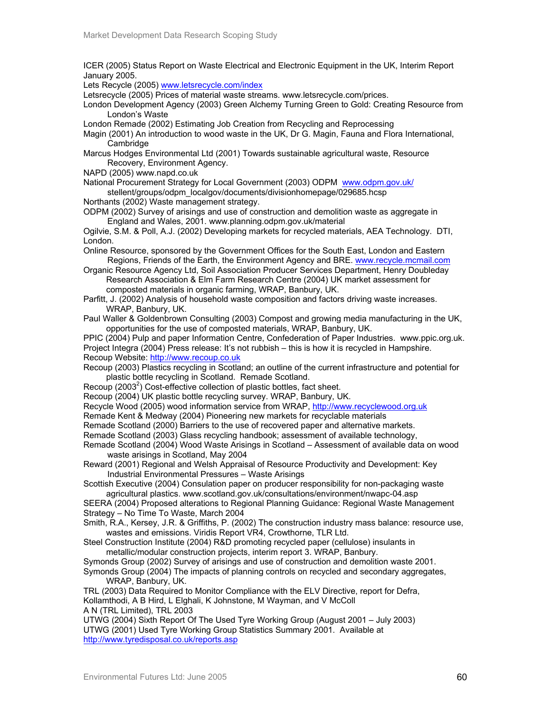ICER (2005) Status Report on Waste Electrical and Electronic Equipment in the UK, Interim Report January 2005.

Lets Recycle (2005) www.letsrecycle.com/index

Letsrecycle (2005) Prices of material waste streams. www.letsrecycle.com/prices.

London Development Agency (2003) Green Alchemy Turning Green to Gold: Creating Resource from London's Waste

London Remade (2002) Estimating Job Creation from Recycling and Reprocessing

Magin (2001) An introduction to wood waste in the UK, Dr G. Magin, Fauna and Flora International, Cambridge

Marcus Hodges Environmental Ltd (2001) Towards sustainable agricultural waste, Resource Recovery, Environment Agency.

NAPD (2005) www.napd.co.uk

National Procurement Strategy for Local Government (2003) ODPM www.odpm.gov.uk/ stellent/groups/odpm\_localgov/documents/divisionhomepage/029685.hcsp

Northants (2002) Waste management strategy.

ODPM (2002) Survey of arisings and use of construction and demolition waste as aggregate in England and Wales, 2001. www.planning.odpm.gov.uk/material

Ogilvie, S.M. & Poll, A.J. (2002) Developing markets for recycled materials, AEA Technology. DTI, London.

Online Resource, sponsored by the Government Offices for the South East, London and Eastern Regions, Friends of the Earth, the Environment Agency and BRE. www.recycle.mcmail.com

Organic Resource Agency Ltd, Soil Association Producer Services Department, Henry Doubleday Research Association & Elm Farm Research Centre (2004) UK market assessment for composted materials in organic farming, WRAP, Banbury, UK.

Parfitt, J. (2002) Analysis of household waste composition and factors driving waste increases. WRAP, Banbury, UK.

Paul Waller & Goldenbrown Consulting (2003) Compost and growing media manufacturing in the UK, opportunities for the use of composted materials, WRAP, Banbury, UK.

PPIC (2004) Pulp and paper Information Centre, Confederation of Paper Industries. www.ppic.org.uk. Project Integra (2004) Press release: It's not rubbish – this is how it is recycled in Hampshire.

Recoup Website: http://www.recoup.co.uk

Recoup (2003) Plastics recycling in Scotland; an outline of the current infrastructure and potential for plastic bottle recycling in Scotland. Remade Scotland.

Recoup (2003<sup>2</sup>) Cost-effective collection of plastic bottles, fact sheet.

Recoup (2004) UK plastic bottle recycling survey. WRAP, Banbury, UK.

Recycle Wood (2005) wood information service from WRAP, http://www.recyclewood.org.uk

Remade Kent & Medway (2004) Pioneering new markets for recyclable materials

Remade Scotland (2000) Barriers to the use of recovered paper and alternative markets.

Remade Scotland (2003) Glass recycling handbook; assessment of available technology,

Remade Scotland (2004) Wood Waste Arisings in Scotland – Assessment of available data on wood waste arisings in Scotland, May 2004

Reward (2001) Regional and Welsh Appraisal of Resource Productivity and Development: Key Industrial Environmental Pressures – Waste Arisings

Scottish Executive (2004) Consulation paper on producer responsibility for non-packaging waste agricultural plastics. www.scotland.gov.uk/consultations/environment/nwapc-04.asp

SEERA (2004) Proposed alterations to Regional Planning Guidance: Regional Waste Management Strategy – No Time To Waste, March 2004

Smith, R.A., Kersey, J.R. & Griffiths, P. (2002) The construction industry mass balance: resource use, wastes and emissions. Viridis Report VR4, Crowthorne, TLR Ltd.

Steel Construction Institute (2004) R&D promoting recycled paper (cellulose) insulants in metallic/modular construction projects, interim report 3. WRAP, Banbury.

Symonds Group (2002) Survey of arisings and use of construction and demolition waste 2001.

Symonds Group (2004) The impacts of planning controls on recycled and secondary aggregates, WRAP, Banbury, UK.

TRL (2003) Data Required to Monitor Compliance with the ELV Directive, report for Defra, Kollamthodi, A B Hird, L Elghali, K Johnstone, M Wayman, and V McColl

A N (TRL Limited), TRL 2003

UTWG (2004) Sixth Report Of The Used Tyre Working Group (August 2001 – July 2003) UTWG (2001) Used Tyre Working Group Statistics Summary 2001. Available at http://www.tyredisposal.co.uk/reports.asp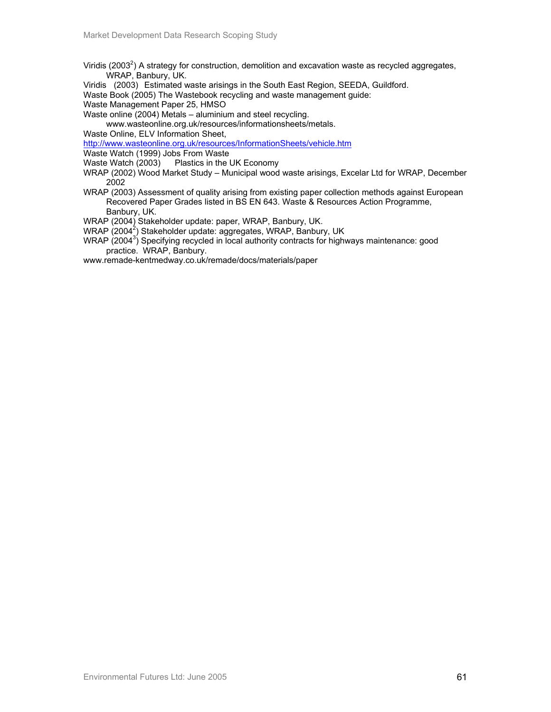- Viridis (2003<sup>2</sup>) A strategy for construction, demolition and excavation waste as recycled aggregates, WRAP, Banbury, UK.
- Viridis (2003) Estimated waste arisings in the South East Region, SEEDA, Guildford.

Waste Book (2005) The Wastebook recycling and waste management guide:

Waste Management Paper 25, HMSO

Waste online (2004) Metals – aluminium and steel recycling.

www.wasteonline.org.uk/resources/informationsheets/metals.

Waste Online, ELV Information Sheet,

http://www.wasteonline.org.uk/resources/InformationSheets/vehicle.htm

- Waste Watch (1999) Jobs From Waste
- Waste Watch (2003) Plastics in the UK Economy
- WRAP (2002) Wood Market Study Municipal wood waste arisings, Excelar Ltd for WRAP, December 2002
- WRAP (2003) Assessment of quality arising from existing paper collection methods against European Recovered Paper Grades listed in BS EN 643. Waste & Resources Action Programme, Banbury, UK.

WRAP (2004) Stakeholder update: paper, WRAP, Banbury, UK.

- WRAP (2004<sup>2</sup>) Stakeholder update: aggregates, WRAP, Banbury, UK
- WRAP (2004<sup>3</sup>) Specifying recycled in local authority contracts for highways maintenance: good practice. WRAP, Banbury.

www.remade-kentmedway.co.uk/remade/docs/materials/paper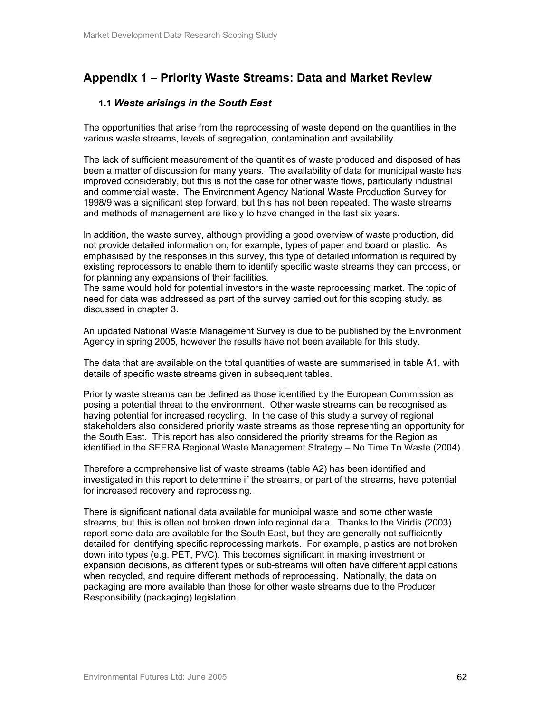# **Appendix 1 – Priority Waste Streams: Data and Market Review**

## **1.1** *Waste arisings in the South East*

The opportunities that arise from the reprocessing of waste depend on the quantities in the various waste streams, levels of segregation, contamination and availability.

The lack of sufficient measurement of the quantities of waste produced and disposed of has been a matter of discussion for many years. The availability of data for municipal waste has improved considerably, but this is not the case for other waste flows, particularly industrial and commercial waste. The Environment Agency National Waste Production Survey for 1998/9 was a significant step forward, but this has not been repeated. The waste streams and methods of management are likely to have changed in the last six years.

In addition, the waste survey, although providing a good overview of waste production, did not provide detailed information on, for example, types of paper and board or plastic. As emphasised by the responses in this survey, this type of detailed information is required by existing reprocessors to enable them to identify specific waste streams they can process, or for planning any expansions of their facilities.

The same would hold for potential investors in the waste reprocessing market. The topic of need for data was addressed as part of the survey carried out for this scoping study, as discussed in chapter 3.

An updated National Waste Management Survey is due to be published by the Environment Agency in spring 2005, however the results have not been available for this study.

The data that are available on the total quantities of waste are summarised in table A1, with details of specific waste streams given in subsequent tables.

Priority waste streams can be defined as those identified by the European Commission as posing a potential threat to the environment. Other waste streams can be recognised as having potential for increased recycling. In the case of this study a survey of regional stakeholders also considered priority waste streams as those representing an opportunity for the South East. This report has also considered the priority streams for the Region as identified in the SEERA Regional Waste Management Strategy – No Time To Waste (2004).

Therefore a comprehensive list of waste streams (table A2) has been identified and investigated in this report to determine if the streams, or part of the streams, have potential for increased recovery and reprocessing.

There is significant national data available for municipal waste and some other waste streams, but this is often not broken down into regional data. Thanks to the Viridis (2003) report some data are available for the South East, but they are generally not sufficiently detailed for identifying specific reprocessing markets. For example, plastics are not broken down into types (e.g. PET, PVC). This becomes significant in making investment or expansion decisions, as different types or sub-streams will often have different applications when recycled, and require different methods of reprocessing. Nationally, the data on packaging are more available than those for other waste streams due to the Producer Responsibility (packaging) legislation.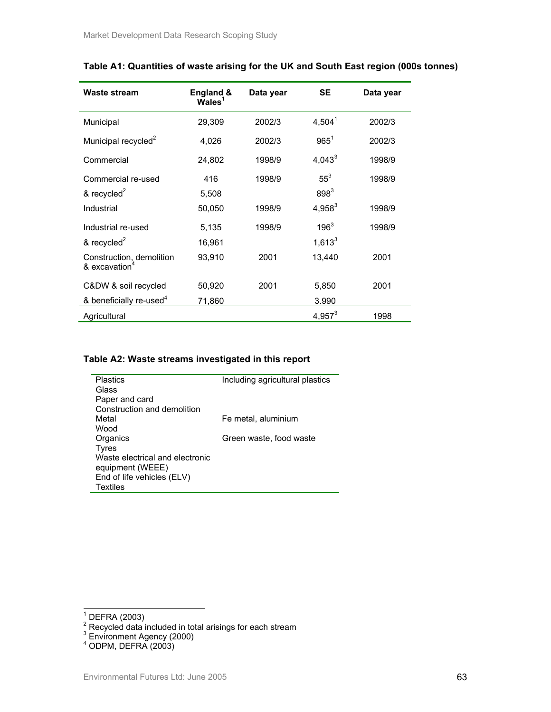| <b>Waste stream</b>                                                              | England &<br>$\overline{\mathsf{W}}$ ales <sup>1</sup> | Data year | <b>SE</b>           | Data year |
|----------------------------------------------------------------------------------|--------------------------------------------------------|-----------|---------------------|-----------|
| Municipal                                                                        | 29,309                                                 | 2002/3    | $4,504^1$           | 2002/3    |
| Municipal recycled <sup>2</sup>                                                  | 4,026                                                  | 2002/3    | $965^1$             | 2002/3    |
| Commercial                                                                       | 24,802                                                 | 1998/9    | $4,043^3$           | 1998/9    |
| Commercial re-used<br>& recycled $2$                                             | 416<br>5,508                                           | 1998/9    | $55^3$<br>$898^{3}$ | 1998/9    |
| Industrial                                                                       | 50,050                                                 | 1998/9    | $4,958^3$           | 1998/9    |
| Industrial re-used                                                               | 5,135                                                  | 1998/9    | $196^3$             | 1998/9    |
| & recycled <sup>2</sup><br>Construction, demolition<br>& excavation <sup>4</sup> | 16,961<br>93,910                                       | 2001      | $1,613^3$<br>13,440 | 2001      |
| C&DW & soil recycled                                                             | 50,920                                                 | 2001      | 5,850               | 2001      |
| & beneficially re-used <sup>4</sup><br>Agricultural                              | 71,860                                                 |           | 3.990<br>$4,957^3$  | 1998      |

## **Table A1: Quantities of waste arising for the UK and South East region (000s tonnes)**

#### **Table A2: Waste streams investigated in this report**

| <b>Plastics</b>                 | Including agricultural plastics |
|---------------------------------|---------------------------------|
| Glass                           |                                 |
| Paper and card                  |                                 |
| Construction and demolition     |                                 |
| Metal                           | Fe metal, aluminium             |
| Wood                            |                                 |
| Organics                        | Green waste, food waste         |
| Tyres                           |                                 |
| Waste electrical and electronic |                                 |
| equipment (WEEE)                |                                 |
| End of life vehicles (ELV)      |                                 |
| <b>Textiles</b>                 |                                 |

<sup>&</sup>lt;sup>1</sup> DEFRA (2003)<br><sup>2</sup> Recycled data included in total arisings for each stream<br><sup>3</sup> Environment Agency (2000)<br><sup>4</sup> ODPM, DEFRA (2003)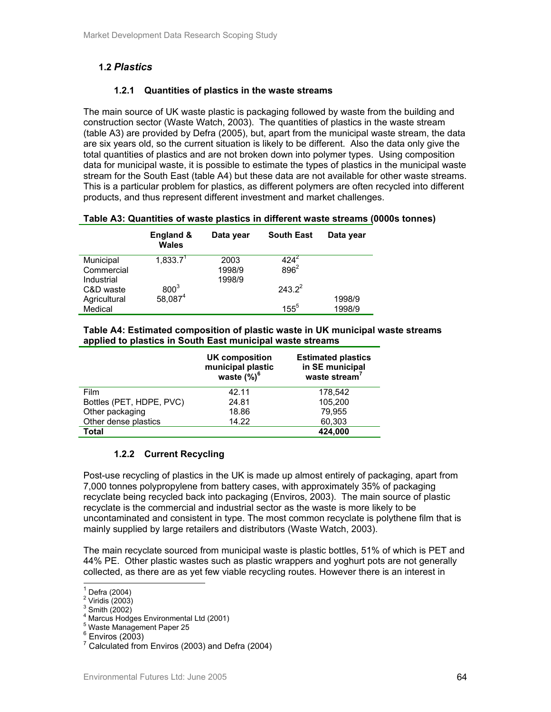## **1.2** *Plastics*

## **1.2.1 Quantities of plastics in the waste streams**

The main source of UK waste plastic is packaging followed by waste from the building and construction sector (Waste Watch, 2003). The quantities of plastics in the waste stream (table A3) are provided by Defra (2005), but, apart from the municipal waste stream, the data are six years old, so the current situation is likely to be different. Also the data only give the total quantities of plastics and are not broken down into polymer types. Using composition data for municipal waste, it is possible to estimate the types of plastics in the municipal waste stream for the South East (table A4) but these data are not available for other waste streams. This is a particular problem for plastics, as different polymers are often recycled into different products, and thus represent different investment and market challenges.

#### **Table A3: Quantities of waste plastics in different waste streams (0000s tonnes)**

|                         | England &<br><b>Wales</b>       | Data year      | <b>South East</b>    | Data year        |
|-------------------------|---------------------------------|----------------|----------------------|------------------|
| Municipal<br>Commercial | $1,833.\overline{7}^{\text{T}}$ | 2003<br>1998/9 | $424^{2}$<br>$896^2$ |                  |
| Industrial              |                                 | 1998/9         |                      |                  |
| C&D waste               | $800^3$<br>58,087 <sup>4</sup>  |                | $243.2^2$            |                  |
| Agricultural<br>Medical |                                 |                | $155^{5}$            | 1998/9<br>1998/9 |

#### **Table A4: Estimated composition of plastic waste in UK municipal waste streams applied to plastics in South East municipal waste streams**

|                          | UK composition<br>municipal plastic<br>waste $(\%)^6$ | <b>Estimated plastics</b><br>in SE municipal<br>waste stream' |
|--------------------------|-------------------------------------------------------|---------------------------------------------------------------|
| Film                     | 42.11                                                 | 178.542                                                       |
| Bottles (PET, HDPE, PVC) | 24.81                                                 | 105,200                                                       |
| Other packaging          | 18.86                                                 | 79.955                                                        |
| Other dense plastics     | 14.22                                                 | 60,303                                                        |
| Total                    |                                                       | 424.000                                                       |

## **1.2.2 Current Recycling**

Post-use recycling of plastics in the UK is made up almost entirely of packaging, apart from 7,000 tonnes polypropylene from battery cases, with approximately 35% of packaging recyclate being recycled back into packaging (Enviros, 2003). The main source of plastic recyclate is the commercial and industrial sector as the waste is more likely to be uncontaminated and consistent in type. The most common recyclate is polythene film that is mainly supplied by large retailers and distributors (Waste Watch, 2003).

The main recyclate sourced from municipal waste is plastic bottles, 51% of which is PET and 44% PE. Other plastic wastes such as plastic wrappers and yoghurt pots are not generally collected, as there are as yet few viable recycling routes. However there is an interest in

 $\overline{a}$ 

 $1$  Defra (2004)

 $2$  Viridis  $(2003)$ 

 $3$  Smith (2002)

<sup>4</sup> Marcus Hodges Environmental Ltd (2001)

<sup>5</sup> Waste Management Paper 25

 $6$  Enviros (2003)

 $7$  Calculated from Enviros (2003) and Defra (2004)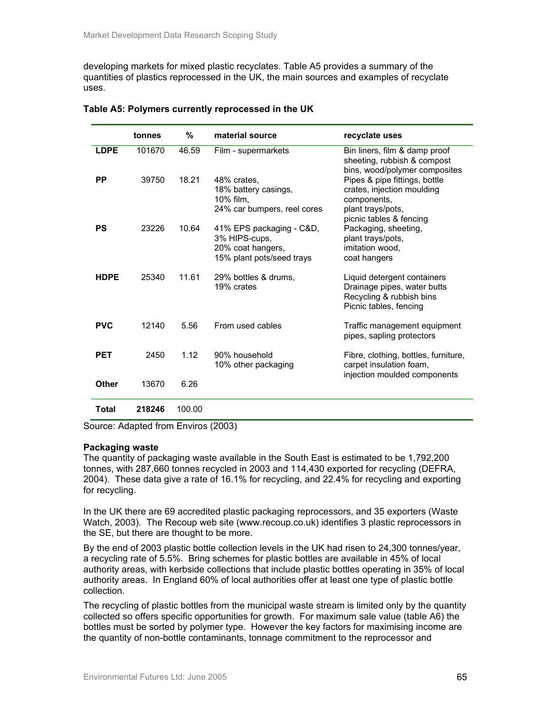developing markets for mixed plastic recyclates. Table A5 provides a summary of the quantities of plastics reprocessed in the UK, the main sources and examples of recyclate uses.

|              | tonnes | %      | material source                                                                             | recyclate uses                                                                                                             |
|--------------|--------|--------|---------------------------------------------------------------------------------------------|----------------------------------------------------------------------------------------------------------------------------|
| <b>LDPE</b>  | 101670 | 46.59  | Film - supermarkets                                                                         | Bin liners, film & damp proof<br>sheeting, rubbish & compost<br>bins, wood/polymer composites                              |
| PP           | 39750  | 18.21  | 48% crates.<br>18% battery casings,<br>10% film,<br>24% car bumpers, reel cores             | Pipes & pipe fittings, bottle<br>crates, injection moulding<br>components,<br>plant trays/pots,<br>picnic tables & fencing |
| <b>PS</b>    | 23226  | 10.64  | 41% EPS packaging - C&D,<br>3% HIPS-cups,<br>20% coat hangers,<br>15% plant pots/seed trays | Packaging, sheeting,<br>plant trays/pots,<br>imitation wood.<br>coat hangers                                               |
| <b>HDPE</b>  | 25340  | 11.61  | 29% bottles & drums.<br>19% crates                                                          | Liquid detergent containers<br>Drainage pipes, water butts<br>Recycling & rubbish bins<br>Picnic tables, fencing           |
| <b>PVC</b>   | 12140  | 5.56   | From used cables                                                                            | Traffic management equipment<br>pipes, sapling protectors                                                                  |
| <b>PET</b>   | 2450   | 1.12   | 90% household<br>10% other packaging                                                        | Fibre, clothing, bottles, furniture,<br>carpet insulation foam,<br>injection moulded components                            |
| <b>Other</b> | 13670  | 6.26   |                                                                                             |                                                                                                                            |
| Total        | 218246 | 100.00 |                                                                                             |                                                                                                                            |

### **Table A5: Polymers currently reprocessed in the UK**

Source: Adapted from Enviros (2003)

## **Packaging waste**

The quantity of packaging waste available in the South East is estimated to be 1,792,200 tonnes, with 287,660 tonnes recycled in 2003 and 114,430 exported for recycling (DEFRA, 2004). These data give a rate of 16.1% for recycling, and 22.4% for recycling and exporting for recycling.

In the UK there are 69 accredited plastic packaging reprocessors, and 35 exporters (Waste Watch, 2003). The Recoup web site (www.recoup.co.uk) identifies 3 plastic reprocessors in the SE, but there are thought to be more.

By the end of 2003 plastic bottle collection levels in the UK had risen to 24,300 tonnes/year, a recycling rate of 5.5%. Bring schemes for plastic bottles are available in 45% of local authority areas, with kerbside collections that include plastic bottles operating in 35% of local authority areas. In England 60% of local authorities offer at least one type of plastic bottle collection.

The recycling of plastic bottles from the municipal waste stream is limited only by the quantity collected so offers specific opportunities for growth. For maximum sale value (table A6) the bottles must be sorted by polymer type. However the key factors for maximising income are the quantity of non-bottle contaminants, tonnage commitment to the reprocessor and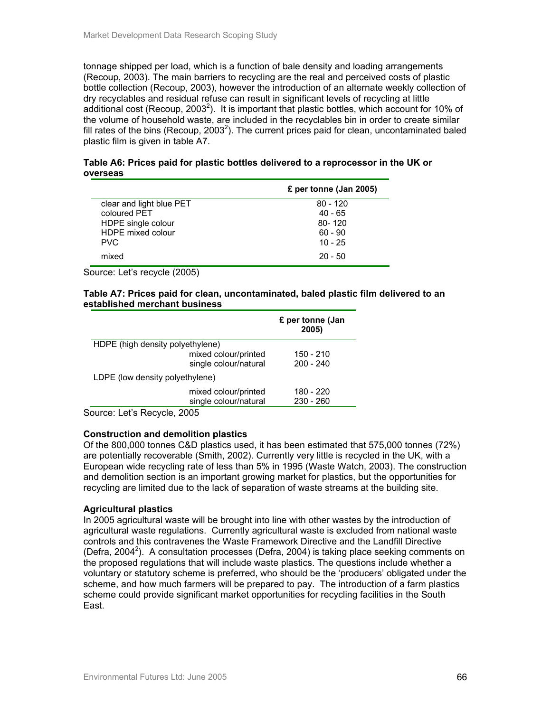tonnage shipped per load, which is a function of bale density and loading arrangements (Recoup, 2003). The main barriers to recycling are the real and perceived costs of plastic bottle collection (Recoup, 2003), however the introduction of an alternate weekly collection of dry recyclables and residual refuse can result in significant levels of recycling at little additional cost (Recoup, 2003<sup>2</sup>). It is important that plastic bottles, which account for 10% of the volume of household waste, are included in the recyclables bin in order to create similar fill rates of the bins (Recoup, 2003<sup>2</sup>). The current prices paid for clean, uncontaminated baled plastic film is given in table A7.

| Table A6: Prices paid for plastic bottles delivered to a reprocessor in the UK or |  |
|-----------------------------------------------------------------------------------|--|
| overseas                                                                          |  |

|                          | £ per tonne (Jan 2005) |
|--------------------------|------------------------|
| clear and light blue PET | $80 - 120$             |
| coloured PFT             | $40 - 65$              |
| HDPE single colour       | 80-120                 |
| HDPE mixed colour        | $60 - 90$              |
| <b>PVC</b>               | $10 - 25$              |
| mixed                    | $20 - 50$              |

Source: Let's recycle (2005)

#### **Table A7: Prices paid for clean, uncontaminated, baled plastic film delivered to an established merchant business**

|                                  | £ per tonne (Jan<br>2005) |
|----------------------------------|---------------------------|
| HDPE (high density polyethylene) |                           |
| mixed colour/printed             | 150 - 210                 |
| single colour/natural            | $200 - 240$               |
| LDPE (low density polyethylene)  |                           |
| mixed colour/printed             | 180 - 220                 |
| single colour/natural            | $230 - 260$               |

Source: Let's Recycle, 2005

## **Construction and demolition plastics**

Of the 800,000 tonnes C&D plastics used, it has been estimated that 575,000 tonnes (72%) are potentially recoverable (Smith, 2002). Currently very little is recycled in the UK, with a European wide recycling rate of less than 5% in 1995 (Waste Watch, 2003). The construction and demolition section is an important growing market for plastics, but the opportunities for recycling are limited due to the lack of separation of waste streams at the building site.

## **Agricultural plastics**

In 2005 agricultural waste will be brought into line with other wastes by the introduction of agricultural waste regulations. Currently agricultural waste is excluded from national waste controls and this contravenes the Waste Framework Directive and the Landfill Directive (Defra, 2004<sup>2</sup>). A consultation processes (Defra, 2004) is taking place seeking comments on the proposed regulations that will include waste plastics. The questions include whether a voluntary or statutory scheme is preferred, who should be the 'producers' obligated under the scheme, and how much farmers will be prepared to pay. The introduction of a farm plastics scheme could provide significant market opportunities for recycling facilities in the South East.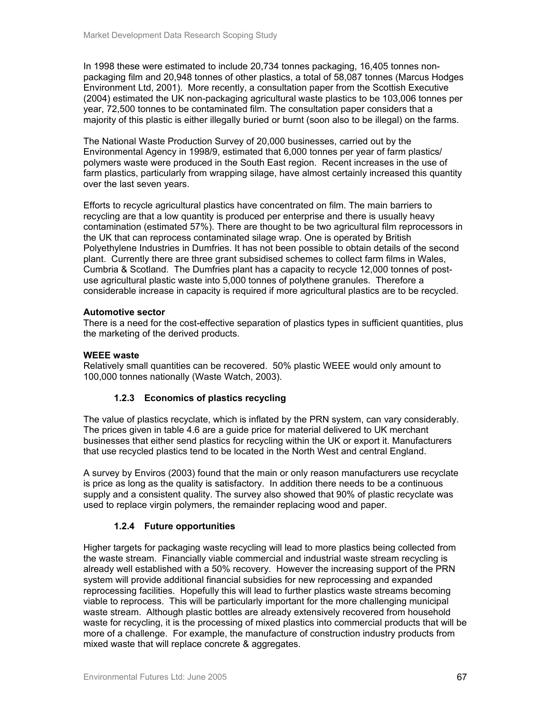In 1998 these were estimated to include 20,734 tonnes packaging, 16,405 tonnes nonpackaging film and 20,948 tonnes of other plastics, a total of 58,087 tonnes (Marcus Hodges Environment Ltd, 2001). More recently, a consultation paper from the Scottish Executive (2004) estimated the UK non-packaging agricultural waste plastics to be 103,006 tonnes per year, 72,500 tonnes to be contaminated film. The consultation paper considers that a majority of this plastic is either illegally buried or burnt (soon also to be illegal) on the farms.

The National Waste Production Survey of 20,000 businesses, carried out by the Environmental Agency in 1998/9, estimated that 6,000 tonnes per year of farm plastics/ polymers waste were produced in the South East region. Recent increases in the use of farm plastics, particularly from wrapping silage, have almost certainly increased this quantity over the last seven years.

Efforts to recycle agricultural plastics have concentrated on film. The main barriers to recycling are that a low quantity is produced per enterprise and there is usually heavy contamination (estimated 57%). There are thought to be two agricultural film reprocessors in the UK that can reprocess contaminated silage wrap. One is operated by British Polyethylene Industries in Dumfries. It has not been possible to obtain details of the second plant. Currently there are three grant subsidised schemes to collect farm films in Wales, Cumbria & Scotland. The Dumfries plant has a capacity to recycle 12,000 tonnes of postuse agricultural plastic waste into 5,000 tonnes of polythene granules. Therefore a considerable increase in capacity is required if more agricultural plastics are to be recycled.

## **Automotive sector**

There is a need for the cost-effective separation of plastics types in sufficient quantities, plus the marketing of the derived products.

## **WEEE waste**

Relatively small quantities can be recovered. 50% plastic WEEE would only amount to 100,000 tonnes nationally (Waste Watch, 2003).

## **1.2.3 Economics of plastics recycling**

The value of plastics recyclate, which is inflated by the PRN system, can vary considerably. The prices given in table 4.6 are a guide price for material delivered to UK merchant businesses that either send plastics for recycling within the UK or export it. Manufacturers that use recycled plastics tend to be located in the North West and central England.

A survey by Enviros (2003) found that the main or only reason manufacturers use recyclate is price as long as the quality is satisfactory. In addition there needs to be a continuous supply and a consistent quality. The survey also showed that 90% of plastic recyclate was used to replace virgin polymers, the remainder replacing wood and paper.

## **1.2.4 Future opportunities**

Higher targets for packaging waste recycling will lead to more plastics being collected from the waste stream. Financially viable commercial and industrial waste stream recycling is already well established with a 50% recovery. However the increasing support of the PRN system will provide additional financial subsidies for new reprocessing and expanded reprocessing facilities. Hopefully this will lead to further plastics waste streams becoming viable to reprocess. This will be particularly important for the more challenging municipal waste stream. Although plastic bottles are already extensively recovered from household waste for recycling, it is the processing of mixed plastics into commercial products that will be more of a challenge. For example, the manufacture of construction industry products from mixed waste that will replace concrete & aggregates.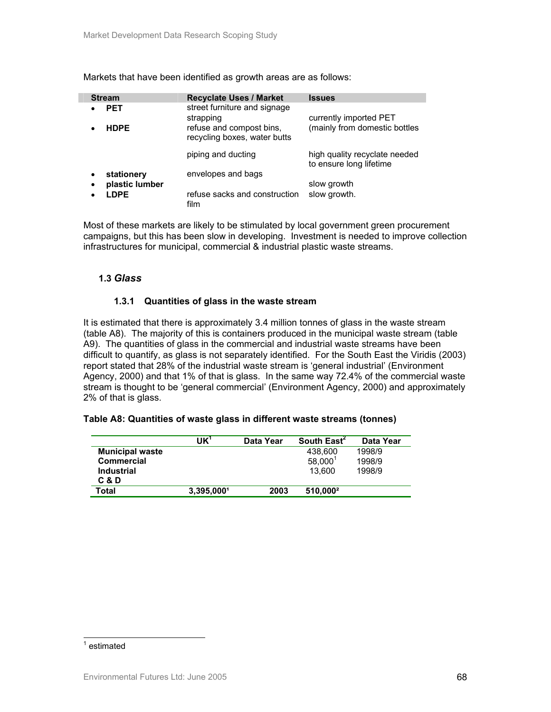Markets that have been identified as growth areas are as follows:

| <b>Stream</b>       | <b>Recyclate Uses / Market</b>                           | <b>Issues</b>                                            |
|---------------------|----------------------------------------------------------|----------------------------------------------------------|
| <b>PET</b>          | street furniture and signage<br>strapping                | currently imported PET                                   |
| <b>HDPE</b>         | refuse and compost bins,<br>recycling boxes, water butts | (mainly from domestic bottles                            |
|                     | piping and ducting                                       | high quality recyclate needed<br>to ensure long lifetime |
| stationery          | envelopes and bags                                       |                                                          |
| plastic lumber<br>٠ |                                                          | slow growth                                              |
| <b>LDPE</b>         | refuse sacks and construction<br>film                    | slow growth.                                             |

Most of these markets are likely to be stimulated by local government green procurement campaigns, but this has been slow in developing. Investment is needed to improve collection infrastructures for municipal, commercial & industrial plastic waste streams.

## **1.3** *Glass*

## **1.3.1 Quantities of glass in the waste stream**

It is estimated that there is approximately 3.4 million tonnes of glass in the waste stream (table A8). The majority of this is containers produced in the municipal waste stream (table A9). The quantities of glass in the commercial and industrial waste streams have been difficult to quantify, as glass is not separately identified. For the South East the Viridis (2003) report stated that 28% of the industrial waste stream is 'general industrial' (Environment Agency, 2000) and that 1% of that is glass. In the same way 72.4% of the commercial waste stream is thought to be 'general commercial' (Environment Agency, 2000) and approximately 2% of that is glass.

#### **Table A8: Quantities of waste glass in different waste streams (tonnes)**

|                        | UK'        | Data Year | South East <sup>2</sup> | Data Year |
|------------------------|------------|-----------|-------------------------|-----------|
| <b>Municipal waste</b> |            |           | 438,600                 | 1998/9    |
| <b>Commercial</b>      |            |           | $58,000^1$              | 1998/9    |
| <b>Industrial</b>      |            |           | 13.600                  | 1998/9    |
| C & D                  |            |           |                         |           |
| Total                  | 3.395.0001 | 2003      | 510,000 <sup>2</sup>    |           |

#### <sup>1</sup> estimated

l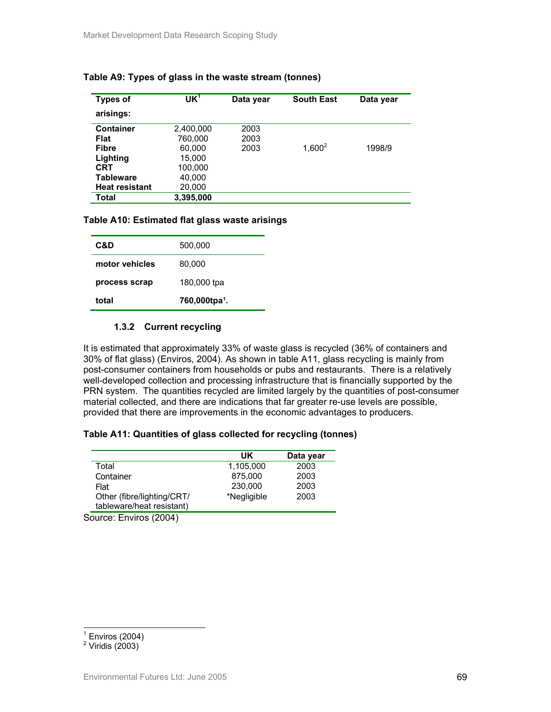| <b>Types of</b>       | UK <sup>1</sup> | Data year | <b>South East</b> | Data year |
|-----------------------|-----------------|-----------|-------------------|-----------|
| arisings:             |                 |           |                   |           |
| <b>Container</b>      | 2,400,000       | 2003      |                   |           |
| Flat                  | 760,000         | 2003      |                   |           |
| <b>Fibre</b>          | 60.000          | 2003      | $1,600^2$         | 1998/9    |
| Lighting              | 15,000          |           |                   |           |
| <b>CRT</b>            | 100,000         |           |                   |           |
| Tableware             | 40,000          |           |                   |           |
| <b>Heat resistant</b> | 20,000          |           |                   |           |
| Total                 | 3,395,000       |           |                   |           |

## **Table A9: Types of glass in the waste stream (tonnes)**

#### **Table A10: Estimated flat glass waste arisings**

| C&D            | 500,000                   |
|----------------|---------------------------|
| motor vehicles | 80,000                    |
| process scrap  | 180,000 tpa               |
| total          | 760,000tpa <sup>1</sup> . |

## **1.3.2 Current recycling**

It is estimated that approximately 33% of waste glass is recycled (36% of containers and 30% of flat glass) (Enviros, 2004). As shown in table A11, glass recycling is mainly from post-consumer containers from households or pubs and restaurants. There is a relatively well-developed collection and processing infrastructure that is financially supported by the PRN system. The quantities recycled are limited largely by the quantities of post-consumer material collected, and there are indications that far greater re-use levels are possible, provided that there are improvements in the economic advantages to producers.

## **Table A11: Quantities of glass collected for recycling (tonnes)**

|                             | UK          | Data year |
|-----------------------------|-------------|-----------|
| Total                       | 1.105.000   | 2003      |
| Container                   | 875,000     | 2003      |
| Flat                        | 230,000     | 2003      |
| Other (fibre/lighting/CRT/  | *Negligible | 2003      |
| tableware/heat resistant)   |             |           |
| $\sim$ $\sim$ $\sim$ $\sim$ |             |           |

Source: Enviros (2004)

 1 Enviros (2004)

 $2$  Viridis (2003)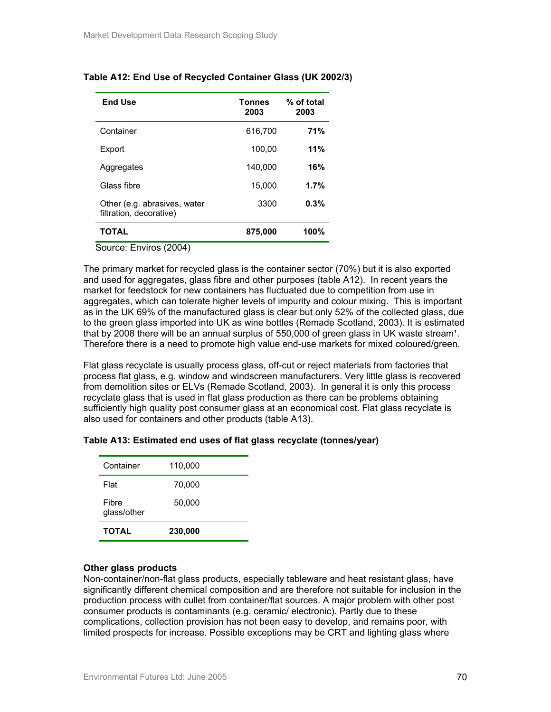| <b>End Use</b>                                          | <b>Tonnes</b><br>2003 | % of total<br>2003 |
|---------------------------------------------------------|-----------------------|--------------------|
| Container                                               | 616,700               | 71%                |
| Export                                                  | 100.00                | 11%                |
| Aggregates                                              | 140.000               | 16%                |
| Glass fibre                                             | 15,000                | 1.7%               |
| Other (e.g. abrasives, water<br>filtration, decorative) | 3300                  | 0.3%               |
| TOTAL                                                   | 875,000               | 100%               |

## **Table A12: End Use of Recycled Container Glass (UK 2002/3)**

Source: Enviros (2004)

The primary market for recycled glass is the container sector (70%) but it is also exported and used for aggregates, glass fibre and other purposes (table A12). In recent years the market for feedstock for new containers has fluctuated due to competition from use in aggregates, which can tolerate higher levels of impurity and colour mixing. This is important as in the UK 69% of the manufactured glass is clear but only 52% of the collected glass, due to the green glass imported into UK as wine bottles (Remade Scotland, 2003). It is estimated that by 2008 there will be an annual surplus of 550,000 of green glass in UK waste stream<sup>1</sup>. Therefore there is a need to promote high value end-use markets for mixed coloured/green.

Flat glass recyclate is usually process glass, off-cut or reject materials from factories that process flat glass, e.g. window and windscreen manufacturers. Very little glass is recovered from demolition sites or ELVs (Remade Scotland, 2003). In general it is only this process recyclate glass that is used in flat glass production as there can be problems obtaining sufficiently high quality post consumer glass at an economical cost. Flat glass recyclate is also used for containers and other products (table A13).

| <b>TOTAL</b>         | 230,000 |  |
|----------------------|---------|--|
| Fibre<br>glass/other | 50,000  |  |
| Flat                 | 70,000  |  |
| Container            | 110,000 |  |
|                      |         |  |

## **Table A13: Estimated end uses of flat glass recyclate (tonnes/year)**

## **Other glass products**

Non-container/non-flat glass products, especially tableware and heat resistant glass, have significantly different chemical composition and are therefore not suitable for inclusion in the production process with cullet from container/flat sources. A major problem with other post consumer products is contaminants (e.g. ceramic/ electronic). Partly due to these complications, collection provision has not been easy to develop, and remains poor, with limited prospects for increase. Possible exceptions may be CRT and lighting glass where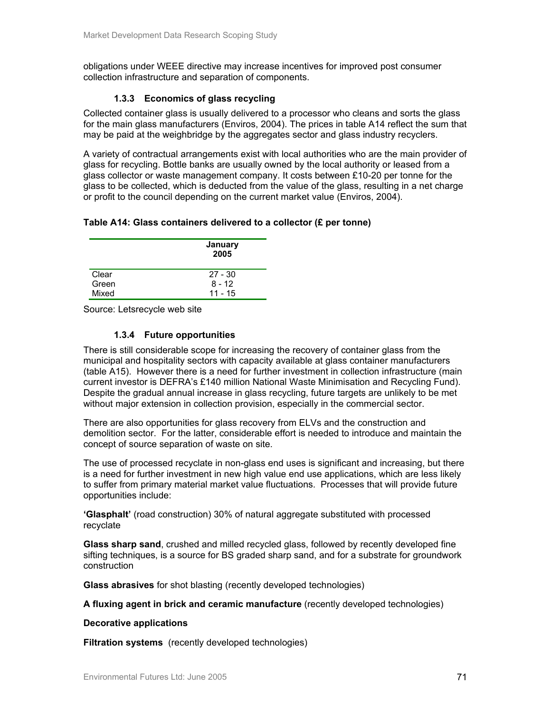obligations under WEEE directive may increase incentives for improved post consumer collection infrastructure and separation of components.

## **1.3.3 Economics of glass recycling**

Collected container glass is usually delivered to a processor who cleans and sorts the glass for the main glass manufacturers (Enviros, 2004). The prices in table A14 reflect the sum that may be paid at the weighbridge by the aggregates sector and glass industry recyclers.

A variety of contractual arrangements exist with local authorities who are the main provider of glass for recycling. Bottle banks are usually owned by the local authority or leased from a glass collector or waste management company. It costs between £10-20 per tonne for the glass to be collected, which is deducted from the value of the glass, resulting in a net charge or profit to the council depending on the current market value (Enviros, 2004).

## **Table A14: Glass containers delivered to a collector (£ per tonne)**

|       | January<br>2005 |
|-------|-----------------|
| Clear | $27 - 30$       |
| Green | $8 - 12$        |
| Mixed | $11 - 15$       |

Source: Letsrecycle web site

## **1.3.4 Future opportunities**

There is still considerable scope for increasing the recovery of container glass from the municipal and hospitality sectors with capacity available at glass container manufacturers (table A15). However there is a need for further investment in collection infrastructure (main current investor is DEFRA's £140 million National Waste Minimisation and Recycling Fund). Despite the gradual annual increase in glass recycling, future targets are unlikely to be met without major extension in collection provision, especially in the commercial sector.

There are also opportunities for glass recovery from ELVs and the construction and demolition sector. For the latter, considerable effort is needed to introduce and maintain the concept of source separation of waste on site.

The use of processed recyclate in non-glass end uses is significant and increasing, but there is a need for further investment in new high value end use applications, which are less likely to suffer from primary material market value fluctuations. Processes that will provide future opportunities include:

**'Glasphalt'** (road construction) 30% of natural aggregate substituted with processed recyclate

**Glass sharp sand**, crushed and milled recycled glass, followed by recently developed fine sifting techniques, is a source for BS graded sharp sand, and for a substrate for groundwork construction

**Glass abrasives** for shot blasting (recently developed technologies)

**A fluxing agent in brick and ceramic manufacture** (recently developed technologies)

#### **Decorative applications**

**Filtration systems** (recently developed technologies)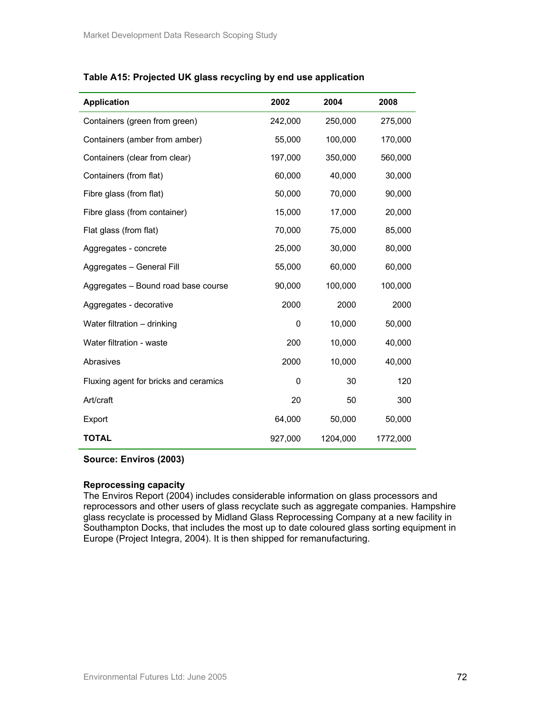| <b>Application</b>                    | 2002    | 2004     | 2008     |
|---------------------------------------|---------|----------|----------|
| Containers (green from green)         | 242,000 | 250,000  | 275,000  |
| Containers (amber from amber)         | 55,000  | 100,000  | 170,000  |
| Containers (clear from clear)         | 197,000 | 350,000  | 560,000  |
| Containers (from flat)                | 60,000  | 40,000   | 30,000   |
| Fibre glass (from flat)               | 50,000  | 70,000   | 90,000   |
| Fibre glass (from container)          | 15,000  | 17,000   | 20,000   |
| Flat glass (from flat)                | 70,000  | 75,000   | 85,000   |
| Aggregates - concrete                 | 25,000  | 30,000   | 80,000   |
| Aggregates - General Fill             | 55,000  | 60,000   | 60,000   |
| Aggregates - Bound road base course   | 90,000  | 100,000  | 100,000  |
| Aggregates - decorative               | 2000    | 2000     | 2000     |
| Water filtration - drinking           | 0       | 10,000   | 50,000   |
| Water filtration - waste              | 200     | 10,000   | 40,000   |
| Abrasives                             | 2000    | 10,000   | 40,000   |
| Fluxing agent for bricks and ceramics | 0       | 30       | 120      |
| Art/craft                             | 20      | 50       | 300      |
| Export                                | 64,000  | 50,000   | 50,000   |
| <b>TOTAL</b>                          | 927,000 | 1204,000 | 1772,000 |

## **Table A15: Projected UK glass recycling by end use application**

## **Source: Enviros (2003)**

## **Reprocessing capacity**

The Enviros Report (2004) includes considerable information on glass processors and reprocessors and other users of glass recyclate such as aggregate companies. Hampshire glass recyclate is processed by Midland Glass Reprocessing Company at a new facility in Southampton Docks, that includes the most up to date coloured glass sorting equipment in Europe (Project Integra, 2004). It is then shipped for remanufacturing.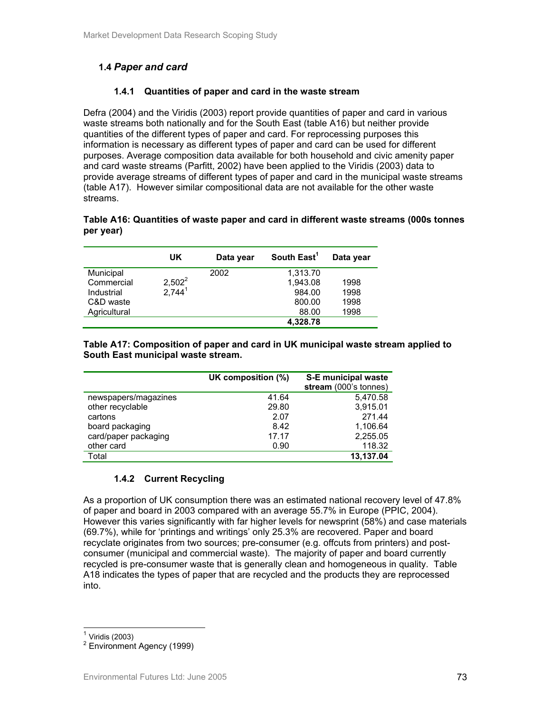# **1.4** *Paper and card*

### **1.4.1 Quantities of paper and card in the waste stream**

Defra (2004) and the Viridis (2003) report provide quantities of paper and card in various waste streams both nationally and for the South East (table A16) but neither provide quantities of the different types of paper and card. For reprocessing purposes this information is necessary as different types of paper and card can be used for different purposes. Average composition data available for both household and civic amenity paper and card waste streams (Parfitt, 2002) have been applied to the Viridis (2003) data to provide average streams of different types of paper and card in the municipal waste streams (table A17). However similar compositional data are not available for the other waste streams.

### **Table A16: Quantities of waste paper and card in different waste streams (000s tonnes per year)**

|              | UK                 | Data year | South East <sup>1</sup> | Data year |
|--------------|--------------------|-----------|-------------------------|-----------|
| Municipal    |                    | 2002      | 1,313.70                |           |
| Commercial   | $2,502^2$          |           | 1.943.08                | 1998      |
| Industrial   | 2.744 <sup>1</sup> |           | 984.00                  | 1998      |
| C&D waste    |                    |           | 800.00                  | 1998      |
| Agricultural |                    |           | 88.00                   | 1998      |
|              |                    |           | 4,328.78                |           |

### **Table A17: Composition of paper and card in UK municipal waste stream applied to South East municipal waste stream.**

|                      | UK composition (%) | S-E municipal waste<br>stream (000's tonnes) |
|----------------------|--------------------|----------------------------------------------|
| newspapers/magazines | 41.64              | 5,470.58                                     |
| other recyclable     | 29.80              | 3,915.01                                     |
| cartons              | 2.07               | 271.44                                       |
| board packaging      | 8.42               | 1,106.64                                     |
| card/paper packaging | 17.17              | 2,255.05                                     |
| other card           | 0.90               | 118.32                                       |
| Total                |                    | 13.137.04                                    |

### **1.4.2 Current Recycling**

As a proportion of UK consumption there was an estimated national recovery level of 47.8% of paper and board in 2003 compared with an average 55.7% in Europe (PPIC, 2004). However this varies significantly with far higher levels for newsprint (58%) and case materials (69.7%), while for 'printings and writings' only 25.3% are recovered. Paper and board recyclate originates from two sources; pre-consumer (e.g. offcuts from printers) and postconsumer (municipal and commercial waste). The majority of paper and board currently recycled is pre-consumer waste that is generally clean and homogeneous in quality. Table A18 indicates the types of paper that are recycled and the products they are reprocessed into.

 $\overline{a}$  $<sup>1</sup>$  Viridis (2003)</sup>

<sup>2</sup> Environment Agency (1999)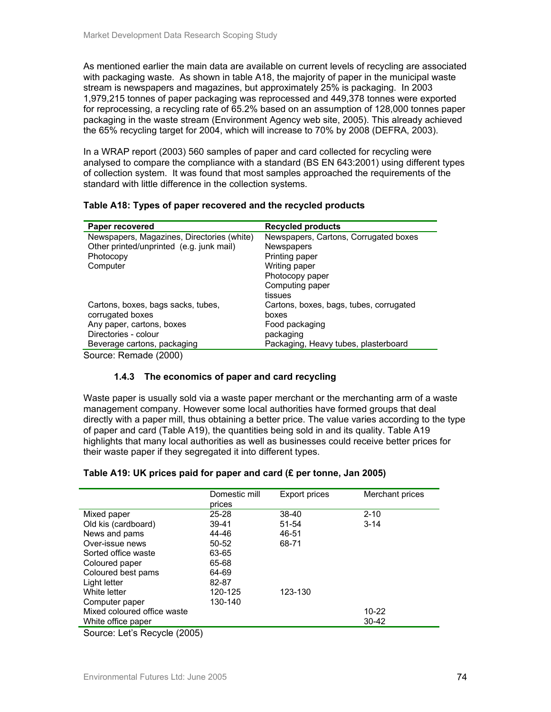As mentioned earlier the main data are available on current levels of recycling are associated with packaging waste. As shown in table A18, the majority of paper in the municipal waste stream is newspapers and magazines, but approximately 25% is packaging. In 2003 1,979,215 tonnes of paper packaging was reprocessed and 449,378 tonnes were exported for reprocessing, a recycling rate of 65.2% based on an assumption of 128,000 tonnes paper packaging in the waste stream (Environment Agency web site, 2005). This already achieved the 65% recycling target for 2004, which will increase to 70% by 2008 (DEFRA, 2003).

In a WRAP report (2003) 560 samples of paper and card collected for recycling were analysed to compare the compliance with a standard (BS EN 643:2001) using different types of collection system. It was found that most samples approached the requirements of the standard with little difference in the collection systems.

| Paper recovered                            | <b>Recycled products</b>                |
|--------------------------------------------|-----------------------------------------|
| Newspapers, Magazines, Directories (white) | Newspapers, Cartons, Corrugated boxes   |
| Other printed/unprinted (e.g. junk mail)   | Newspapers                              |
| Photocopy                                  | Printing paper                          |
| Computer                                   | Writing paper                           |
|                                            | Photocopy paper                         |
|                                            | Computing paper                         |
|                                            | tissues                                 |
| Cartons, boxes, bags sacks, tubes,         | Cartons, boxes, bags, tubes, corrugated |
| corrugated boxes                           | boxes                                   |
| Any paper, cartons, boxes                  | Food packaging                          |
| Directories - colour                       | packaging                               |
| Beverage cartons, packaging                | Packaging, Heavy tubes, plasterboard    |

**Table A18: Types of paper recovered and the recycled products** 

Source: Remade (2000)

### **1.4.3 The economics of paper and card recycling**

Waste paper is usually sold via a waste paper merchant or the merchanting arm of a waste management company. However some local authorities have formed groups that deal directly with a paper mill, thus obtaining a better price. The value varies according to the type of paper and card (Table A19), the quantities being sold in and its quality. Table A19 highlights that many local authorities as well as businesses could receive better prices for their waste paper if they segregated it into different types.

### **Table A19: UK prices paid for paper and card (£ per tonne, Jan 2005)**

|                                        | Domestic mill | Export prices | Merchant prices |
|----------------------------------------|---------------|---------------|-----------------|
|                                        | prices        |               |                 |
| Mixed paper                            | $25 - 28$     | 38-40         | $2 - 10$        |
| Old kis (cardboard)                    | $39 - 41$     | 51-54         | $3 - 14$        |
| News and pams                          | 44-46         | 46-51         |                 |
| Over-issue news                        | $50 - 52$     | 68-71         |                 |
| Sorted office waste                    | 63-65         |               |                 |
| Coloured paper                         | 65-68         |               |                 |
| Coloured best pams                     | 64-69         |               |                 |
| Light letter                           | 82-87         |               |                 |
| White letter                           | 120-125       | 123-130       |                 |
| Computer paper                         | 130-140       |               |                 |
| Mixed coloured office waste            |               |               | $10 - 22$       |
| White office paper                     |               |               | $30 - 42$       |
| $\Omega$ . I II $\Omega$ I IQ $\Omega$ |               |               |                 |

Source: Let's Recycle (2005)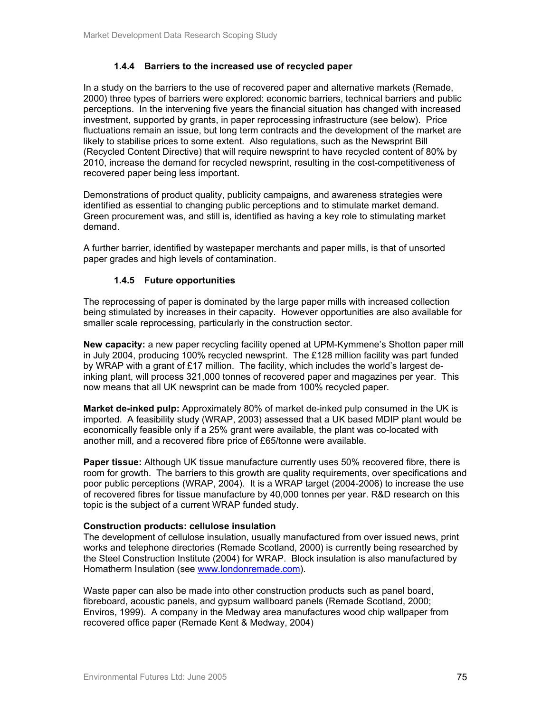### **1.4.4 Barriers to the increased use of recycled paper**

In a study on the barriers to the use of recovered paper and alternative markets (Remade, 2000) three types of barriers were explored: economic barriers, technical barriers and public perceptions. In the intervening five years the financial situation has changed with increased investment, supported by grants, in paper reprocessing infrastructure (see below). Price fluctuations remain an issue, but long term contracts and the development of the market are likely to stabilise prices to some extent. Also regulations, such as the Newsprint Bill (Recycled Content Directive) that will require newsprint to have recycled content of 80% by 2010, increase the demand for recycled newsprint, resulting in the cost-competitiveness of recovered paper being less important.

Demonstrations of product quality, publicity campaigns, and awareness strategies were identified as essential to changing public perceptions and to stimulate market demand. Green procurement was, and still is, identified as having a key role to stimulating market demand.

A further barrier, identified by wastepaper merchants and paper mills, is that of unsorted paper grades and high levels of contamination.

### **1.4.5 Future opportunities**

The reprocessing of paper is dominated by the large paper mills with increased collection being stimulated by increases in their capacity. However opportunities are also available for smaller scale reprocessing, particularly in the construction sector.

**New capacity:** a new paper recycling facility opened at UPM-Kymmene's Shotton paper mill in July 2004, producing 100% recycled newsprint. The £128 million facility was part funded by WRAP with a grant of £17 million. The facility, which includes the world's largest deinking plant, will process 321,000 tonnes of recovered paper and magazines per year. This now means that all UK newsprint can be made from 100% recycled paper.

**Market de-inked pulp:** Approximately 80% of market de-inked pulp consumed in the UK is imported. A feasibility study (WRAP, 2003) assessed that a UK based MDIP plant would be economically feasible only if a 25% grant were available, the plant was co-located with another mill, and a recovered fibre price of £65/tonne were available.

**Paper tissue:** Although UK tissue manufacture currently uses 50% recovered fibre, there is room for growth. The barriers to this growth are quality requirements, over specifications and poor public perceptions (WRAP, 2004). It is a WRAP target (2004-2006) to increase the use of recovered fibres for tissue manufacture by 40,000 tonnes per year. R&D research on this topic is the subject of a current WRAP funded study.

#### **Construction products: cellulose insulation**

The development of cellulose insulation, usually manufactured from over issued news, print works and telephone directories (Remade Scotland, 2000) is currently being researched by the Steel Construction Institute (2004) for WRAP. Block insulation is also manufactured by Homatherm Insulation (see www.londonremade.com).

Waste paper can also be made into other construction products such as panel board, fibreboard, acoustic panels, and gypsum wallboard panels (Remade Scotland, 2000; Enviros, 1999). A company in the Medway area manufactures wood chip wallpaper from recovered office paper (Remade Kent & Medway, 2004)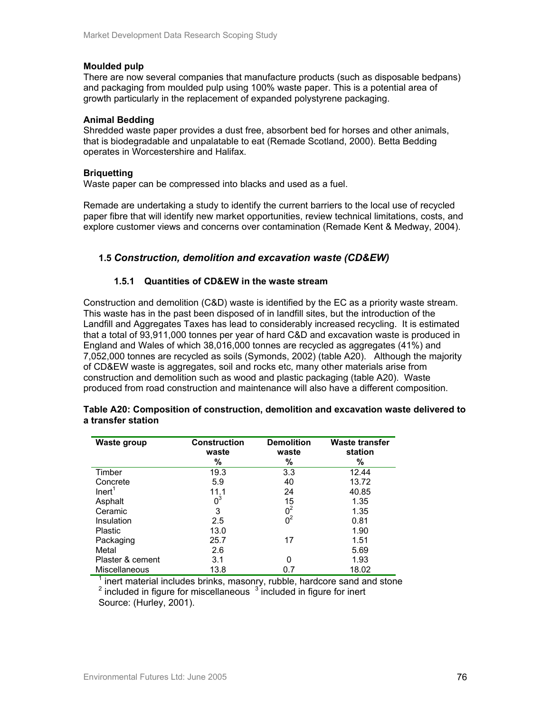### **Moulded pulp**

There are now several companies that manufacture products (such as disposable bedpans) and packaging from moulded pulp using 100% waste paper. This is a potential area of growth particularly in the replacement of expanded polystyrene packaging.

### **Animal Bedding**

Shredded waste paper provides a dust free, absorbent bed for horses and other animals, that is biodegradable and unpalatable to eat (Remade Scotland, 2000). Betta Bedding operates in Worcestershire and Halifax.

### **Briquetting**

Waste paper can be compressed into blacks and used as a fuel.

Remade are undertaking a study to identify the current barriers to the local use of recycled paper fibre that will identify new market opportunities, review technical limitations, costs, and explore customer views and concerns over contamination (Remade Kent & Medway, 2004).

### **1.5** *Construction, demolition and excavation waste (CD&EW)*

### **1.5.1 Quantities of CD&EW in the waste stream**

Construction and demolition (C&D) waste is identified by the EC as a priority waste stream. This waste has in the past been disposed of in landfill sites, but the introduction of the Landfill and Aggregates Taxes has lead to considerably increased recycling. It is estimated that a total of 93,911,000 tonnes per year of hard C&D and excavation waste is produced in England and Wales of which 38,016,000 tonnes are recycled as aggregates (41%) and 7,052,000 tonnes are recycled as soils (Symonds, 2002) (table A20). Although the majority of CD&EW waste is aggregates, soil and rocks etc, many other materials arise from construction and demolition such as wood and plastic packaging (table A20). Waste produced from road construction and maintenance will also have a different composition.

| <b>Waste group</b>   | <b>Construction</b><br>waste | <b>Demolition</b><br>waste | <b>Waste transfer</b><br>station |
|----------------------|------------------------------|----------------------------|----------------------------------|
|                      | %                            | $\%$                       | %                                |
| Timber               | 19.3                         | 3.3                        | 12.44                            |
| Concrete             | 5.9                          | 40                         | 13.72                            |
| Inert <sup>1</sup>   | 11.1                         | 24                         | 40.85                            |
| Asphalt              | $0^3$                        | 15                         | 1.35                             |
| Ceramic              | 3                            | 0 <sup>2</sup>             | 1.35                             |
| Insulation           | 2.5                          | 0 <sup>2</sup>             | 0.81                             |
| Plastic              | 13.0                         |                            | 1.90                             |
| Packaging            | 25.7                         | 17                         | 1.51                             |
| Metal                | 2.6                          |                            | 5.69                             |
| Plaster & cement     | 3.1                          |                            | 1.93                             |
| <b>Miscellaneous</b> | 13.8                         |                            | 18.02                            |

#### **Table A20: Composition of construction, demolition and excavation waste delivered to a transfer station**

<sup>1</sup> inert material includes brinks, masonry, rubble, hardcore sand and stone  $2$  included in figure for miscellaneous  $3$  included in figure for inert

Source: (Hurley, 2001).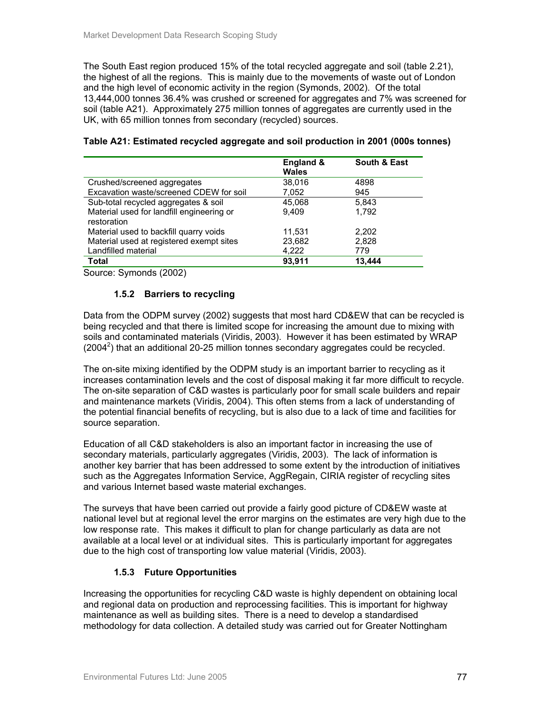The South East region produced 15% of the total recycled aggregate and soil (table 2.21), the highest of all the regions. This is mainly due to the movements of waste out of London and the high level of economic activity in the region (Symonds, 2002). Of the total 13,444,000 tonnes 36.4% was crushed or screened for aggregates and 7% was screened for soil (table A21). Approximately 275 million tonnes of aggregates are currently used in the UK, with 65 million tonnes from secondary (recycled) sources.

|                                                          | England &<br><b>Wales</b> | South & East |
|----------------------------------------------------------|---------------------------|--------------|
| Crushed/screened aggregates                              | 38.016                    | 4898         |
| Excavation waste/screened CDEW for soil                  | 7,052                     | 945          |
| Sub-total recycled aggregates & soil                     | 45.068                    | 5,843        |
| Material used for landfill engineering or<br>restoration | 9.409                     | 1.792        |
| Material used to backfill quarry voids                   | 11,531                    | 2.202        |
| Material used at registered exempt sites                 | 23,682                    | 2,828        |
| Landfilled material                                      | 4.222                     | 779          |
| Total                                                    | 93.911                    | 13.444       |

### **Table A21: Estimated recycled aggregate and soil production in 2001 (000s tonnes)**

Source: Symonds (2002)

### **1.5.2 Barriers to recycling**

Data from the ODPM survey (2002) suggests that most hard CD&EW that can be recycled is being recycled and that there is limited scope for increasing the amount due to mixing with soils and contaminated materials (Viridis, 2003). However it has been estimated by WRAP  $(2004<sup>2</sup>)$  that an additional 20-25 million tonnes secondary aggregates could be recycled.

The on-site mixing identified by the ODPM study is an important barrier to recycling as it increases contamination levels and the cost of disposal making it far more difficult to recycle. The on-site separation of C&D wastes is particularly poor for small scale builders and repair and maintenance markets (Viridis, 2004). This often stems from a lack of understanding of the potential financial benefits of recycling, but is also due to a lack of time and facilities for source separation.

Education of all C&D stakeholders is also an important factor in increasing the use of secondary materials, particularly aggregates (Viridis, 2003). The lack of information is another key barrier that has been addressed to some extent by the introduction of initiatives such as the Aggregates Information Service, AggRegain, CIRIA register of recycling sites and various Internet based waste material exchanges.

The surveys that have been carried out provide a fairly good picture of CD&EW waste at national level but at regional level the error margins on the estimates are very high due to the low response rate. This makes it difficult to plan for change particularly as data are not available at a local level or at individual sites. This is particularly important for aggregates due to the high cost of transporting low value material (Viridis, 2003).

### **1.5.3 Future Opportunities**

Increasing the opportunities for recycling C&D waste is highly dependent on obtaining local and regional data on production and reprocessing facilities. This is important for highway maintenance as well as building sites. There is a need to develop a standardised methodology for data collection. A detailed study was carried out for Greater Nottingham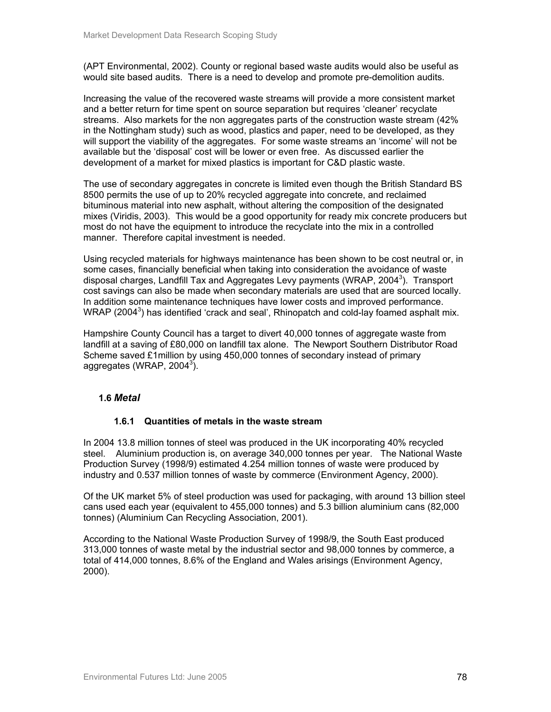(APT Environmental, 2002). County or regional based waste audits would also be useful as would site based audits. There is a need to develop and promote pre-demolition audits.

Increasing the value of the recovered waste streams will provide a more consistent market and a better return for time spent on source separation but requires 'cleaner' recyclate streams. Also markets for the non aggregates parts of the construction waste stream (42% in the Nottingham study) such as wood, plastics and paper, need to be developed, as they will support the viability of the aggregates. For some waste streams an 'income' will not be available but the 'disposal' cost will be lower or even free. As discussed earlier the development of a market for mixed plastics is important for C&D plastic waste.

The use of secondary aggregates in concrete is limited even though the British Standard BS 8500 permits the use of up to 20% recycled aggregate into concrete, and reclaimed bituminous material into new asphalt, without altering the composition of the designated mixes (Viridis, 2003). This would be a good opportunity for ready mix concrete producers but most do not have the equipment to introduce the recyclate into the mix in a controlled manner. Therefore capital investment is needed.

Using recycled materials for highways maintenance has been shown to be cost neutral or, in some cases, financially beneficial when taking into consideration the avoidance of waste disposal charges, Landfill Tax and Aggregates Levy payments (WRAP, 2004<sup>3</sup>). Transport cost savings can also be made when secondary materials are used that are sourced locally. In addition some maintenance techniques have lower costs and improved performance. WRAP (2004<sup>3</sup>) has identified 'crack and seal', Rhinopatch and cold-lay foamed asphalt mix.

Hampshire County Council has a target to divert 40,000 tonnes of aggregate waste from landfill at a saving of £80,000 on landfill tax alone. The Newport Southern Distributor Road Scheme saved £1million by using 450,000 tonnes of secondary instead of primary aggregates (WRAP, 2004 $^3$ ).

### **1.6** *Metal*

### **1.6.1 Quantities of metals in the waste stream**

In 2004 13.8 million tonnes of steel was produced in the UK incorporating 40% recycled steel. Aluminium production is, on average 340,000 tonnes per year. The National Waste Production Survey (1998/9) estimated 4.254 million tonnes of waste were produced by industry and 0.537 million tonnes of waste by commerce (Environment Agency, 2000).

Of the UK market 5% of steel production was used for packaging, with around 13 billion steel cans used each year (equivalent to 455,000 tonnes) and 5.3 billion aluminium cans (82,000 tonnes) (Aluminium Can Recycling Association, 2001).

According to the National Waste Production Survey of 1998/9, the South East produced 313,000 tonnes of waste metal by the industrial sector and 98,000 tonnes by commerce, a total of 414,000 tonnes, 8.6% of the England and Wales arisings (Environment Agency, 2000).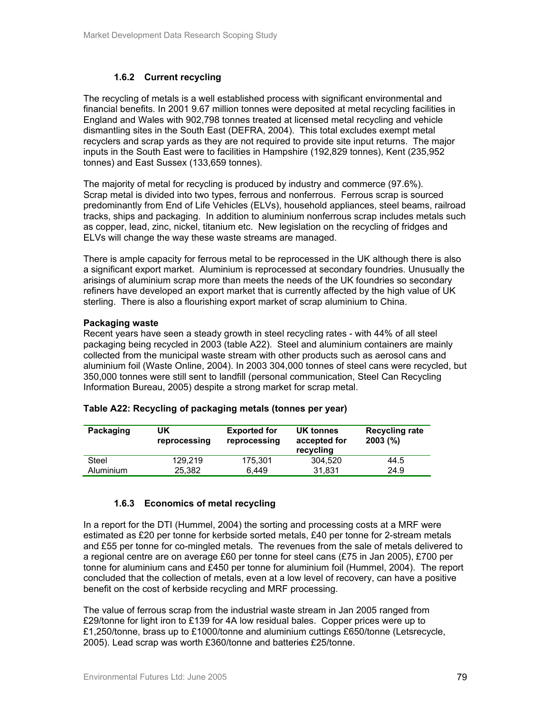### **1.6.2 Current recycling**

The recycling of metals is a well established process with significant environmental and financial benefits. In 2001 9.67 million tonnes were deposited at metal recycling facilities in England and Wales with 902,798 tonnes treated at licensed metal recycling and vehicle dismantling sites in the South East (DEFRA, 2004). This total excludes exempt metal recyclers and scrap yards as they are not required to provide site input returns. The major inputs in the South East were to facilities in Hampshire (192,829 tonnes), Kent (235,952 tonnes) and East Sussex (133,659 tonnes).

The majority of metal for recycling is produced by industry and commerce (97.6%). Scrap metal is divided into two types, ferrous and nonferrous. Ferrous scrap is sourced predominantly from End of Life Vehicles (ELVs), household appliances, steel beams, railroad tracks, ships and packaging. In addition to aluminium nonferrous scrap includes metals such as copper, lead, zinc, nickel, titanium etc. New legislation on the recycling of fridges and ELVs will change the way these waste streams are managed.

There is ample capacity for ferrous metal to be reprocessed in the UK although there is also a significant export market. Aluminium is reprocessed at secondary foundries. Unusually the arisings of aluminium scrap more than meets the needs of the UK foundries so secondary refiners have developed an export market that is currently affected by the high value of UK sterling. There is also a flourishing export market of scrap aluminium to China.

### **Packaging waste**

Recent years have seen a steady growth in steel recycling rates - with 44% of all steel packaging being recycled in 2003 (table A22). Steel and aluminium containers are mainly collected from the municipal waste stream with other products such as aerosol cans and aluminium foil (Waste Online, 2004). In 2003 304,000 tonnes of steel cans were recycled, but 350,000 tonnes were still sent to landfill (personal communication, Steel Can Recycling Information Bureau, 2005) despite a strong market for scrap metal.

| Packaging        | UK<br>reprocessing | <b>Exported for</b><br>reprocessing | UK tonnes<br>accepted for<br>recycling | <b>Recycling rate</b><br>$2003$ (%) |
|------------------|--------------------|-------------------------------------|----------------------------------------|-------------------------------------|
| Steel            | 129.219            | 175.301                             | 304.520                                | 44.5                                |
| <b>Aluminium</b> | 25,382             | 6.449                               | 31.831                                 | 24.9                                |

### **Table A22: Recycling of packaging metals (tonnes per year)**

### **1.6.3 Economics of metal recycling**

In a report for the DTI (Hummel, 2004) the sorting and processing costs at a MRF were estimated as £20 per tonne for kerbside sorted metals, £40 per tonne for 2-stream metals and £55 per tonne for co-mingled metals. The revenues from the sale of metals delivered to a regional centre are on average £60 per tonne for steel cans (£75 in Jan 2005), £700 per tonne for aluminium cans and £450 per tonne for aluminium foil (Hummel, 2004). The report concluded that the collection of metals, even at a low level of recovery, can have a positive benefit on the cost of kerbside recycling and MRF processing.

The value of ferrous scrap from the industrial waste stream in Jan 2005 ranged from £29/tonne for light iron to £139 for 4A low residual bales. Copper prices were up to £1,250/tonne, brass up to £1000/tonne and aluminium cuttings £650/tonne (Letsrecycle, 2005). Lead scrap was worth £360/tonne and batteries £25/tonne.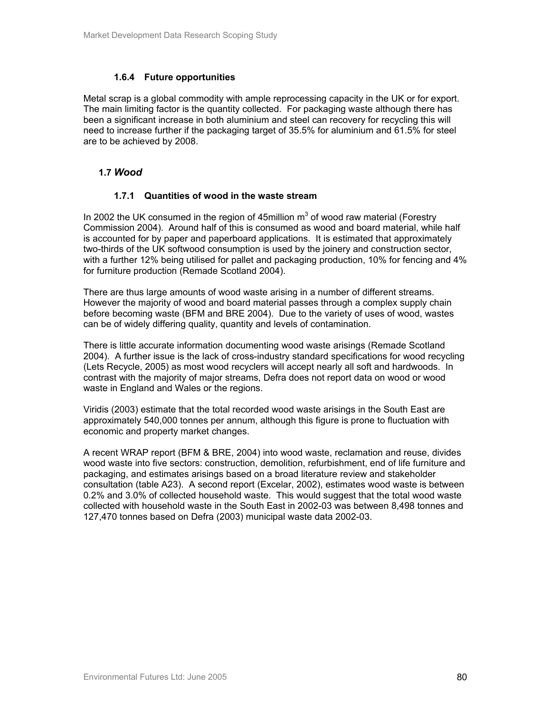### **1.6.4 Future opportunities**

Metal scrap is a global commodity with ample reprocessing capacity in the UK or for export. The main limiting factor is the quantity collected. For packaging waste although there has been a significant increase in both aluminium and steel can recovery for recycling this will need to increase further if the packaging target of 35.5% for aluminium and 61.5% for steel are to be achieved by 2008.

### **1.7** *Wood*

### **1.7.1 Quantities of wood in the waste stream**

In 2002 the UK consumed in the region of 45million  $m^3$  of wood raw material (Forestry Commission 2004). Around half of this is consumed as wood and board material, while half is accounted for by paper and paperboard applications. It is estimated that approximately two-thirds of the UK softwood consumption is used by the joinery and construction sector, with a further 12% being utilised for pallet and packaging production, 10% for fencing and 4% for furniture production (Remade Scotland 2004).

There are thus large amounts of wood waste arising in a number of different streams. However the majority of wood and board material passes through a complex supply chain before becoming waste (BFM and BRE 2004). Due to the variety of uses of wood, wastes can be of widely differing quality, quantity and levels of contamination.

There is little accurate information documenting wood waste arisings (Remade Scotland 2004). A further issue is the lack of cross-industry standard specifications for wood recycling (Lets Recycle, 2005) as most wood recyclers will accept nearly all soft and hardwoods. In contrast with the majority of major streams, Defra does not report data on wood or wood waste in England and Wales or the regions.

Viridis (2003) estimate that the total recorded wood waste arisings in the South East are approximately 540,000 tonnes per annum, although this figure is prone to fluctuation with economic and property market changes.

A recent WRAP report (BFM & BRE, 2004) into wood waste, reclamation and reuse, divides wood waste into five sectors: construction, demolition, refurbishment, end of life furniture and packaging, and estimates arisings based on a broad literature review and stakeholder consultation (table A23). A second report (Excelar, 2002), estimates wood waste is between 0.2% and 3.0% of collected household waste. This would suggest that the total wood waste collected with household waste in the South East in 2002-03 was between 8,498 tonnes and 127,470 tonnes based on Defra (2003) municipal waste data 2002-03.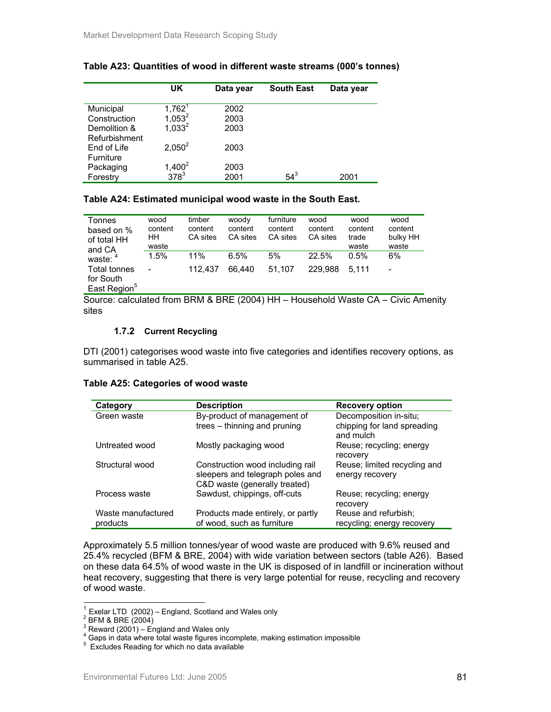|                  | UK                            | Data year | <b>South East</b> | Data year |
|------------------|-------------------------------|-----------|-------------------|-----------|
|                  |                               |           |                   |           |
| Municipal        | $1,762^1$                     | 2002      |                   |           |
| Construction     | $1,053^2$                     | 2003      |                   |           |
| Demolition &     | $1,033^2$                     | 2003      |                   |           |
| Refurbishment    |                               |           |                   |           |
| End of Life      | 2.050 <sup>2</sup>            | 2003      |                   |           |
| <b>Furniture</b> |                               |           |                   |           |
| Packaging        |                               | 2003      |                   |           |
| Forestry         | $1,400^2$<br>378 <sup>3</sup> | 2001      | $54^3$            | 2001      |
|                  |                               |           |                   |           |

#### **Table A23: Quantities of wood in different waste streams (000's tonnes)**

### **Table A24: Estimated municipal wood waste in the South East.**

| Tonnes<br>based on %<br>of total HH<br>and CA                | wood<br>content<br>HН<br>waste | timber<br>content<br>CA sites | woody<br>content<br>CA sites | furniture<br>content<br>CA sites | wood<br>content<br>CA sites | wood<br>content<br>trade<br>waste | wood<br>content<br>bulky HH<br>waste |
|--------------------------------------------------------------|--------------------------------|-------------------------------|------------------------------|----------------------------------|-----------------------------|-----------------------------------|--------------------------------------|
| waste: 4                                                     | 1.5%                           | 11%                           | 6.5%                         | 5%                               | 22.5%                       | 0.5%                              | 6%                                   |
| <b>Total tonnes</b><br>for South<br>East Region <sup>5</sup> | -                              | 112.437                       | 66.440                       | 51.107                           | 229.988                     | 5.111                             | -                                    |

Source: calculated from BRM & BRE (2004) HH – Household Waste CA – Civic Amenity sites

#### **1.7.2 Current Recycling**

DTI (2001) categorises wood waste into five categories and identifies recovery options, as summarised in table A25.

#### **Table A25: Categories of wood waste**

| Category                       | <b>Description</b>                                                                                    | Recovery option                                                    |
|--------------------------------|-------------------------------------------------------------------------------------------------------|--------------------------------------------------------------------|
| Green waste                    | By-product of management of<br>trees – thinning and pruning                                           | Decomposition in-situ;<br>chipping for land spreading<br>and mulch |
| Untreated wood                 | Mostly packaging wood                                                                                 | Reuse; recycling; energy<br>recovery                               |
| Structural wood                | Construction wood including rail<br>sleepers and telegraph poles and<br>C&D waste (generally treated) | Reuse; limited recycling and<br>energy recovery                    |
| Process waste                  | Sawdust, chippings, off-cuts                                                                          | Reuse; recycling; energy<br>recovery                               |
| Waste manufactured<br>products | Products made entirely, or partly<br>of wood, such as furniture                                       | Reuse and refurbish;<br>recycling; energy recovery                 |

Approximately 5.5 million tonnes/year of wood waste are produced with 9.6% reused and 25.4% recycled (BFM & BRE, 2004) with wide variation between sectors (table A26). Based on these data 64.5% of wood waste in the UK is disposed of in landfill or incineration without heat recovery, suggesting that there is very large potential for reuse, recycling and recovery of wood waste.

l

 $1$  Exelar LTD (2002) – England, Scotland and Wales only

 $\overline{P}$  BFM & BRE (2004)

 $3$  Reward (2001) – England and Wales only

<sup>&</sup>lt;sup>4</sup> Gaps in data where total waste figures incomplete, making estimation impossible

<sup>&</sup>lt;sup>5</sup> Excludes Reading for which no data available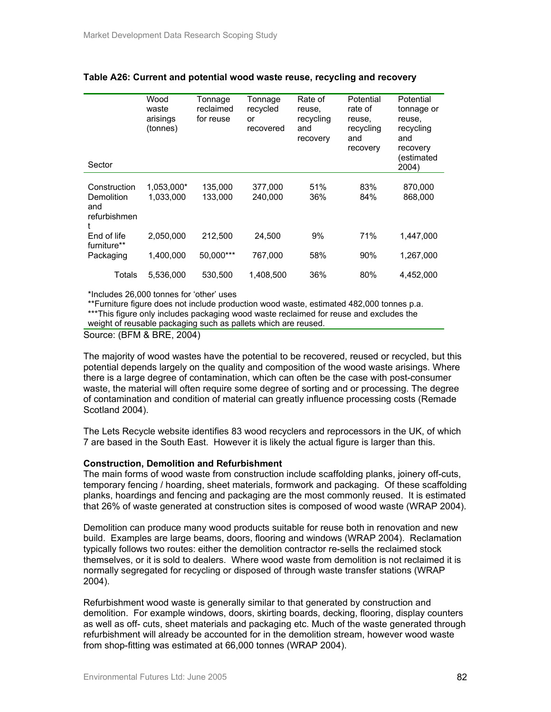| Sector                                            | Wood<br>waste<br>arisings<br>(tonnes) | Tonnage<br>reclaimed<br>for reuse | Tonnage<br>recycled<br>or<br>recovered | Rate of<br>reuse,<br>recycling<br>and<br>recovery | Potential<br>rate of<br>reuse,<br>recycling<br>and<br>recovery | Potential<br>tonnage or<br>reuse,<br>recycling<br>and<br>recovery<br>(estimated |
|---------------------------------------------------|---------------------------------------|-----------------------------------|----------------------------------------|---------------------------------------------------|----------------------------------------------------------------|---------------------------------------------------------------------------------|
|                                                   |                                       |                                   |                                        |                                                   |                                                                | 2004)                                                                           |
| Construction<br>Demolition<br>and<br>refurbishmen | 1,053,000*<br>1.033.000               | 135,000<br>133.000                | 377,000<br>240.000                     | 51%<br>36%                                        | 83%<br>84%                                                     | 870,000<br>868,000                                                              |
| End of life                                       | 2,050,000                             | 212,500                           | 24.500                                 | 9%                                                | 71%                                                            | 1.447.000                                                                       |
| furniture**<br>Packaging                          | 1,400,000                             | 50.000***                         | 767,000                                | 58%                                               | 90%                                                            | 1,267,000                                                                       |
| Totals                                            | 5,536,000                             | 530.500                           | 1,408,500                              | 36%                                               | 80%                                                            | 4,452,000                                                                       |

#### **Table A26: Current and potential wood waste reuse, recycling and recovery**

\*Includes 26,000 tonnes for 'other' uses

\*\*Furniture figure does not include production wood waste, estimated 482,000 tonnes p.a. \*\*\*This figure only includes packaging wood waste reclaimed for reuse and excludes the weight of reusable packaging such as pallets which are reused.

Source: (BFM & BRE, 2004)

The majority of wood wastes have the potential to be recovered, reused or recycled, but this potential depends largely on the quality and composition of the wood waste arisings. Where there is a large degree of contamination, which can often be the case with post-consumer waste, the material will often require some degree of sorting and or processing. The degree of contamination and condition of material can greatly influence processing costs (Remade Scotland 2004).

The Lets Recycle website identifies 83 wood recyclers and reprocessors in the UK, of which 7 are based in the South East. However it is likely the actual figure is larger than this.

#### **Construction, Demolition and Refurbishment**

The main forms of wood waste from construction include scaffolding planks, joinery off-cuts, temporary fencing / hoarding, sheet materials, formwork and packaging. Of these scaffolding planks, hoardings and fencing and packaging are the most commonly reused. It is estimated that 26% of waste generated at construction sites is composed of wood waste (WRAP 2004).

Demolition can produce many wood products suitable for reuse both in renovation and new build. Examples are large beams, doors, flooring and windows (WRAP 2004). Reclamation typically follows two routes: either the demolition contractor re-sells the reclaimed stock themselves, or it is sold to dealers. Where wood waste from demolition is not reclaimed it is normally segregated for recycling or disposed of through waste transfer stations (WRAP 2004).

Refurbishment wood waste is generally similar to that generated by construction and demolition. For example windows, doors, skirting boards, decking, flooring, display counters as well as off- cuts, sheet materials and packaging etc. Much of the waste generated through refurbishment will already be accounted for in the demolition stream, however wood waste from shop-fitting was estimated at 66,000 tonnes (WRAP 2004).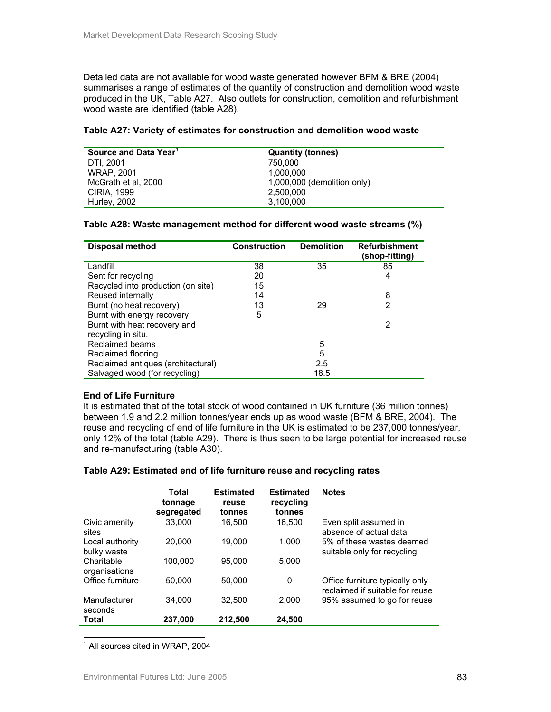Detailed data are not available for wood waste generated however BFM & BRE (2004) summarises a range of estimates of the quantity of construction and demolition wood waste produced in the UK, Table A27. Also outlets for construction, demolition and refurbishment wood waste are identified (table A28).

| Source and Data Year <sup>1</sup> | <b>Quantity (tonnes)</b>    |
|-----------------------------------|-----------------------------|
| DTI, 2001                         | 750.000                     |
| <b>WRAP. 2001</b>                 | 1.000.000                   |
| McGrath et al, 2000               | 1,000,000 (demolition only) |
| CIRIA, 1999                       | 2.500.000                   |
| Hurley, 2002                      | 3,100,000                   |

### **Table A28: Waste management method for different wood waste streams (%)**

| <b>Disposal method</b>             | <b>Construction</b> | <b>Demolition</b> | <b>Refurbishment</b><br>(shop-fitting) |
|------------------------------------|---------------------|-------------------|----------------------------------------|
| Landfill                           | 38                  | 35                | 85                                     |
| Sent for recycling                 | 20                  |                   | 4                                      |
| Recycled into production (on site) | 15                  |                   |                                        |
| Reused internally                  | 14                  |                   | 8                                      |
| Burnt (no heat recovery)           | 13                  | 29                | 2                                      |
| Burnt with energy recovery         | 5                   |                   |                                        |
| Burnt with heat recovery and       |                     |                   | 2                                      |
| recycling in situ.                 |                     |                   |                                        |
| Reclaimed beams                    |                     | 5                 |                                        |
| Reclaimed flooring                 |                     | 5                 |                                        |
| Reclaimed antiques (architectural) |                     | 2.5               |                                        |
| Salvaged wood (for recycling)      |                     | 18.5              |                                        |

### **End of Life Furniture**

It is estimated that of the total stock of wood contained in UK furniture (36 million tonnes) between 1.9 and 2.2 million tonnes/year ends up as wood waste (BFM & BRE, 2004). The reuse and recycling of end of life furniture in the UK is estimated to be 237,000 tonnes/year, only 12% of the total (table A29). There is thus seen to be large potential for increased reuse and re-manufacturing (table A30).

|                                | Total<br>tonnage<br>segregated | <b>Estimated</b><br>reuse<br>tonnes | <b>Estimated</b><br>recycling<br>tonnes | <b>Notes</b>                                                       |
|--------------------------------|--------------------------------|-------------------------------------|-----------------------------------------|--------------------------------------------------------------------|
| Civic amenity<br>sites         | 33.000                         | 16.500                              | 16.500                                  | Even split assumed in<br>absence of actual data                    |
| Local authority<br>bulky waste | 20,000                         | 19.000                              | 1.000                                   | 5% of these wastes deemed<br>suitable only for recycling           |
| Charitable<br>organisations    | 100.000                        | 95,000                              | 5.000                                   |                                                                    |
| Office furniture               | 50,000                         | 50.000                              | 0                                       | Office furniture typically only<br>reclaimed if suitable for reuse |
| Manufacturer<br>seconds        | 34.000                         | 32.500                              | 2.000                                   | 95% assumed to go for reuse                                        |
| Total                          | 237.000                        | 212.500                             | 24.500                                  |                                                                    |

### **Table A29: Estimated end of life furniture reuse and recycling rates**

<sup>1</sup> All sources cited in WRAP, 2004

l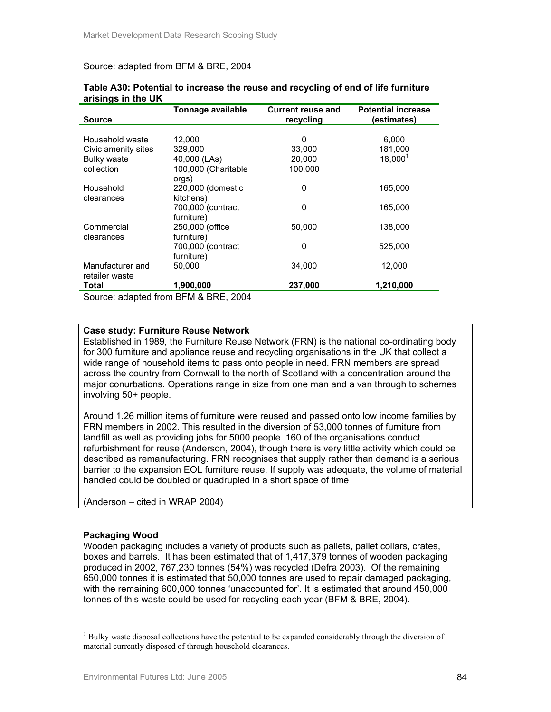#### Source: adapted from BFM & BRE, 2004

|                     | Tonnage available   | <b>Current reuse and</b> | <b>Potential increase</b> |
|---------------------|---------------------|--------------------------|---------------------------|
| <b>Source</b>       |                     | recycling                | (estimates)               |
|                     |                     |                          |                           |
| Household waste     | 12,000              | 0                        | 6,000                     |
| Civic amenity sites | 329,000             | 33,000                   | 181,000                   |
| <b>Bulky waste</b>  | 40,000 (LAs)        | 20,000                   | $18,000^1$                |
| collection          | 100,000 (Charitable | 100,000                  |                           |
|                     | orgs)               |                          |                           |
| Household           | 220,000 (domestic   | 0                        | 165,000                   |
| clearances          | kitchens)           |                          |                           |
|                     | 700,000 (contract   | 0                        | 165,000                   |
|                     | furniture)          |                          |                           |
| Commercial          | 250,000 (office)    | 50.000                   | 138,000                   |
| clearances          | furniture)          |                          |                           |
|                     | 700,000 (contract   | 0                        | 525,000                   |
|                     | furniture)          |                          |                           |
| Manufacturer and    | 50,000              | 34,000                   | 12,000                    |
| retailer waste      |                     |                          |                           |
| Total               | 1,900,000           | 237,000                  | 1,210,000                 |

#### **Table A30: Potential to increase the reuse and recycling of end of life furniture arisings in the UK**

Source: adapted from BFM & BRE, 2004

### **Case study: Furniture Reuse Network**

Established in 1989, the Furniture Reuse Network (FRN) is the national co-ordinating body for 300 furniture and appliance reuse and recycling organisations in the UK that collect a wide range of household items to pass onto people in need. FRN members are spread across the country from Cornwall to the north of Scotland with a concentration around the major conurbations. Operations range in size from one man and a van through to schemes involving 50+ people.

Around 1.26 million items of furniture were reused and passed onto low income families by FRN members in 2002. This resulted in the diversion of 53,000 tonnes of furniture from landfill as well as providing jobs for 5000 people. 160 of the organisations conduct refurbishment for reuse (Anderson, 2004), though there is very little activity which could be described as remanufacturing. FRN recognises that supply rather than demand is a serious barrier to the expansion EOL furniture reuse. If supply was adequate, the volume of material handled could be doubled or quadrupled in a short space of time

(Anderson – cited in WRAP 2004)

### **Packaging Wood**

 $\overline{a}$ 

Wooden packaging includes a variety of products such as pallets, pallet collars, crates, boxes and barrels. It has been estimated that of 1,417,379 tonnes of wooden packaging produced in 2002, 767,230 tonnes (54%) was recycled (Defra 2003). Of the remaining 650,000 tonnes it is estimated that 50,000 tonnes are used to repair damaged packaging, with the remaining 600,000 tonnes 'unaccounted for'. It is estimated that around 450,000 tonnes of this waste could be used for recycling each year (BFM & BRE, 2004).

<sup>&</sup>lt;sup>1</sup> Bulky waste disposal collections have the potential to be expanded considerably through the diversion of material currently disposed of through household clearances.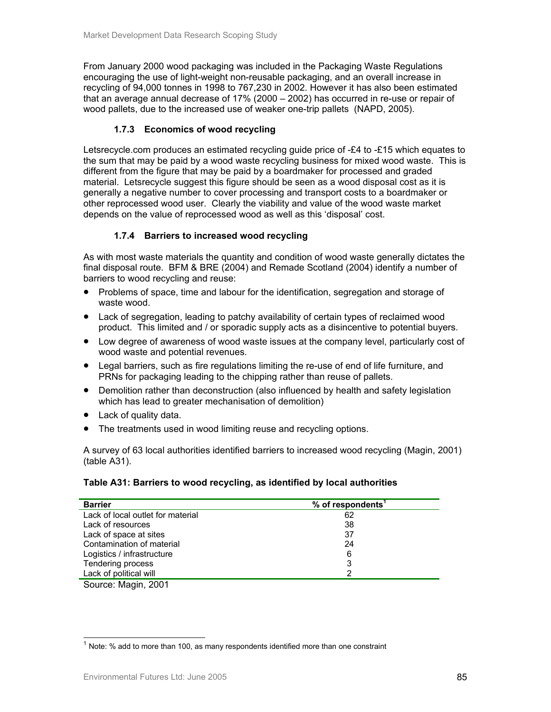From January 2000 wood packaging was included in the Packaging Waste Regulations encouraging the use of light-weight non-reusable packaging, and an overall increase in recycling of 94,000 tonnes in 1998 to 767,230 in 2002. However it has also been estimated that an average annual decrease of 17% (2000 – 2002) has occurred in re-use or repair of wood pallets, due to the increased use of weaker one-trip pallets (NAPD, 2005).

# **1.7.3 Economics of wood recycling**

Letsrecycle.com produces an estimated recycling guide price of -£4 to -£15 which equates to the sum that may be paid by a wood waste recycling business for mixed wood waste. This is different from the figure that may be paid by a boardmaker for processed and graded material. Letsrecycle suggest this figure should be seen as a wood disposal cost as it is generally a negative number to cover processing and transport costs to a boardmaker or other reprocessed wood user. Clearly the viability and value of the wood waste market depends on the value of reprocessed wood as well as this 'disposal' cost.

# **1.7.4 Barriers to increased wood recycling**

As with most waste materials the quantity and condition of wood waste generally dictates the final disposal route. BFM & BRE (2004) and Remade Scotland (2004) identify a number of barriers to wood recycling and reuse:

- Problems of space, time and labour for the identification, segregation and storage of waste wood.
- Lack of segregation, leading to patchy availability of certain types of reclaimed wood product. This limited and / or sporadic supply acts as a disincentive to potential buyers.
- Low degree of awareness of wood waste issues at the company level, particularly cost of wood waste and potential revenues.
- Legal barriers, such as fire regulations limiting the re-use of end of life furniture, and PRNs for packaging leading to the chipping rather than reuse of pallets.
- Demolition rather than deconstruction (also influenced by health and safety legislation which has lead to greater mechanisation of demolition)
- Lack of quality data.
- The treatments used in wood limiting reuse and recycling options.

A survey of 63 local authorities identified barriers to increased wood recycling (Magin, 2001) (table A31).

# **Table A31: Barriers to wood recycling, as identified by local authorities**

| <b>Barrier</b>                    | % of respondents <sup>1</sup> |
|-----------------------------------|-------------------------------|
| Lack of local outlet for material | 62                            |
| Lack of resources                 | 38                            |
| Lack of space at sites            | 37                            |
| Contamination of material         | 24                            |
| Logistics / infrastructure        | 6                             |
| Tendering process                 | 3                             |
| Lack of political will            |                               |
|                                   |                               |

Source: Magin, 2001

l  $1$  Note: % add to more than 100, as many respondents identified more than one constraint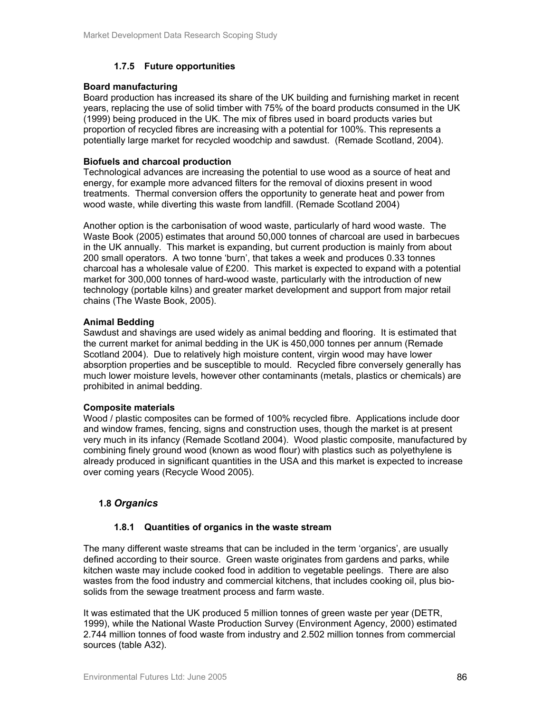### **1.7.5 Future opportunities**

### **Board manufacturing**

Board production has increased its share of the UK building and furnishing market in recent years, replacing the use of solid timber with 75% of the board products consumed in the UK (1999) being produced in the UK. The mix of fibres used in board products varies but proportion of recycled fibres are increasing with a potential for 100%. This represents a potentially large market for recycled woodchip and sawdust. (Remade Scotland, 2004).

### **Biofuels and charcoal production**

Technological advances are increasing the potential to use wood as a source of heat and energy, for example more advanced filters for the removal of dioxins present in wood treatments. Thermal conversion offers the opportunity to generate heat and power from wood waste, while diverting this waste from landfill. (Remade Scotland 2004)

Another option is the carbonisation of wood waste, particularly of hard wood waste. The Waste Book (2005) estimates that around 50,000 tonnes of charcoal are used in barbecues in the UK annually. This market is expanding, but current production is mainly from about 200 small operators. A two tonne 'burn', that takes a week and produces 0.33 tonnes charcoal has a wholesale value of £200. This market is expected to expand with a potential market for 300,000 tonnes of hard-wood waste, particularly with the introduction of new technology (portable kilns) and greater market development and support from major retail chains (The Waste Book, 2005).

### **Animal Bedding**

Sawdust and shavings are used widely as animal bedding and flooring. It is estimated that the current market for animal bedding in the UK is 450,000 tonnes per annum (Remade Scotland 2004). Due to relatively high moisture content, virgin wood may have lower absorption properties and be susceptible to mould. Recycled fibre conversely generally has much lower moisture levels, however other contaminants (metals, plastics or chemicals) are prohibited in animal bedding.

### **Composite materials**

Wood / plastic composites can be formed of 100% recycled fibre. Applications include door and window frames, fencing, signs and construction uses, though the market is at present very much in its infancy (Remade Scotland 2004). Wood plastic composite, manufactured by combining finely ground wood (known as wood flour) with plastics such as polyethylene is already produced in significant quantities in the USA and this market is expected to increase over coming years (Recycle Wood 2005).

### **1.8** *Organics*

### **1.8.1 Quantities of organics in the waste stream**

The many different waste streams that can be included in the term 'organics', are usually defined according to their source. Green waste originates from gardens and parks, while kitchen waste may include cooked food in addition to vegetable peelings. There are also wastes from the food industry and commercial kitchens, that includes cooking oil, plus biosolids from the sewage treatment process and farm waste.

It was estimated that the UK produced 5 million tonnes of green waste per year (DETR, 1999), while the National Waste Production Survey (Environment Agency, 2000) estimated 2.744 million tonnes of food waste from industry and 2.502 million tonnes from commercial sources (table A32).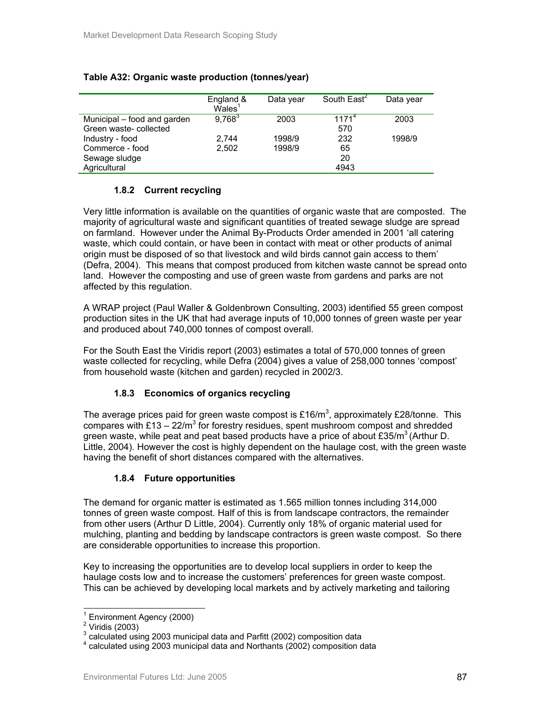### **Table A32: Organic waste production (tonnes/year)**

|                             | England &<br>Wales <sup>1</sup> | Data year | South East <sup>2</sup> | Data year |
|-----------------------------|---------------------------------|-----------|-------------------------|-----------|
| Municipal – food and garden | $9,768^3$                       | 2003      | $1171^{4}$              | 2003      |
| Green waste-collected       |                                 |           | 570                     |           |
| Industry - food             | 2.744                           | 1998/9    | 232                     | 1998/9    |
| Commerce - food             | 2.502                           | 1998/9    | 65                      |           |
| Sewage sludge               |                                 |           | 20                      |           |
| Agricultural                |                                 |           | 4943                    |           |

### **1.8.2 Current recycling**

Very little information is available on the quantities of organic waste that are composted. The majority of agricultural waste and significant quantities of treated sewage sludge are spread on farmland. However under the Animal By-Products Order amended in 2001 'all catering waste, which could contain, or have been in contact with meat or other products of animal origin must be disposed of so that livestock and wild birds cannot gain access to them' (Defra, 2004). This means that compost produced from kitchen waste cannot be spread onto land. However the composting and use of green waste from gardens and parks are not affected by this regulation.

A WRAP project (Paul Waller & Goldenbrown Consulting, 2003) identified 55 green compost production sites in the UK that had average inputs of 10,000 tonnes of green waste per year and produced about 740,000 tonnes of compost overall.

For the South East the Viridis report (2003) estimates a total of 570,000 tonnes of green waste collected for recycling, while Defra (2004) gives a value of 258,000 tonnes 'compost' from household waste (kitchen and garden) recycled in 2002/3.

### **1.8.3 Economics of organics recycling**

The average prices paid for green waste compost is £16/m<sup>3</sup>, approximately £28/tonne. This compares with £13  $-$  22/m<sup>3</sup> for forestry residues, spent mushroom compost and shredded green waste, while peat and peat based products have a price of about  $£35/m<sup>3</sup>$  (Arthur D. Little, 2004). However the cost is highly dependent on the haulage cost, with the green waste having the benefit of short distances compared with the alternatives.

### **1.8.4 Future opportunities**

The demand for organic matter is estimated as 1.565 million tonnes including 314,000 tonnes of green waste compost. Half of this is from landscape contractors, the remainder from other users (Arthur D Little, 2004). Currently only 18% of organic material used for mulching, planting and bedding by landscape contractors is green waste compost. So there are considerable opportunities to increase this proportion.

Key to increasing the opportunities are to develop local suppliers in order to keep the haulage costs low and to increase the customers' preferences for green waste compost. This can be achieved by developing local markets and by actively marketing and tailoring

 $\overline{a}$ 

<sup>1</sup> Environment Agency (2000)

<sup>&</sup>lt;sup>2</sup> Viridis (2003)

 $3$  calculated using 2003 municipal data and Parfitt (2002) composition data

<sup>4</sup> calculated using 2003 municipal data and Northants (2002) composition data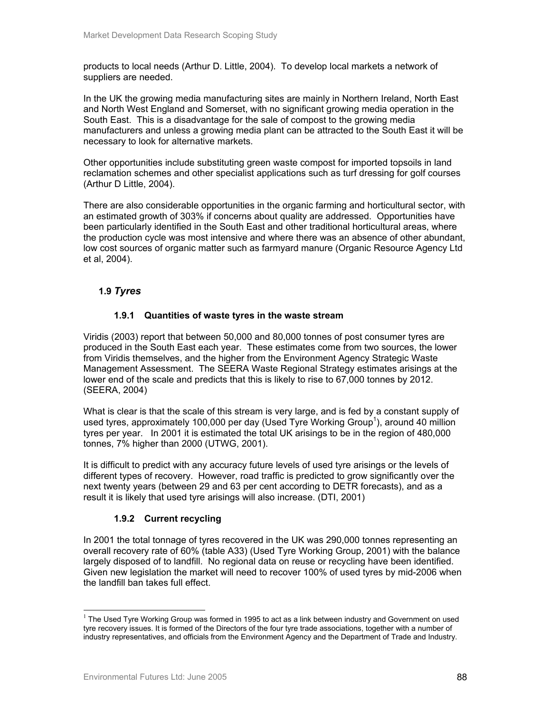products to local needs (Arthur D. Little, 2004). To develop local markets a network of suppliers are needed.

In the UK the growing media manufacturing sites are mainly in Northern Ireland, North East and North West England and Somerset, with no significant growing media operation in the South East. This is a disadvantage for the sale of compost to the growing media manufacturers and unless a growing media plant can be attracted to the South East it will be necessary to look for alternative markets.

Other opportunities include substituting green waste compost for imported topsoils in land reclamation schemes and other specialist applications such as turf dressing for golf courses (Arthur D Little, 2004).

There are also considerable opportunities in the organic farming and horticultural sector, with an estimated growth of 303% if concerns about quality are addressed. Opportunities have been particularly identified in the South East and other traditional horticultural areas, where the production cycle was most intensive and where there was an absence of other abundant, low cost sources of organic matter such as farmyard manure (Organic Resource Agency Ltd et al, 2004).

### **1.9** *Tyres*

### **1.9.1 Quantities of waste tyres in the waste stream**

Viridis (2003) report that between 50,000 and 80,000 tonnes of post consumer tyres are produced in the South East each year. These estimates come from two sources, the lower from Viridis themselves, and the higher from the Environment Agency Strategic Waste Management Assessment. The SEERA Waste Regional Strategy estimates arisings at the lower end of the scale and predicts that this is likely to rise to 67,000 tonnes by 2012. (SEERA, 2004)

What is clear is that the scale of this stream is very large, and is fed by a constant supply of used tyres, approximately 100,000 per day (Used Tyre Working Group<sup>1</sup>), around 40 million tyres per year. In 2001 it is estimated the total UK arisings to be in the region of 480,000 tonnes, 7% higher than 2000 (UTWG, 2001).

It is difficult to predict with any accuracy future levels of used tyre arisings or the levels of different types of recovery. However, road traffic is predicted to grow significantly over the next twenty years (between 29 and 63 per cent according to DETR forecasts), and as a result it is likely that used tyre arisings will also increase. (DTI, 2001)

### **1.9.2 Current recycling**

In 2001 the total tonnage of tyres recovered in the UK was 290,000 tonnes representing an overall recovery rate of 60% (table A33) (Used Tyre Working Group, 2001) with the balance largely disposed of to landfill. No regional data on reuse or recycling have been identified. Given new legislation the market will need to recover 100% of used tyres by mid-2006 when the landfill ban takes full effect.

 $\overline{a}$ 

 $1$  The Used Tyre Working Group was formed in 1995 to act as a link between industry and Government on used tyre recovery issues. It is formed of the Directors of the four tyre trade associations, together with a number of industry representatives, and officials from the Environment Agency and the Department of Trade and Industry.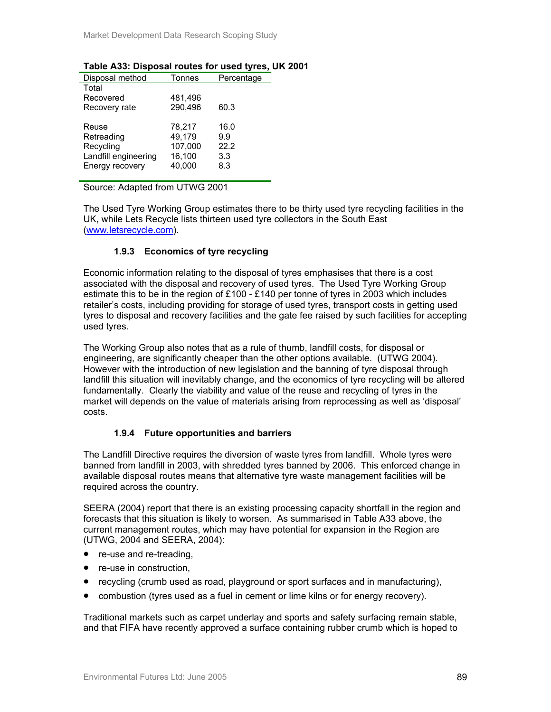| Disposal method      | Tonnes  | Percentage |
|----------------------|---------|------------|
| Total                |         |            |
| Recovered            | 481,496 |            |
| Recovery rate        | 290.496 | 60.3       |
|                      |         |            |
| Reuse                | 78,217  | 16.0       |
| Retreading           | 49,179  | 9.9        |
| Recycling            | 107,000 | 22.2       |
| Landfill engineering | 16,100  | 3.3        |
| Energy recovery      | 40.000  | 8.3        |
|                      |         |            |

### **Table A33: Disposal routes for used tyres, UK 2001**

Source: Adapted from UTWG 2001

The Used Tyre Working Group estimates there to be thirty used tyre recycling facilities in the UK, while Lets Recycle lists thirteen used tyre collectors in the South East (www.letsrecycle.com).

### **1.9.3 Economics of tyre recycling**

Economic information relating to the disposal of tyres emphasises that there is a cost associated with the disposal and recovery of used tyres. The Used Tyre Working Group estimate this to be in the region of £100 - £140 per tonne of tyres in 2003 which includes retailer's costs, including providing for storage of used tyres, transport costs in getting used tyres to disposal and recovery facilities and the gate fee raised by such facilities for accepting used tyres.

The Working Group also notes that as a rule of thumb, landfill costs, for disposal or engineering, are significantly cheaper than the other options available. (UTWG 2004). However with the introduction of new legislation and the banning of tyre disposal through landfill this situation will inevitably change, and the economics of tyre recycling will be altered fundamentally. Clearly the viability and value of the reuse and recycling of tyres in the market will depends on the value of materials arising from reprocessing as well as 'disposal' costs.

### **1.9.4 Future opportunities and barriers**

The Landfill Directive requires the diversion of waste tyres from landfill. Whole tyres were banned from landfill in 2003, with shredded tyres banned by 2006. This enforced change in available disposal routes means that alternative tyre waste management facilities will be required across the country.

SEERA (2004) report that there is an existing processing capacity shortfall in the region and forecasts that this situation is likely to worsen. As summarised in Table A33 above, the current management routes, which may have potential for expansion in the Region are (UTWG, 2004 and SEERA, 2004):

- re-use and re-treading,
- re-use in construction.
- recycling (crumb used as road, playground or sport surfaces and in manufacturing),
- combustion (tyres used as a fuel in cement or lime kilns or for energy recovery).

Traditional markets such as carpet underlay and sports and safety surfacing remain stable, and that FIFA have recently approved a surface containing rubber crumb which is hoped to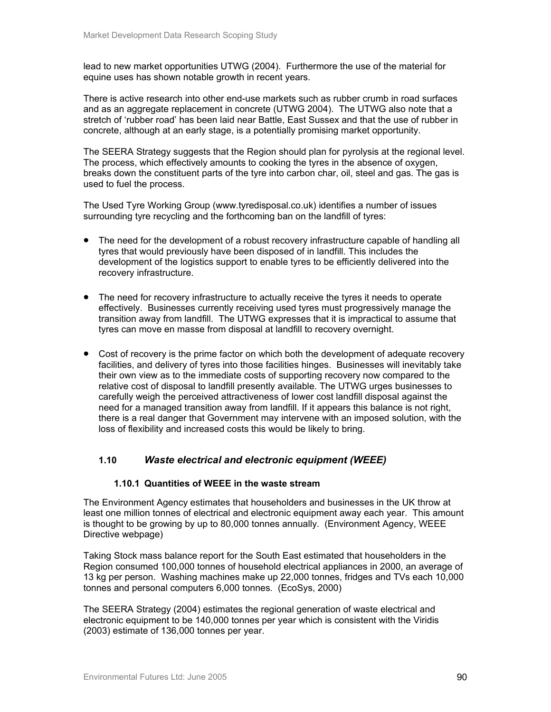lead to new market opportunities UTWG (2004). Furthermore the use of the material for equine uses has shown notable growth in recent years.

There is active research into other end-use markets such as rubber crumb in road surfaces and as an aggregate replacement in concrete (UTWG 2004). The UTWG also note that a stretch of 'rubber road' has been laid near Battle, East Sussex and that the use of rubber in concrete, although at an early stage, is a potentially promising market opportunity.

The SEERA Strategy suggests that the Region should plan for pyrolysis at the regional level. The process, which effectively amounts to cooking the tyres in the absence of oxygen, breaks down the constituent parts of the tyre into carbon char, oil, steel and gas. The gas is used to fuel the process.

The Used Tyre Working Group (www.tyredisposal.co.uk) identifies a number of issues surrounding tyre recycling and the forthcoming ban on the landfill of tyres:

- The need for the development of a robust recovery infrastructure capable of handling all tyres that would previously have been disposed of in landfill. This includes the development of the logistics support to enable tyres to be efficiently delivered into the recovery infrastructure.
- The need for recovery infrastructure to actually receive the tyres it needs to operate effectively. Businesses currently receiving used tyres must progressively manage the transition away from landfill. The UTWG expresses that it is impractical to assume that tyres can move en masse from disposal at landfill to recovery overnight.
- Cost of recovery is the prime factor on which both the development of adequate recovery facilities, and delivery of tyres into those facilities hinges. Businesses will inevitably take their own view as to the immediate costs of supporting recovery now compared to the relative cost of disposal to landfill presently available. The UTWG urges businesses to carefully weigh the perceived attractiveness of lower cost landfill disposal against the need for a managed transition away from landfill. If it appears this balance is not right, there is a real danger that Government may intervene with an imposed solution, with the loss of flexibility and increased costs this would be likely to bring.

### **1.10** *Waste electrical and electronic equipment (WEEE)*

### **1.10.1 Quantities of WEEE in the waste stream**

The Environment Agency estimates that householders and businesses in the UK throw at least one million tonnes of electrical and electronic equipment away each year. This amount is thought to be growing by up to 80,000 tonnes annually. (Environment Agency, WEEE Directive webpage)

Taking Stock mass balance report for the South East estimated that householders in the Region consumed 100,000 tonnes of household electrical appliances in 2000, an average of 13 kg per person. Washing machines make up 22,000 tonnes, fridges and TVs each 10,000 tonnes and personal computers 6,000 tonnes. (EcoSys, 2000)

The SEERA Strategy (2004) estimates the regional generation of waste electrical and electronic equipment to be 140,000 tonnes per year which is consistent with the Viridis (2003) estimate of 136,000 tonnes per year.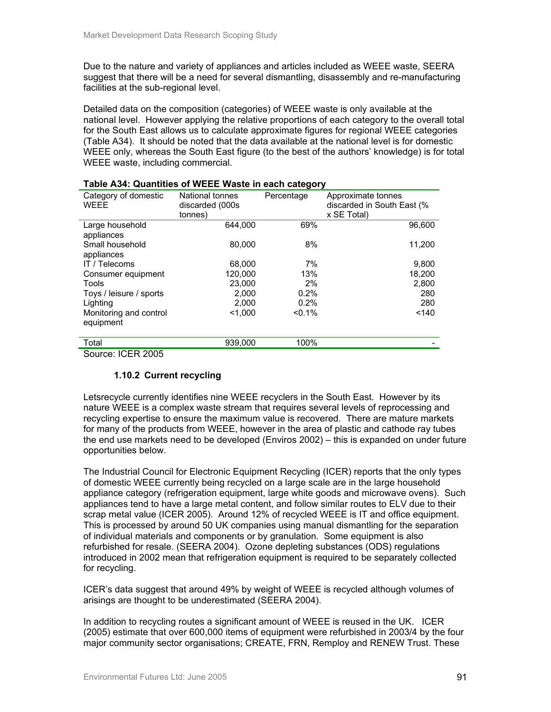Due to the nature and variety of appliances and articles included as WEEE waste, SEERA suggest that there will be a need for several dismantling, disassembly and re-manufacturing facilities at the sub-regional level.

Detailed data on the composition (categories) of WEEE waste is only available at the national level. However applying the relative proportions of each category to the overall total for the South East allows us to calculate approximate figures for regional WEEE categories (Table A34). It should be noted that the data available at the national level is for domestic WEEE only, whereas the South East figure (to the best of the authors' knowledge) is for total WEEE waste, including commercial.

| <b>TADIO AVA. QUARRIOU OF HEEE HYASIO</b> III VAOIT VAIONOT |                                               |            |                                                                 |
|-------------------------------------------------------------|-----------------------------------------------|------------|-----------------------------------------------------------------|
| Category of domestic<br><b>WEEE</b>                         | National tonnes<br>discarded (000s<br>tonnes) | Percentage | Approximate tonnes<br>discarded in South East (%<br>x SE Total) |
| Large household<br>appliances                               | 644.000                                       | 69%        | 96,600                                                          |
| Small household<br>appliances                               | 80.000                                        | 8%         | 11,200                                                          |
| IT / Telecoms                                               | 68,000                                        | 7%         | 9,800                                                           |
| Consumer equipment                                          | 120,000                                       | 13%        | 18.200                                                          |
| Tools                                                       | 23,000                                        | 2%         | 2,800                                                           |
| Toys / leisure / sports                                     | 2.000                                         | 0.2%       | 280                                                             |
| Lighting                                                    | 2.000                                         | 0.2%       | 280                                                             |
| Monitoring and control<br>equipment                         | < 1.000                                       | $< 0.1\%$  | < 140                                                           |
| Total                                                       | 939,000                                       | 100%       |                                                                 |
| $C_{\text{AllICA}}$ ICED 2005                               |                                               |            |                                                                 |

| Table A34: Quantities of WEEE Waste in each category |  |
|------------------------------------------------------|--|
|------------------------------------------------------|--|

Source: ICER 2005

### **1.10.2 Current recycling**

Letsrecycle currently identifies nine WEEE recyclers in the South East. However by its nature WEEE is a complex waste stream that requires several levels of reprocessing and recycling expertise to ensure the maximum value is recovered. There are mature markets for many of the products from WEEE, however in the area of plastic and cathode ray tubes the end use markets need to be developed (Enviros 2002) – this is expanded on under future opportunities below.

The Industrial Council for Electronic Equipment Recycling (ICER) reports that the only types of domestic WEEE currently being recycled on a large scale are in the large household appliance category (refrigeration equipment, large white goods and microwave ovens). Such appliances tend to have a large metal content, and follow similar routes to ELV due to their scrap metal value (ICER 2005). Around 12% of recycled WEEE is IT and office equipment. This is processed by around 50 UK companies using manual dismantling for the separation of individual materials and components or by granulation. Some equipment is also refurbished for resale. (SEERA 2004). Ozone depleting substances (ODS) regulations introduced in 2002 mean that refrigeration equipment is required to be separately collected for recycling.

ICER's data suggest that around 49% by weight of WEEE is recycled although volumes of arisings are thought to be underestimated (SEERA 2004).

In addition to recycling routes a significant amount of WEEE is reused in the UK. ICER (2005) estimate that over 600,000 items of equipment were refurbished in 2003/4 by the four major community sector organisations; CREATE, FRN, Remploy and RENEW Trust. These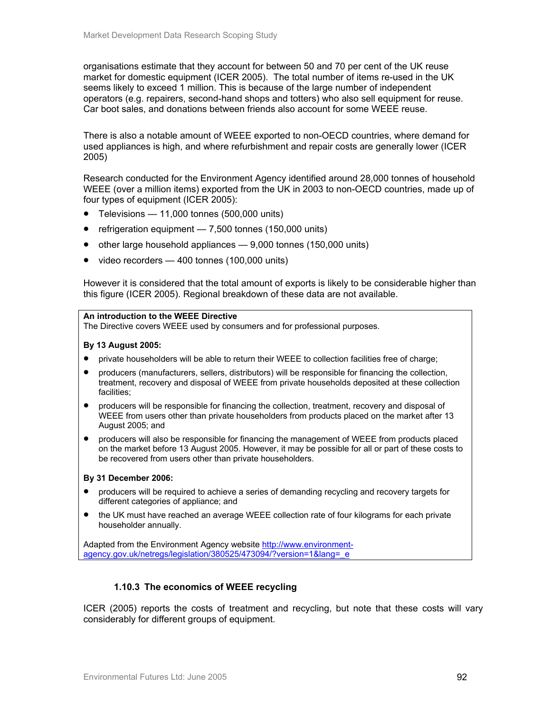organisations estimate that they account for between 50 and 70 per cent of the UK reuse market for domestic equipment (ICER 2005). The total number of items re-used in the UK seems likely to exceed 1 million. This is because of the large number of independent operators (e.g. repairers, second-hand shops and totters) who also sell equipment for reuse. Car boot sales, and donations between friends also account for some WEEE reuse.

There is also a notable amount of WEEE exported to non-OECD countries, where demand for used appliances is high, and where refurbishment and repair costs are generally lower (ICER 2005)

Research conducted for the Environment Agency identified around 28,000 tonnes of household WEEE (over a million items) exported from the UK in 2003 to non-OECD countries, made up of four types of equipment (ICER 2005):

- Televisions 11,000 tonnes (500,000 units)
- refrigeration equipment 7,500 tonnes (150,000 units)
- other large household appliances 9,000 tonnes (150,000 units)
- video recorders 400 tonnes (100,000 units)

However it is considered that the total amount of exports is likely to be considerable higher than this figure (ICER 2005). Regional breakdown of these data are not available.

#### **An introduction to the WEEE Directive**

The Directive covers WEEE used by consumers and for professional purposes.

#### **By 13 August 2005:**

- private householders will be able to return their WEEE to collection facilities free of charge;
- producers (manufacturers, sellers, distributors) will be responsible for financing the collection, treatment, recovery and disposal of WEEE from private households deposited at these collection facilities;
- producers will be responsible for financing the collection, treatment, recovery and disposal of WEEE from users other than private householders from products placed on the market after 13 August 2005; and
- producers will also be responsible for financing the management of WEEE from products placed on the market before 13 August 2005. However, it may be possible for all or part of these costs to be recovered from users other than private householders.

#### **By 31 December 2006:**

- producers will be required to achieve a series of demanding recycling and recovery targets for different categories of appliance; and
- the UK must have reached an average WEEE collection rate of four kilograms for each private householder annually.

Adapted from the Environment Agency website http://www.environmentagency.gov.uk/netregs/legislation/380525/473094/?version=1&lang=\_e

### **1.10.3 The economics of WEEE recycling**

ICER (2005) reports the costs of treatment and recycling, but note that these costs will vary considerably for different groups of equipment.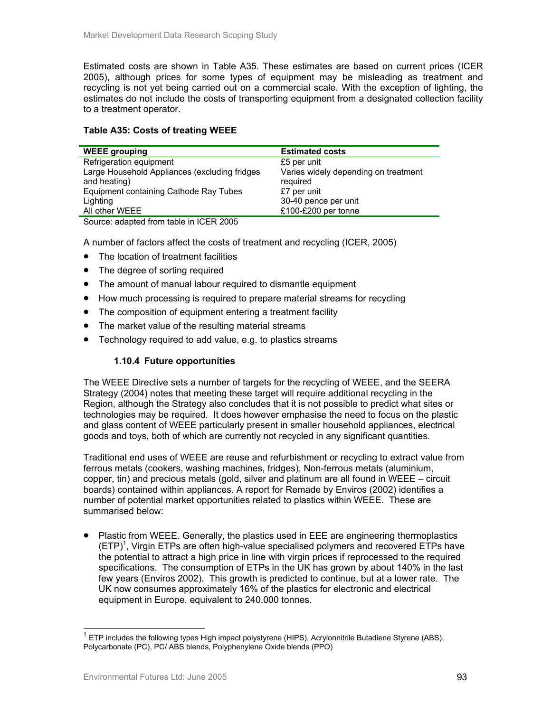Estimated costs are shown in Table A35. These estimates are based on current prices (ICER 2005), although prices for some types of equipment may be misleading as treatment and recycling is not yet being carried out on a commercial scale. With the exception of lighting, the estimates do not include the costs of transporting equipment from a designated collection facility to a treatment operator.

### **Table A35: Costs of treating WEEE**

| <b>WEEE grouping</b>                          | <b>Estimated costs</b>               |
|-----------------------------------------------|--------------------------------------|
| Refrigeration equipment                       | £5 per unit                          |
| Large Household Appliances (excluding fridges | Varies widely depending on treatment |
| and heating)                                  | required                             |
| Equipment containing Cathode Ray Tubes        | £7 per unit                          |
| Lighting                                      | 30-40 pence per unit                 |
| All other WEEE                                | £100-£200 per tonne                  |
|                                               |                                      |

Source: adapted from table in ICER 2005

A number of factors affect the costs of treatment and recycling (ICER, 2005)

- The location of treatment facilities
- The degree of sorting required
- The amount of manual labour required to dismantle equipment
- How much processing is required to prepare material streams for recycling
- The composition of equipment entering a treatment facility
- The market value of the resulting material streams
- Technology required to add value, e.g. to plastics streams

### **1.10.4 Future opportunities**

The WEEE Directive sets a number of targets for the recycling of WEEE, and the SEERA Strategy (2004) notes that meeting these target will require additional recycling in the Region, although the Strategy also concludes that it is not possible to predict what sites or technologies may be required. It does however emphasise the need to focus on the plastic and glass content of WEEE particularly present in smaller household appliances, electrical goods and toys, both of which are currently not recycled in any significant quantities.

Traditional end uses of WEEE are reuse and refurbishment or recycling to extract value from ferrous metals (cookers, washing machines, fridges), Non-ferrous metals (aluminium, copper, tin) and precious metals (gold, silver and platinum are all found in WEEE – circuit boards) contained within appliances. A report for Remade by Enviros (2002) identifies a number of potential market opportunities related to plastics within WEEE. These are summarised below:

• Plastic from WEEE. Generally, the plastics used in EEE are engineering thermoplastics  $(ETP)^1$ , Virgin ETPs are often high-value specialised polymers and recovered ETPs have the potential to attract a high price in line with virgin prices if reprocessed to the required specifications. The consumption of ETPs in the UK has grown by about 140% in the last few years (Enviros 2002). This growth is predicted to continue, but at a lower rate. The UK now consumes approximately 16% of the plastics for electronic and electrical equipment in Europe, equivalent to 240,000 tonnes.

l

 $1$  ETP includes the following types High impact polystyrene (HIPS), Acrylonnitrile Butadiene Styrene (ABS), Polycarbonate (PC), PC/ ABS blends, Polyphenylene Oxide blends (PPO)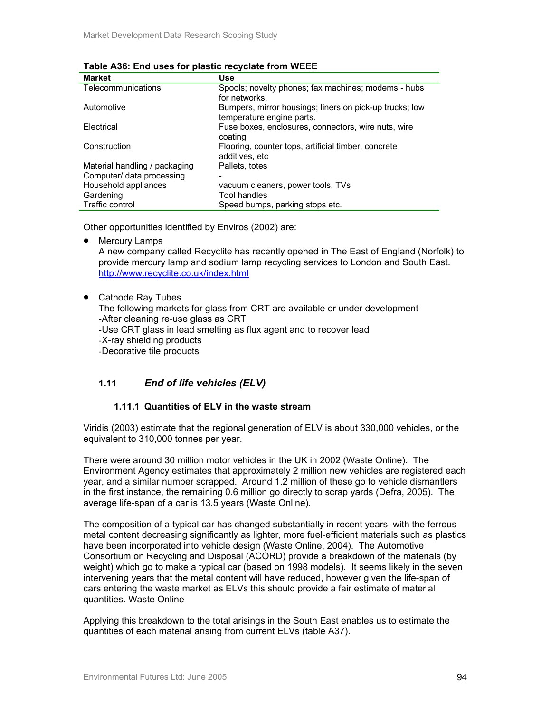| <b>Market</b>                 | Use                                                     |
|-------------------------------|---------------------------------------------------------|
| Telecommunications            | Spools; novelty phones; fax machines; modems - hubs     |
|                               | for networks.                                           |
| Automotive                    | Bumpers, mirror housings; liners on pick-up trucks; low |
|                               | temperature engine parts.                               |
| Electrical                    | Fuse boxes, enclosures, connectors, wire nuts, wire     |
|                               | coating                                                 |
| Construction                  | Flooring, counter tops, artificial timber, concrete     |
|                               | additives, etc                                          |
| Material handling / packaging | Pallets, totes                                          |
| Computer/ data processing     |                                                         |
| Household appliances          | vacuum cleaners, power tools, TVs                       |
| Gardening                     | Tool handles                                            |
| Traffic control               | Speed bumps, parking stops etc.                         |

### **Table A36: End uses for plastic recyclate from WEEE**

Other opportunities identified by Enviros (2002) are:

• Mercury Lamps

A new company called Recyclite has recently opened in The East of England (Norfolk) to provide mercury lamp and sodium lamp recycling services to London and South East. http://www.recyclite.co.uk/index.html

• Cathode Ray Tubes

The following markets for glass from CRT are available or under development -After cleaning re-use glass as CRT

-Use CRT glass in lead smelting as flux agent and to recover lead

-X-ray shielding products

-Decorative tile products

# **1.11** *End of life vehicles (ELV)*

### **1.11.1 Quantities of ELV in the waste stream**

Viridis (2003) estimate that the regional generation of ELV is about 330,000 vehicles, or the equivalent to 310,000 tonnes per year.

There were around 30 million motor vehicles in the UK in 2002 (Waste Online). The Environment Agency estimates that approximately 2 million new vehicles are registered each year, and a similar number scrapped. Around 1.2 million of these go to vehicle dismantlers in the first instance, the remaining 0.6 million go directly to scrap yards (Defra, 2005). The average life-span of a car is 13.5 years (Waste Online).

The composition of a typical car has changed substantially in recent years, with the ferrous metal content decreasing significantly as lighter, more fuel-efficient materials such as plastics have been incorporated into vehicle design (Waste Online, 2004). The Automotive Consortium on Recycling and Disposal (ACORD) provide a breakdown of the materials (by weight) which go to make a typical car (based on 1998 models). It seems likely in the seven intervening years that the metal content will have reduced, however given the life-span of cars entering the waste market as ELVs this should provide a fair estimate of material quantities. Waste Online

Applying this breakdown to the total arisings in the South East enables us to estimate the quantities of each material arising from current ELVs (table A37).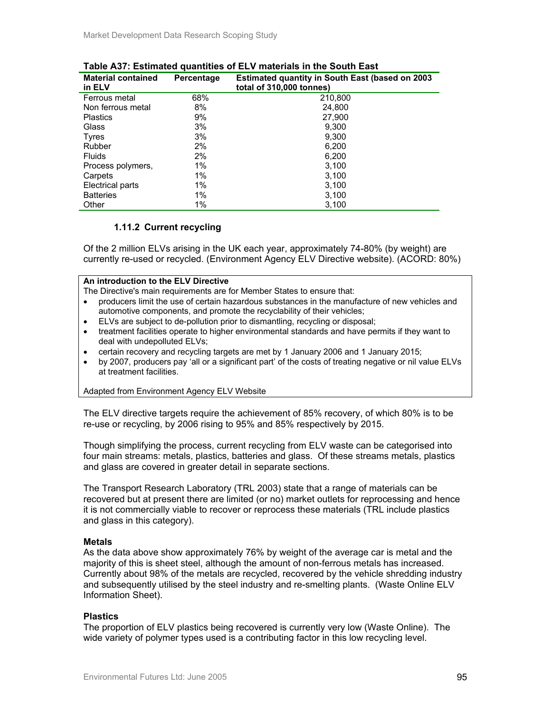| <b>Material contained</b><br>in ELV | Percentage | <b>Estimated quantity in South East (based on 2003</b><br>total of 310,000 tonnes) |
|-------------------------------------|------------|------------------------------------------------------------------------------------|
| Ferrous metal                       | 68%        | 210,800                                                                            |
| Non ferrous metal                   | 8%         | 24.800                                                                             |
| <b>Plastics</b>                     | 9%         | 27.900                                                                             |
| Glass                               | 3%         | 9.300                                                                              |
| <b>Tyres</b>                        | 3%         | 9.300                                                                              |
| Rubber                              | 2%         | 6.200                                                                              |
| <b>Fluids</b>                       | 2%         | 6,200                                                                              |
| Process polymers,                   | 1%         | 3,100                                                                              |
| Carpets                             | $1\%$      | 3.100                                                                              |
| Electrical parts                    | 1%         | 3,100                                                                              |
| <b>Batteries</b>                    | 1%         | 3,100                                                                              |
| Other                               | $1\%$      | 3,100                                                                              |

### **Table A37: Estimated quantities of ELV materials in the South East**

### **1.11.2 Current recycling**

Of the 2 million ELVs arising in the UK each year, approximately 74-80% (by weight) are currently re-used or recycled. (Environment Agency ELV Directive website). (ACORD: 80%)

### **An introduction to the ELV Directive**

- The Directive's main requirements are for Member States to ensure that:
- producers limit the use of certain hazardous substances in the manufacture of new vehicles and automotive components, and promote the recyclability of their vehicles;
- ELVs are subject to de-pollution prior to dismantling, recycling or disposal;
- treatment facilities operate to higher environmental standards and have permits if they want to deal with undepolluted ELVs;
- certain recovery and recycling targets are met by 1 January 2006 and 1 January 2015;
- by 2007, producers pay 'all or a significant part' of the costs of treating negative or nil value ELVs at treatment facilities.

#### Adapted from Environment Agency ELV Website

The ELV directive targets require the achievement of 85% recovery, of which 80% is to be re-use or recycling, by 2006 rising to 95% and 85% respectively by 2015.

Though simplifying the process, current recycling from ELV waste can be categorised into four main streams: metals, plastics, batteries and glass. Of these streams metals, plastics and glass are covered in greater detail in separate sections.

The Transport Research Laboratory (TRL 2003) state that a range of materials can be recovered but at present there are limited (or no) market outlets for reprocessing and hence it is not commercially viable to recover or reprocess these materials (TRL include plastics and glass in this category).

#### **Metals**

As the data above show approximately 76% by weight of the average car is metal and the majority of this is sheet steel, although the amount of non-ferrous metals has increased. Currently about 98% of the metals are recycled, recovered by the vehicle shredding industry and subsequently utilised by the steel industry and re-smelting plants. (Waste Online ELV Information Sheet).

#### **Plastics**

The proportion of ELV plastics being recovered is currently very low (Waste Online). The wide variety of polymer types used is a contributing factor in this low recycling level.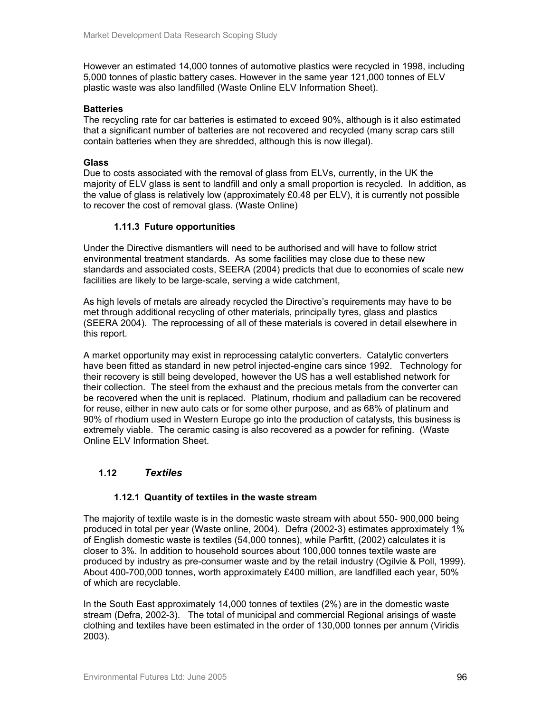However an estimated 14,000 tonnes of automotive plastics were recycled in 1998, including 5,000 tonnes of plastic battery cases. However in the same year 121,000 tonnes of ELV plastic waste was also landfilled (Waste Online ELV Information Sheet).

### **Batteries**

The recycling rate for car batteries is estimated to exceed 90%, although is it also estimated that a significant number of batteries are not recovered and recycled (many scrap cars still contain batteries when they are shredded, although this is now illegal).

### **Glass**

Due to costs associated with the removal of glass from ELVs, currently, in the UK the majority of ELV glass is sent to landfill and only a small proportion is recycled. In addition, as the value of glass is relatively low (approximately £0.48 per ELV), it is currently not possible to recover the cost of removal glass. (Waste Online)

### **1.11.3 Future opportunities**

Under the Directive dismantlers will need to be authorised and will have to follow strict environmental treatment standards. As some facilities may close due to these new standards and associated costs, SEERA (2004) predicts that due to economies of scale new facilities are likely to be large-scale, serving a wide catchment,

As high levels of metals are already recycled the Directive's requirements may have to be met through additional recycling of other materials, principally tyres, glass and plastics (SEERA 2004). The reprocessing of all of these materials is covered in detail elsewhere in this report.

A market opportunity may exist in reprocessing catalytic converters. Catalytic converters have been fitted as standard in new petrol injected-engine cars since 1992. Technology for their recovery is still being developed, however the US has a well established network for their collection. The steel from the exhaust and the precious metals from the converter can be recovered when the unit is replaced. Platinum, rhodium and palladium can be recovered for reuse, either in new auto cats or for some other purpose, and as 68% of platinum and 90% of rhodium used in Western Europe go into the production of catalysts, this business is extremely viable. The ceramic casing is also recovered as a powder for refining. (Waste Online ELV Information Sheet.

### **1.12** *Textiles*

### **1.12.1 Quantity of textiles in the waste stream**

The majority of textile waste is in the domestic waste stream with about 550- 900,000 being produced in total per year (Waste online, 2004). Defra (2002-3) estimates approximately 1% of English domestic waste is textiles (54,000 tonnes), while Parfitt, (2002) calculates it is closer to 3%. In addition to household sources about 100,000 tonnes textile waste are produced by industry as pre-consumer waste and by the retail industry (Ogilvie & Poll, 1999). About 400-700,000 tonnes, worth approximately £400 million, are landfilled each year, 50% of which are recyclable.

In the South East approximately 14,000 tonnes of textiles (2%) are in the domestic waste stream (Defra, 2002-3). The total of municipal and commercial Regional arisings of waste clothing and textiles have been estimated in the order of 130,000 tonnes per annum (Viridis 2003).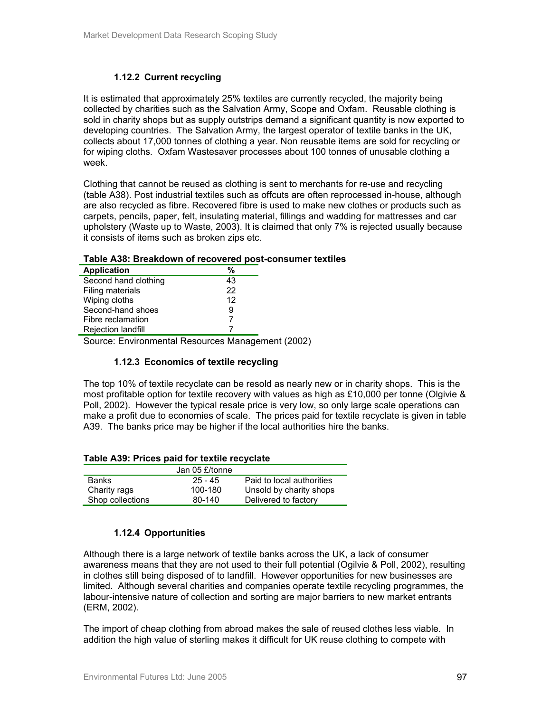### **1.12.2 Current recycling**

It is estimated that approximately 25% textiles are currently recycled, the majority being collected by charities such as the Salvation Army, Scope and Oxfam. Reusable clothing is sold in charity shops but as supply outstrips demand a significant quantity is now exported to developing countries. The Salvation Army, the largest operator of textile banks in the UK, collects about 17,000 tonnes of clothing a year. Non reusable items are sold for recycling or for wiping cloths. Oxfam Wastesaver processes about 100 tonnes of unusable clothing a week.

Clothing that cannot be reused as clothing is sent to merchants for re-use and recycling (table A38). Post industrial textiles such as offcuts are often reprocessed in-house, although are also recycled as fibre. Recovered fibre is used to make new clothes or products such as carpets, pencils, paper, felt, insulating material, fillings and wadding for mattresses and car upholstery (Waste up to Waste, 2003). It is claimed that only 7% is rejected usually because it consists of items such as broken zips etc.

| <b>Application</b>        | %  |  |
|---------------------------|----|--|
| Second hand clothing      | 43 |  |
| Filing materials          | 22 |  |
| Wiping cloths             | 12 |  |
| Second-hand shoes         | 9  |  |
| Fibre reclamation         |    |  |
| <b>Rejection landfill</b> |    |  |

### **Table A38: Breakdown of recovered post-consumer textiles**

Source: Environmental Resources Management (2002)

### **1.12.3 Economics of textile recycling**

The top 10% of textile recyclate can be resold as nearly new or in charity shops. This is the most profitable option for textile recovery with values as high as £10,000 per tonne (Olgivie & Poll, 2002). However the typical resale price is very low, so only large scale operations can make a profit due to economies of scale. The prices paid for textile recyclate is given in table A39. The banks price may be higher if the local authorities hire the banks.

| Table A39: Prices paid for textile recyclate |           |                           |  |  |
|----------------------------------------------|-----------|---------------------------|--|--|
| Jan 05 £/tonne                               |           |                           |  |  |
| <b>Banks</b>                                 | $25 - 45$ | Paid to local authorities |  |  |
| Charity rags                                 | 100-180   | Unsold by charity shops   |  |  |
| Shop collections                             | 80-140    | Delivered to factory      |  |  |

### **Table A39: Prices paid for textile recyclate**

### **1.12.4 Opportunities**

Although there is a large network of textile banks across the UK, a lack of consumer awareness means that they are not used to their full potential (Ogilvie & Poll, 2002), resulting in clothes still being disposed of to landfill. However opportunities for new businesses are limited. Although several charities and companies operate textile recycling programmes, the labour-intensive nature of collection and sorting are major barriers to new market entrants (ERM, 2002).

The import of cheap clothing from abroad makes the sale of reused clothes less viable. In addition the high value of sterling makes it difficult for UK reuse clothing to compete with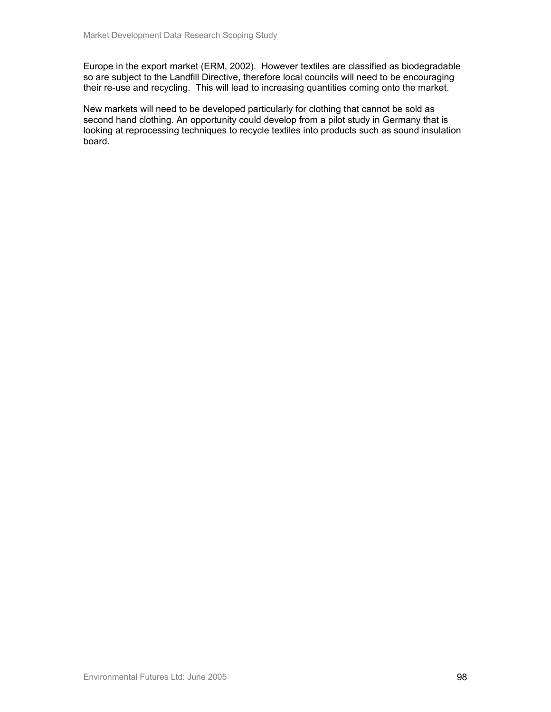Europe in the export market (ERM, 2002). However textiles are classified as biodegradable so are subject to the Landfill Directive, therefore local councils will need to be encouraging their re-use and recycling. This will lead to increasing quantities coming onto the market.

New markets will need to be developed particularly for clothing that cannot be sold as second hand clothing. An opportunity could develop from a pilot study in Germany that is looking at reprocessing techniques to recycle textiles into products such as sound insulation board.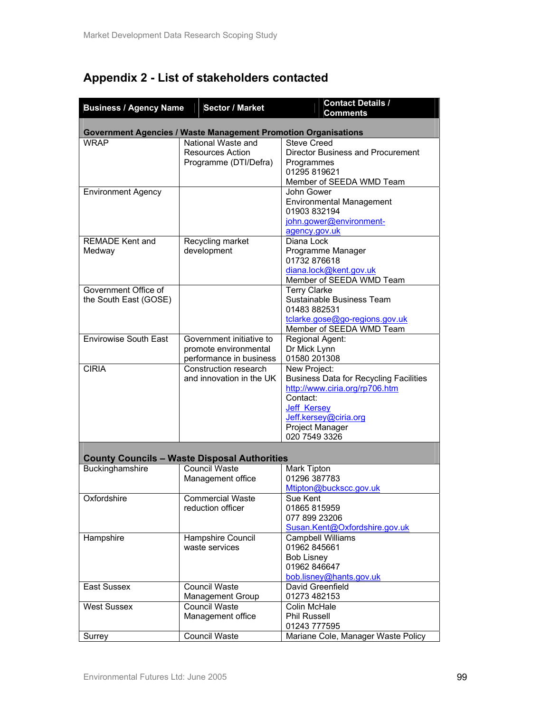# **Appendix 2 - List of stakeholders contacted**

| <b>Business / Agency Name</b> | <b>Sector / Market</b>                                         | <b>Contact Details /</b><br><b>Comments</b>   |
|-------------------------------|----------------------------------------------------------------|-----------------------------------------------|
|                               |                                                                |                                               |
|                               | Government Agencies / Waste Management Promotion Organisations |                                               |
| <b>WRAP</b>                   | National Waste and                                             | <b>Steve Creed</b>                            |
|                               | <b>Resources Action</b>                                        | <b>Director Business and Procurement</b>      |
|                               | Programme (DTI/Defra)                                          | Programmes                                    |
|                               |                                                                | 01295 819621                                  |
|                               |                                                                | Member of SEEDA WMD Team                      |
| <b>Environment Agency</b>     |                                                                | John Gower                                    |
|                               |                                                                | <b>Environmental Management</b>               |
|                               |                                                                | 01903 832194                                  |
|                               |                                                                | john.gower@environment-                       |
|                               |                                                                | agency.gov.uk                                 |
| <b>REMADE Kent and</b>        | Recycling market                                               | Diana Lock                                    |
| Medway                        | development                                                    | Programme Manager                             |
|                               |                                                                | 01732 876618                                  |
|                               |                                                                | diana.lock@kent.gov.uk                        |
|                               |                                                                | Member of SEEDA WMD Team                      |
| Government Office of          |                                                                | <b>Terry Clarke</b>                           |
| the South East (GOSE)         |                                                                | Sustainable Business Team                     |
|                               |                                                                | 01483 882531                                  |
|                               |                                                                | tclarke.gose@go-regions.gov.uk                |
|                               |                                                                | Member of SEEDA WMD Team                      |
| <b>Envirowise South East</b>  | Government initiative to                                       | Regional Agent:                               |
|                               | promote environmental                                          | Dr Mick Lynn                                  |
|                               | performance in business                                        | 01580 201308                                  |
| <b>CIRIA</b>                  | Construction research                                          | New Project:                                  |
|                               | and innovation in the UK                                       | <b>Business Data for Recycling Facilities</b> |
|                               |                                                                | http://www.ciria.org/rp706.htm                |
|                               |                                                                | Contact:                                      |
|                               |                                                                | Jeff Kersey                                   |
|                               |                                                                | Jeff.kersey@ciria.org                         |
|                               |                                                                | Project Manager                               |
|                               |                                                                | 020 7549 3326                                 |
|                               |                                                                |                                               |
|                               | <b>County Councils - Waste Disposal Authorities</b>            |                                               |
| Buckinghamshire               | <b>Council Waste</b>                                           | Mark Tipton                                   |
|                               | Management office                                              | 01296 387783                                  |
|                               |                                                                | Mtipton@buckscc.gov.uk                        |
| Oxfordshire                   | <b>Commercial Waste</b>                                        | Sue Kent                                      |
|                               | reduction officer                                              | 01865 815959                                  |
|                               |                                                                | 077 899 23206                                 |
|                               |                                                                | Susan.Kent@Oxfordshire.gov.uk                 |
| Hampshire                     | Hampshire Council                                              | Campbell Williams                             |
|                               | waste services                                                 | 01962 845661                                  |
|                               |                                                                | <b>Bob Lisney</b>                             |
|                               |                                                                | 01962 846647                                  |
|                               |                                                                | bob.lisney@hants.gov.uk                       |
| East Sussex                   | <b>Council Waste</b>                                           | David Greenfield                              |
|                               | <b>Management Group</b>                                        | 01273 482153                                  |
| <b>West Sussex</b>            | <b>Council Waste</b>                                           | Colin McHale                                  |
|                               | Management office                                              | <b>Phil Russell</b>                           |
|                               |                                                                | 01243 777595                                  |
| Surrey                        | <b>Council Waste</b>                                           | Mariane Cole, Manager Waste Policy            |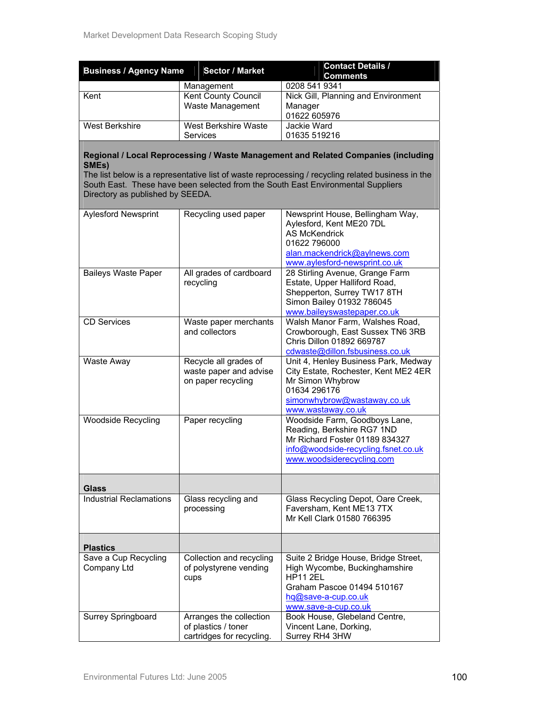| <b>Business / Agency Name</b>             | <b>Sector / Market</b>                                                | <b>Contact Details /</b><br><b>Comments</b>                                                                                                                                                                                                                                |
|-------------------------------------------|-----------------------------------------------------------------------|----------------------------------------------------------------------------------------------------------------------------------------------------------------------------------------------------------------------------------------------------------------------------|
|                                           | Management                                                            | 0208 541 9341                                                                                                                                                                                                                                                              |
| Kent                                      | Kent County Council<br>Waste Management                               | Nick Gill, Planning and Environment<br>Manager<br>01622 605976                                                                                                                                                                                                             |
| <b>West Berkshire</b>                     | <b>West Berkshire Waste</b><br>Services                               | Jackie Ward<br>01635 519216                                                                                                                                                                                                                                                |
| SMEs)<br>Directory as published by SEEDA. |                                                                       | Regional / Local Reprocessing / Waste Management and Related Companies (including<br>The list below is a representative list of waste reprocessing / recycling related business in the<br>South East. These have been selected from the South East Environmental Suppliers |
| <b>Aylesford Newsprint</b>                | Recycling used paper                                                  | Newsprint House, Bellingham Way,<br>Aylesford, Kent ME20 7DL<br><b>AS McKendrick</b><br>01622 796000<br>alan.mackendrick@aylnews.com<br>www.aylesford-newsprint.co.uk                                                                                                      |
| <b>Baileys Waste Paper</b>                | All grades of cardboard<br>recycling                                  | 28 Stirling Avenue, Grange Farm<br>Estate, Upper Halliford Road,<br>Shepperton, Surrey TW17 8TH<br>Simon Bailey 01932 786045<br>www.baileyswastepaper.co.uk                                                                                                                |
| <b>CD Services</b>                        | Waste paper merchants<br>and collectors                               | Walsh Manor Farm, Walshes Road,<br>Crowborough, East Sussex TN6 3RB<br>Chris Dillon 01892 669787<br>cdwaste@dillon.fsbusiness.co.uk                                                                                                                                        |
| Waste Away                                | Recycle all grades of<br>waste paper and advise<br>on paper recycling | Unit 4, Henley Business Park, Medway<br>City Estate, Rochester, Kent ME2 4ER<br>Mr Simon Whybrow<br>01634 296176<br>simonwhybrow@wastaway.co.uk<br>www.wastaway.co.uk                                                                                                      |
| <b>Woodside Recycling</b>                 | Paper recycling                                                       | Woodside Farm, Goodboys Lane,<br>Reading, Berkshire RG7 1ND<br>Mr Richard Foster 01189 834327<br>info@woodside-recycling.fsnet.co.uk<br>www.woodsiderecycling.com                                                                                                          |
| <b>Glass</b>                              |                                                                       |                                                                                                                                                                                                                                                                            |
| <b>Industrial Reclamations</b>            | Glass recycling and<br>processing                                     | Glass Recycling Depot, Oare Creek,<br>Faversham, Kent ME13 7TX<br>Mr Kell Clark 01580 766395                                                                                                                                                                               |
| <b>Plastics</b>                           |                                                                       |                                                                                                                                                                                                                                                                            |
| Save a Cup Recycling<br>Company Ltd       | Collection and recycling<br>of polystyrene vending<br>cups            | Suite 2 Bridge House, Bridge Street,<br>High Wycombe, Buckinghamshire<br><b>HP11 2EL</b><br>Graham Pascoe 01494 510167<br>hq@save-a-cup.co.uk<br>www.save-a-cup.co.uk                                                                                                      |
| Surrey Springboard                        | Arranges the collection                                               | Book House, Glebeland Centre,                                                                                                                                                                                                                                              |

of plastics / toner cartridges for recycling. Vincent Lane, Dorking, Surrey RH4 3HW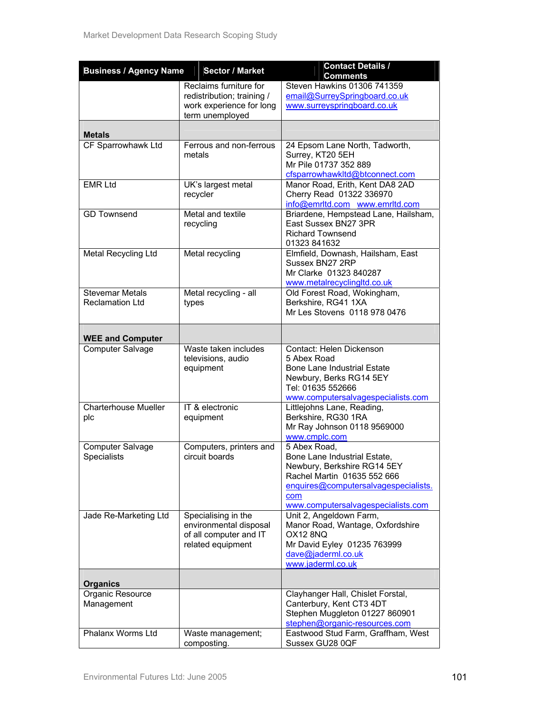| <b>Business / Agency Name</b>                    | <b>Sector / Market</b>                                                                              | <b>Contact Details /</b><br><b>Comments</b>                                                                                                                                                     |
|--------------------------------------------------|-----------------------------------------------------------------------------------------------------|-------------------------------------------------------------------------------------------------------------------------------------------------------------------------------------------------|
|                                                  | Reclaims furniture for<br>redistribution; training /<br>work experience for long<br>term unemployed | Steven Hawkins 01306 741359<br>email@SurreySpringboard.co.uk<br>www.surreyspringboard.co.uk                                                                                                     |
| <b>Metals</b>                                    |                                                                                                     |                                                                                                                                                                                                 |
| CF Sparrowhawk Ltd                               | Ferrous and non-ferrous<br>metals                                                                   | 24 Epsom Lane North, Tadworth,<br>Surrey, KT20 5EH<br>Mr Pile 01737 352 889<br>cfsparrowhawkltd@btconnect.com                                                                                   |
| <b>EMR Ltd</b>                                   | UK's largest metal<br>recycler                                                                      | Manor Road, Erith, Kent DA8 2AD<br>Cherry Read 01322 336970<br>info@emrltd.com www.emrltd.com                                                                                                   |
| <b>GD Townsend</b>                               | Metal and textile<br>recycling                                                                      | Briardene, Hempstead Lane, Hailsham,<br>East Sussex BN27 3PR<br><b>Richard Townsend</b><br>01323 841632                                                                                         |
| Metal Recycling Ltd                              | Metal recycling                                                                                     | Elmfield, Downash, Hailsham, East<br>Sussex BN27 2RP<br>Mr Clarke 01323 840287<br>www.metalrecyclingItd.co.uk                                                                                   |
| <b>Stevemar Metals</b><br><b>Reclamation Ltd</b> | Metal recycling - all<br>types                                                                      | Old Forest Road, Wokingham,<br>Berkshire, RG41 1XA<br>Mr Les Stovens 0118 978 0476                                                                                                              |
| <b>WEE and Computer</b>                          |                                                                                                     |                                                                                                                                                                                                 |
| <b>Computer Salvage</b>                          | Waste taken includes<br>televisions, audio<br>equipment                                             | Contact: Helen Dickenson<br>5 Abex Road<br><b>Bone Lane Industrial Estate</b><br>Newbury, Berks RG14 5EY<br>Tel: 01635 552666<br>www.computersalvagespecialists.com                             |
| <b>Charterhouse Mueller</b><br>plc               | IT & electronic<br>equipment                                                                        | Littlejohns Lane, Reading,<br>Berkshire, RG30 1RA<br>Mr Ray Johnson 0118 9569000<br>www.cmplc.com                                                                                               |
| Computer Salvage<br><b>Specialists</b>           | Computers, printers and<br>circuit boards                                                           | 5 Abex Road,<br>Bone Lane Industrial Estate,<br>Newbury, Berkshire RG14 5EY<br>Rachel Martin 01635 552 666<br>enquires@computersalvagespecialists.<br>com<br>www.computersalvagespecialists.com |
| Jade Re-Marketing Ltd                            | Specialising in the<br>environmental disposal<br>of all computer and IT<br>related equipment        | Unit 2, Angeldown Farm,<br>Manor Road, Wantage, Oxfordshire<br>OX12 8NQ<br>Mr David Eyley 01235 763999<br>dave@jaderml.co.uk<br>www.jaderml.co.uk                                               |
| <b>Organics</b>                                  |                                                                                                     |                                                                                                                                                                                                 |
| Organic Resource<br>Management                   |                                                                                                     | Clayhanger Hall, Chislet Forstal,<br>Canterbury, Kent CT3 4DT<br>Stephen Muggleton 01227 860901<br>stephen@organic-resources.com                                                                |
| Phalanx Worms Ltd                                | Waste management;<br>composting.                                                                    | Eastwood Stud Farm, Graffham, West<br>Sussex GU28 0QF                                                                                                                                           |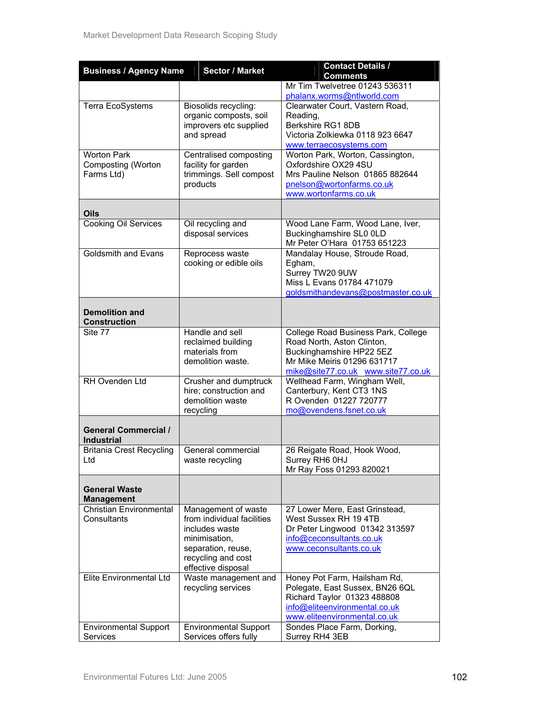| <b>Business / Agency Name</b>                    | <b>Sector / Market</b>                                | <b>Contact Details /</b>                                           |
|--------------------------------------------------|-------------------------------------------------------|--------------------------------------------------------------------|
|                                                  |                                                       | <b>Comments</b>                                                    |
|                                                  |                                                       | Mr Tim Twelvetree 01243 536311<br>phalanx.worms@ntlworld.com       |
| Terra EcoSystems                                 | Biosolids recycling:                                  | Clearwater Court, Vastern Road,                                    |
|                                                  | organic composts, soil                                | Reading,                                                           |
|                                                  | improvers etc supplied                                | Berkshire RG1 8DB                                                  |
|                                                  | and spread                                            | Victoria Zolkiewka 0118 923 6647                                   |
|                                                  |                                                       | www.terraecosystems.com                                            |
| <b>Worton Park</b>                               | Centralised composting                                | Worton Park, Worton, Cassington,                                   |
| Composting (Worton<br>Farms Ltd)                 | facility for garden<br>trimmings. Sell compost        | Oxfordshire OX29 4SU<br>Mrs Pauline Nelson 01865 882644            |
|                                                  | products                                              | pnelson@wortonfarms.co.uk                                          |
|                                                  |                                                       | www.wortonfarms.co.uk                                              |
|                                                  |                                                       |                                                                    |
| <b>Oils</b>                                      |                                                       |                                                                    |
| Cooking Oil Services                             | Oil recycling and                                     | Wood Lane Farm, Wood Lane, Iver,                                   |
|                                                  | disposal services                                     | Buckinghamshire SL0 0LD<br>Mr Peter O'Hara 01753 651223            |
| <b>Goldsmith and Evans</b>                       | Reprocess waste                                       | Mandalay House, Stroude Road,                                      |
|                                                  | cooking or edible oils                                | Egham,                                                             |
|                                                  |                                                       | Surrey TW20 9UW                                                    |
|                                                  |                                                       | Miss L Evans 01784 471079                                          |
|                                                  |                                                       | goldsmithandevans@postmaster.co.uk                                 |
| <b>Demolition and</b>                            |                                                       |                                                                    |
| <b>Construction</b>                              |                                                       |                                                                    |
| Site 77                                          | Handle and sell                                       | College Road Business Park, College                                |
|                                                  | reclaimed building                                    | Road North, Aston Clinton,                                         |
|                                                  | materials from                                        | Buckinghamshire HP22 5EZ                                           |
|                                                  | demolition waste.                                     | Mr Mike Meiris 01296 631717                                        |
| RH Ovenden Ltd                                   | Crusher and dumptruck                                 | mike@site77.co.uk www.site77.co.uk<br>Wellhead Farm, Wingham Well, |
|                                                  | hire; construction and                                | Canterbury, Kent CT3 1NS                                           |
|                                                  | demolition waste                                      | R Ovenden 01227 720777                                             |
|                                                  | recycling                                             | mo@ovendens.fsnet.co.uk                                            |
|                                                  |                                                       |                                                                    |
| <b>General Commercial /</b><br><b>Industrial</b> |                                                       |                                                                    |
| <b>Britania Crest Recycling</b>                  | General commercial                                    | 26 Reigate Road, Hook Wood,                                        |
| Ltd                                              | waste recycling                                       | Surrey RH6 0HJ                                                     |
|                                                  |                                                       | Mr Ray Foss 01293 820021                                           |
|                                                  |                                                       |                                                                    |
| <b>General Waste</b><br><b>Management</b>        |                                                       |                                                                    |
| <b>Christian Environmental</b>                   | Management of waste                                   | 27 Lower Mere, East Grinstead,                                     |
| Consultants                                      | from individual facilities                            | West Sussex RH 19 4TB                                              |
|                                                  | includes waste                                        | Dr Peter Lingwood 01342 313597                                     |
|                                                  | minimisation,                                         | info@ceconsultants.co.uk                                           |
|                                                  | separation, reuse,                                    | www.ceconsultants.co.uk                                            |
|                                                  | recycling and cost<br>effective disposal              |                                                                    |
| Elite Environmental Ltd                          | Waste management and                                  | Honey Pot Farm, Hailsham Rd,                                       |
|                                                  | recycling services                                    | Polegate, East Sussex, BN26 6QL                                    |
|                                                  |                                                       | Richard Taylor 01323 488808                                        |
|                                                  |                                                       | info@eliteenvironmental.co.uk                                      |
|                                                  |                                                       | www.eliteenvironmental.co.uk                                       |
| <b>Environmental Support</b>                     | <b>Environmental Support</b><br>Services offers fully | Sondes Place Farm, Dorking,                                        |
| Services                                         |                                                       | Surrey RH4 3EB                                                     |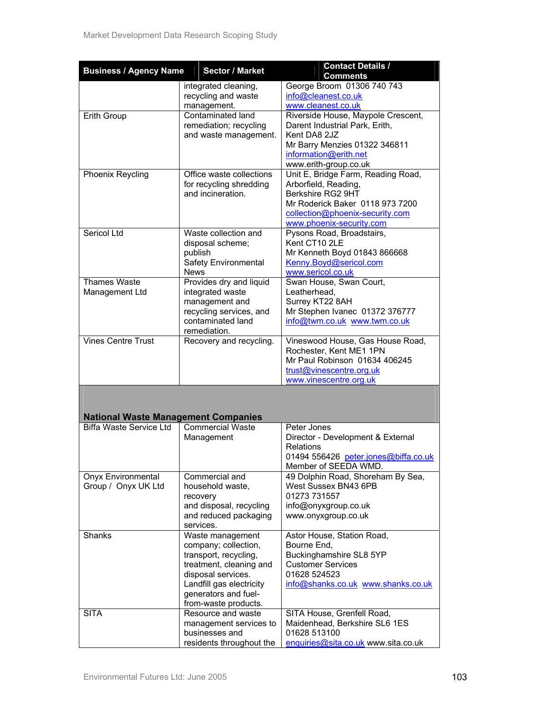| <b>Business / Agency Name</b>              | <b>Sector / Market</b>   | <b>Contact Details /</b>                                    |
|--------------------------------------------|--------------------------|-------------------------------------------------------------|
|                                            |                          | <b>Comments</b>                                             |
|                                            | integrated cleaning,     | George Broom 01306 740 743                                  |
|                                            | recycling and waste      | info@cleanest.co.uk                                         |
|                                            | management.              | www.cleanest.co.uk                                          |
| Erith Group                                | Contaminated land        | Riverside House, Maypole Crescent,                          |
|                                            | remediation; recycling   | Darent Industrial Park, Erith,                              |
|                                            | and waste management.    | Kent DA8 2JZ                                                |
|                                            |                          | Mr Barry Menzies 01322 346811                               |
|                                            |                          | information@erith.net                                       |
|                                            | Office waste collections | www.erith-group.co.uk<br>Unit E, Bridge Farm, Reading Road, |
| Phoenix Reycling                           | for recycling shredding  | Arborfield, Reading,                                        |
|                                            | and incineration.        | Berkshire RG2 9HT                                           |
|                                            |                          | Mr Roderick Baker 0118 973 7200                             |
|                                            |                          | collection@phoenix-security.com                             |
|                                            |                          | www.phoenix-security.com                                    |
| Sericol Ltd                                | Waste collection and     | Pysons Road, Broadstairs,                                   |
|                                            | disposal scheme;         | Kent CT10 2LE                                               |
|                                            | publish                  | Mr Kenneth Boyd 01843 866668                                |
|                                            | Safety Environmental     | Kenny.Boyd@sericol.com                                      |
|                                            | <b>News</b>              | www.sericol.co.uk                                           |
| <b>Thames Waste</b>                        | Provides dry and liquid  | Swan House, Swan Court,                                     |
| Management Ltd                             | integrated waste         | Leatherhead,                                                |
|                                            | management and           | Surrey KT22 8AH                                             |
|                                            | recycling services, and  | Mr Stephen Ivanec 01372 376777                              |
|                                            | contaminated land        | info@twm.co.uk_www.twm.co.uk                                |
|                                            | remediation.             |                                                             |
| <b>Vines Centre Trust</b>                  | Recovery and recycling.  | Vineswood House, Gas House Road,                            |
|                                            |                          | Rochester, Kent ME1 1PN                                     |
|                                            |                          | Mr Paul Robinson 01634 406245                               |
|                                            |                          | trust@vinescentre.org.uk                                    |
|                                            |                          | www.vinescentre.org.uk                                      |
|                                            |                          |                                                             |
|                                            |                          |                                                             |
| <b>National Waste Management Companies</b> |                          |                                                             |
| <b>Biffa Waste Service Ltd</b>             | <b>Commercial Waste</b>  | Peter Jones                                                 |
|                                            | Management               | Director - Development & External                           |
|                                            |                          | <b>Relations</b>                                            |
|                                            |                          | 01494 556426 peter.jones@biffa.co.uk                        |
|                                            |                          | Member of SEEDA WMD.                                        |
| Onyx Environmental                         | Commercial and           | 49 Dolphin Road, Shoreham By Sea,                           |
| Group / Onyx UK Ltd                        | household waste,         | West Sussex BN43 6PB                                        |
|                                            | recovery                 | 01273 731557                                                |
|                                            | and disposal, recycling  | info@onyxgroup.co.uk                                        |
|                                            | and reduced packaging    | www.onyxgroup.co.uk                                         |
|                                            | services.                |                                                             |
| Shanks                                     | Waste management         | Astor House, Station Road,                                  |
|                                            | company; collection,     | Bourne End,                                                 |
|                                            | transport, recycling,    | Buckinghamshire SL8 5YP                                     |
|                                            | treatment, cleaning and  | <b>Customer Services</b>                                    |
|                                            | disposal services.       | 01628 524523                                                |
|                                            | Landfill gas electricity | info@shanks.co.uk www.shanks.co.uk                          |
|                                            | generators and fuel-     |                                                             |
|                                            | from-waste products.     |                                                             |
| <b>SITA</b>                                | Resource and waste       | SITA House, Grenfell Road,                                  |
|                                            | management services to   | Maidenhead, Berkshire SL6 1ES                               |
|                                            | businesses and           | 01628 513100                                                |
|                                            | residents throughout the | enquiries@sita.co.uk www.sita.co.uk                         |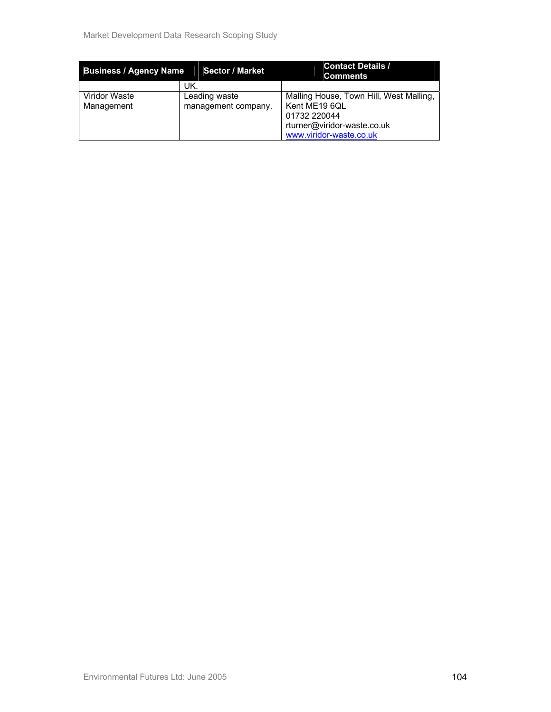| <b>Business / Agency Name</b> | <b>Sector / Market</b>               | <b>Contact Details /</b><br><b>Comments</b>                                                                                        |
|-------------------------------|--------------------------------------|------------------------------------------------------------------------------------------------------------------------------------|
|                               | UK.                                  |                                                                                                                                    |
| Viridor Waste<br>Management   | Leading waste<br>management company. | Malling House, Town Hill, West Malling,<br>Kent ME19 6QL<br>01732 220044<br>rturner@viridor-waste.co.uk<br>www.viridor-waste.co.uk |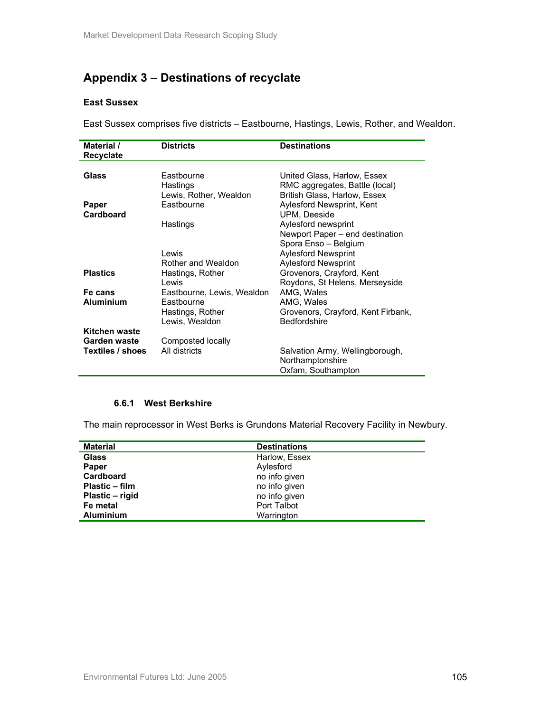# **Appendix 3 – Destinations of recyclate**

#### **East Sussex**

East Sussex comprises five districts – Eastbourne, Hastings, Lewis, Rother, and Wealdon.

| Material /<br>Recyclate | <b>Districts</b>           | <b>Destinations</b>                |
|-------------------------|----------------------------|------------------------------------|
| Glass                   | Fastbourne                 | United Glass, Harlow, Essex        |
|                         | Hastings                   | RMC aggregates, Battle (local)     |
|                         | Lewis, Rother, Wealdon     | British Glass, Harlow, Essex       |
| Paper                   | Eastbourne                 | Aylesford Newsprint, Kent          |
| Cardboard               |                            | UPM, Deeside                       |
|                         | Hastings                   | Aylesford newsprint                |
|                         |                            | Newport Paper – end destination    |
|                         |                            | Spora Enso - Belgium               |
|                         | I ewis                     | <b>Aylesford Newsprint</b>         |
|                         | Rother and Wealdon         | <b>Aylesford Newsprint</b>         |
| <b>Plastics</b>         | Hastings, Rother           | Grovenors, Crayford, Kent          |
|                         | Lewis                      | Roydons, St Helens, Merseyside     |
| Fe cans                 | Eastbourne, Lewis, Wealdon | AMG, Wales                         |
| <b>Aluminium</b>        | Fastbourne                 | AMG, Wales                         |
|                         | Hastings, Rother           | Grovenors, Crayford, Kent Firbank, |
|                         | Lewis, Wealdon             | <b>Bedfordshire</b>                |
| Kitchen waste           |                            |                                    |
| Garden waste            | Composted locally          |                                    |
| Textiles / shoes        | All districts              | Salvation Army, Wellingborough,    |
|                         |                            | Northamptonshire                   |
|                         |                            | Oxfam, Southampton                 |

#### **6.6.1 West Berkshire**

The main reprocessor in West Berks is Grundons Material Recovery Facility in Newbury.

| <b>Material</b>  | <b>Destinations</b> |
|------------------|---------------------|
| <b>Glass</b>     | Harlow, Essex       |
| Paper            | Aylesford           |
| <b>Cardboard</b> | no info given       |
| Plastic – film   | no info given       |
| Plastic – rigid  | no info given       |
| Fe metal         | Port Talbot         |
| <b>Aluminium</b> | Warrington          |